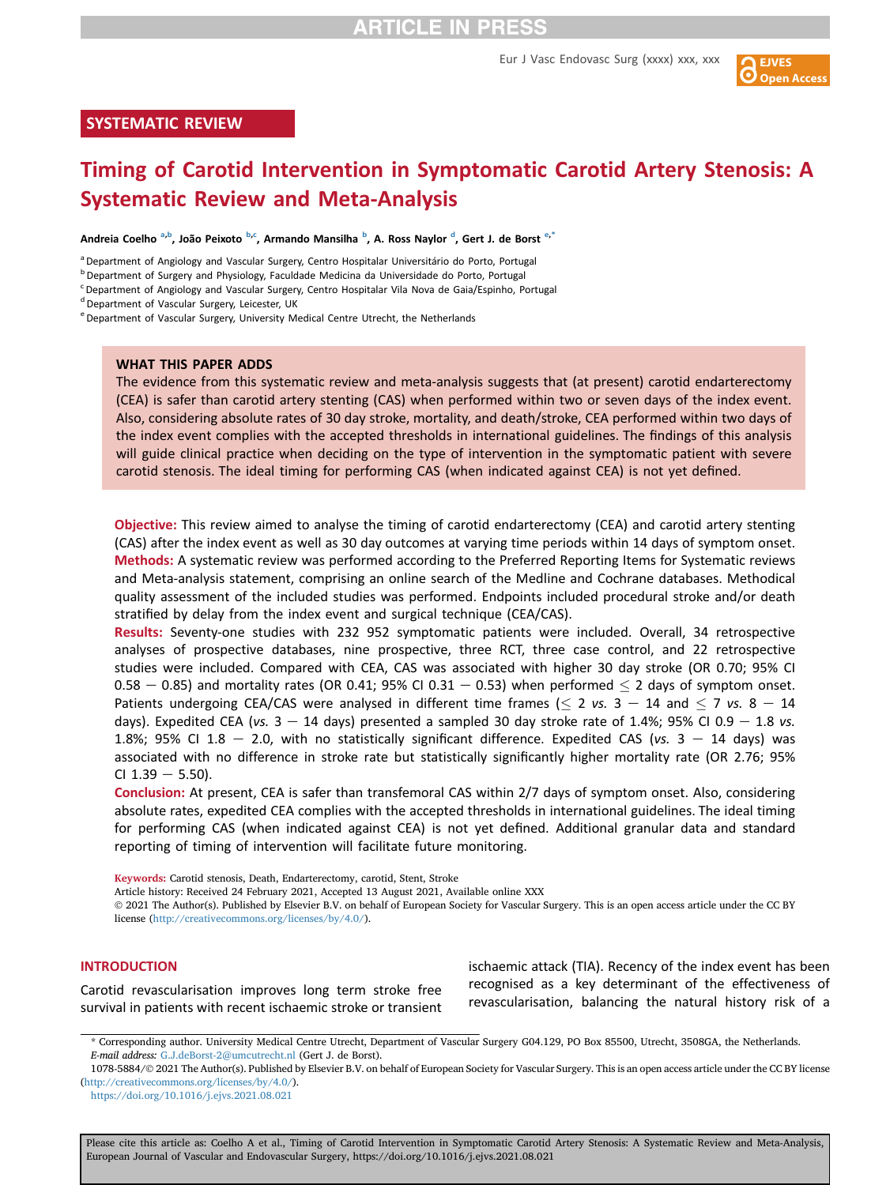Eur J Vasc Endovasc Surg (xxxx) xxx, xxx



#### SYSTEMATIC REVIEW

# Timing of Carotid Intervention in Symptomatic Carotid Artery Stenosis: A Systematic Review and Meta-Analysis

Andrei[a](#page-0-0) Coelho <sup>a,[b](#page-0-1)</sup>, João Peixoto <sup>b[,c](#page-0-2)</sup>, Arman[d](#page-0-3)o Mansilha <sup>b</sup>, A. Ross Naylor <sup>d</sup>, G[e](#page-0-4)rt J. de Borst <sup>e,[\\*](#page-0-5)</sup>

<span id="page-0-0"></span><sup>a</sup> Department of Angiology and Vascular Surgery, Centro Hospitalar Universitário do Porto, Portugal

<span id="page-0-1"></span><sup>b</sup> Department of Surgery and Physiology, Faculdade Medicina da Universidade do Porto, Portugal

<span id="page-0-2"></span><sup>c</sup> Department of Angiology and Vascular Surgery, Centro Hospitalar Vila Nova de Gaia/Espinho, Portugal

<span id="page-0-3"></span><sup>d</sup> Department of Vascular Surgery, Leicester, UK

<span id="page-0-4"></span><sup>e</sup> Department of Vascular Surgery, University Medical Centre Utrecht, the Netherlands

#### WHAT THIS PAPER ADDS

The evidence from this systematic review and meta-analysis suggests that (at present) carotid endarterectomy (CEA) is safer than carotid artery stenting (CAS) when performed within two or seven days of the index event. Also, considering absolute rates of 30 day stroke, mortality, and death/stroke, CEA performed within two days of the index event complies with the accepted thresholds in international guidelines. The findings of this analysis will guide clinical practice when deciding on the type of intervention in the symptomatic patient with severe carotid stenosis. The ideal timing for performing CAS (when indicated against CEA) is not yet defined.

Objective: This review aimed to analyse the timing of carotid endarterectomy (CEA) and carotid artery stenting (CAS) after the index event as well as 30 day outcomes at varying time periods within 14 days of symptom onset. Methods: A systematic review was performed according to the Preferred Reporting Items for Systematic reviews and Meta-analysis statement, comprising an online search of the Medline and Cochrane databases. Methodical quality assessment of the included studies was performed. Endpoints included procedural stroke and/or death stratified by delay from the index event and surgical technique (CEA/CAS).

Results: Seventy-one studies with 232 952 symptomatic patients were included. Overall, 34 retrospective analyses of prospective databases, nine prospective, three RCT, three case control, and 22 retrospective studies were included. Compared with CEA, CAS was associated with higher 30 day stroke (OR 0.70; 95% CI  $0.58 - 0.85$ ) and mortality rates (OR 0.41; 95% CI 0.31 - 0.53) when performed  $\leq$  2 days of symptom onset. Patients undergoing CEA/CAS were analysed in different time frames ( $\leq$  2 vs. 3 – 14 and  $\leq$  7 vs. 8 – 14 days). Expedited CEA (vs.  $3 - 14$  days) presented a sampled 30 day stroke rate of 1.4%; 95% CI 0.9 - 1.8 vs. 1.8%; 95% CI 1.8 - 2.0, with no statistically significant difference. Expedited CAS (vs. 3 - 14 days) was associated with no difference in stroke rate but statistically significantly higher mortality rate (OR 2.76; 95% CI  $1.39 - 5.50$ ).

Conclusion: At present, CEA is safer than transfemoral CAS within 2/7 days of symptom onset. Also, considering absolute rates, expedited CEA complies with the accepted thresholds in international guidelines. The ideal timing for performing CAS (when indicated against CEA) is not yet defined. Additional granular data and standard reporting of timing of intervention will facilitate future monitoring.

Keywords: Carotid stenosis, Death, Endarterectomy, carotid, Stent, Stroke

Article history: Received 24 February 2021, Accepted 13 August 2021, Available online XXX

 2021 The Author(s). Published by Elsevier B.V. on behalf of European Society for Vascular Surgery. This is an open access article under the CC BY license ([http://creativecommons.org/licenses/by/4.0/\)](http://creativecommons.org/licenses/by/4.0/).

#### **INTRODUCTION**

Carotid revascularisation improves long term stroke free survival in patients with recent ischaemic stroke or transient ischaemic attack (TIA). Recency of the index event has been recognised as a key determinant of the effectiveness of revascularisation, balancing the natural history risk of a

<span id="page-0-5"></span>\* Corresponding author. University Medical Centre Utrecht, Department of Vascular Surgery G04.129, PO Box 85500, Utrecht, 3508GA, the Netherlands. E-mail address: [G.J.deBorst-2@umcutrecht.nl](mailto:G.J.deBorst-2@umcutrecht.nl) (Gert J. de Borst).

<sup>1078-5884/</sup> 2021 The Author(s). Published by Elsevier B.V. on behalf of European Society for Vascular Surgery. This is an open access article under the CC BY license [\(http://creativecommons.org/licenses/by/4.0/\)](http://creativecommons.org/licenses/by/4.0/).

<https://doi.org/10.1016/j.ejvs.2021.08.021>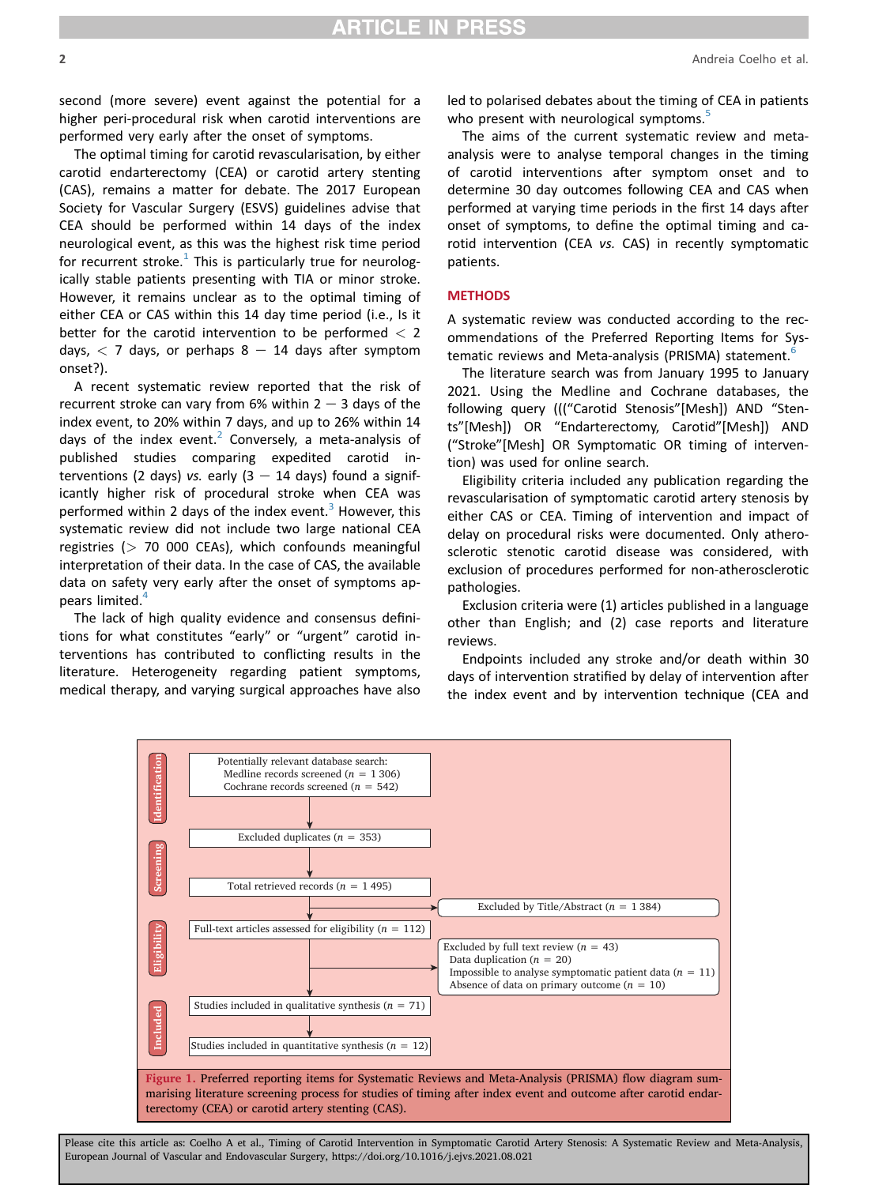second (more severe) event against the potential for a higher peri-procedural risk when carotid interventions are performed very early after the onset of symptoms.

The optimal timing for carotid revascularisation, by either carotid endarterectomy (CEA) or carotid artery stenting (CAS), remains a matter for debate. The 2017 European Society for Vascular Surgery (ESVS) guidelines advise that CEA should be performed within 14 days of the index neurological event, as this was the highest risk time period for recurrent stroke.<sup>[1](#page-17-0)</sup> This is particularly true for neurologically stable patients presenting with TIA or minor stroke. However, it remains unclear as to the optimal timing of either CEA or CAS within this 14 day time period (i.e., Is it better for the carotid intervention to be performed  $<$  2 days,  $<$  7 days, or perhaps 8  $-$  14 days after symptom onset?).

A recent systematic review reported that the risk of recurrent stroke can vary from 6% within  $2 - 3$  days of the index event, to 20% within 7 days, and up to 26% within 14 days of the index event.<sup>[2](#page-17-1)</sup> Conversely, a meta-analysis of published studies comparing expedited carotid interventions (2 days) vs. early  $(3 - 14$  days) found a significantly higher risk of procedural stroke when CEA was performed within 2 days of the index event. $3$  However, this systematic review did not include two large national CEA registries ( $> 70$  000 CEAs), which confounds meaningful interpretation of their data. In the case of CAS, the available data on safety very early after the onset of symptoms appears limited.<sup>4</sup>

The lack of high quality evidence and consensus definitions for what constitutes "early" or "urgent" carotid interventions has contributed to conflicting results in the literature. Heterogeneity regarding patient symptoms, medical therapy, and varying surgical approaches have also led to polarised debates about the timing of CEA in patients who present with neurological symptoms.<sup>[5](#page-17-4)</sup>

The aims of the current systematic review and metaanalysis were to analyse temporal changes in the timing of carotid interventions after symptom onset and to determine 30 day outcomes following CEA and CAS when performed at varying time periods in the first 14 days after onset of symptoms, to define the optimal timing and carotid intervention (CEA vs. CAS) in recently symptomatic patients.

#### **METHODS**

A systematic review was conducted according to the recommendations of the Preferred Reporting Items for Sys-tematic reviews and Meta-analysis (PRISMA) statement.<sup>[6](#page-17-5)</sup>

The literature search was from January 1995 to January 2021. Using the Medline and Cochrane databases, the following query ((("Carotid Stenosis"[Mesh]) AND "Stents"[Mesh]) OR "Endarterectomy, Carotid"[Mesh]) AND ("Stroke"[Mesh] OR Symptomatic OR timing of intervention) was used for online search.

Eligibility criteria included any publication regarding the revascularisation of symptomatic carotid artery stenosis by either CAS or CEA. Timing of intervention and impact of delay on procedural risks were documented. Only atherosclerotic stenotic carotid disease was considered, with exclusion of procedures performed for non-atherosclerotic pathologies.

Exclusion criteria were (1) articles published in a language other than English; and (2) case reports and literature reviews.

Endpoints included any stroke and/or death within 30 days of intervention stratified by delay of intervention after the index event and by intervention technique (CEA and

<span id="page-1-0"></span>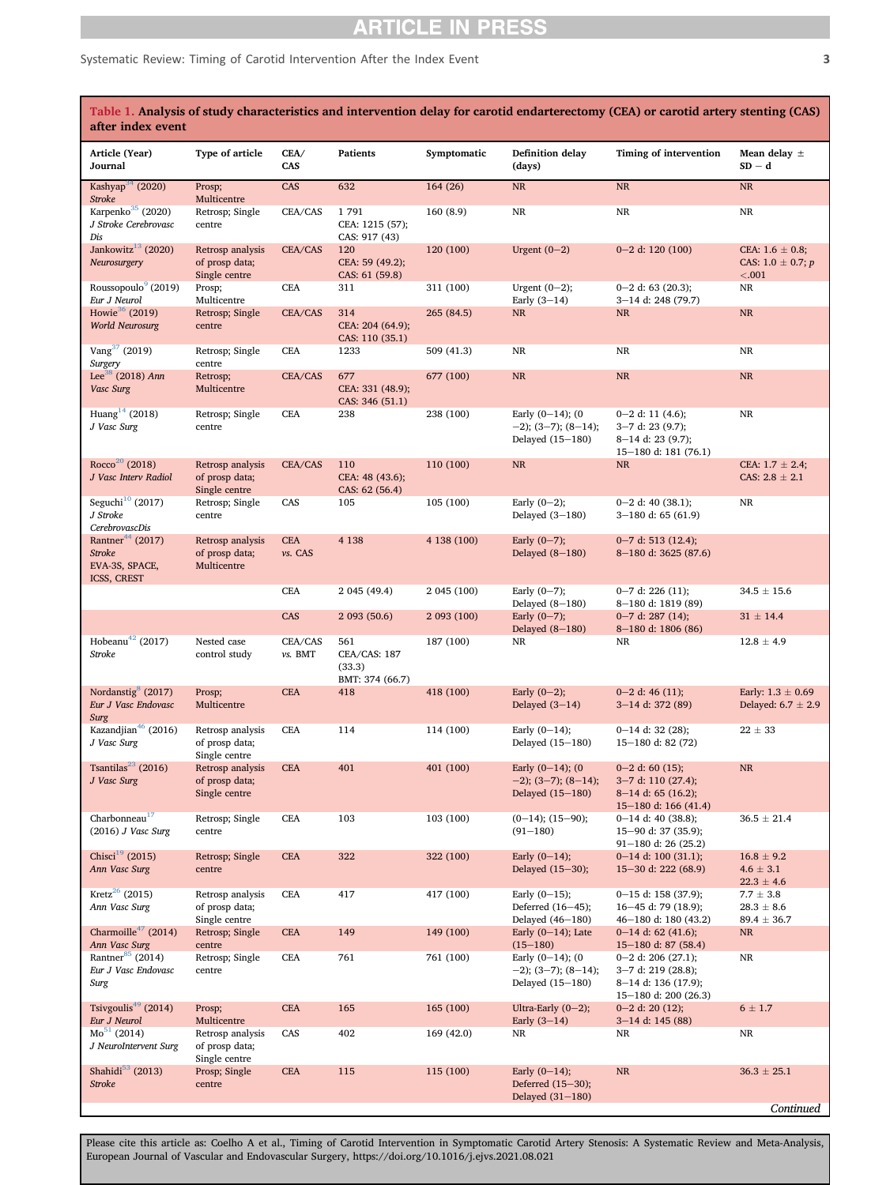### Systematic Review: Timing of Carotid Intervention After the Index Event 33

<span id="page-2-0"></span>

| Table 1. Analysis of study characteristics and intervention delay for carotid endarterectomy (CEA) or carotid artery stenting (CAS)<br>after index event |                                                     |                       |                                                  |             |                                                                     |                                                                                             |                                                           |  |
|----------------------------------------------------------------------------------------------------------------------------------------------------------|-----------------------------------------------------|-----------------------|--------------------------------------------------|-------------|---------------------------------------------------------------------|---------------------------------------------------------------------------------------------|-----------------------------------------------------------|--|
| Article (Year)<br>Journal                                                                                                                                | Type of article                                     | CEA/<br>CAS           | <b>Patients</b>                                  | Symptomatic | <b>Definition delay</b><br>(days)                                   | Timing of intervention                                                                      | Mean delay $\pm$<br>$SD - d$                              |  |
| Kashyap <sup>34</sup> (2020)<br><b>Stroke</b>                                                                                                            | Prosp;<br>Multicentre                               | CAS                   | 632                                              | 164(26)     | $\rm NR$                                                            | $\rm NR$                                                                                    | $\rm NR$                                                  |  |
| Karpenko <sup>35</sup> (2020)<br>J Stroke Cerebrovasc<br>Dis                                                                                             | Retrosp; Single<br>centre                           | CEA/CAS               | 1791<br>CEA: 1215 (57);<br>CAS: 917 (43)         | 160(8.9)    | $\rm NR$                                                            | $\rm NR$                                                                                    | $\rm NR$                                                  |  |
| Jankowitz $^{13}$ (2020)<br>Neurosurgery                                                                                                                 | Retrosp analysis<br>of prosp data;<br>Single centre | CEA/CAS               | 120<br>CEA: 59 (49.2);<br>CAS: 61 (59.8)         | 120 (100)   | Urgent $(0-2)$                                                      | $0 - 2$ d: 120 (100)                                                                        | CEA: $1.6 \pm 0.8$ ;<br>CAS: $1.0 \pm 0.7; p$<br>$< 0.01$ |  |
| Roussopoulo <sup>9</sup> (2019)<br>Eur J Neurol                                                                                                          | Prosp;<br>Multicentre                               | CEA                   | 311                                              | 311 (100)   | Urgent $(0-2)$ ;<br>Early $(3-14)$                                  | $0-2$ d: 63 (20.3);<br>3-14 d: 248 (79.7)                                                   | NR                                                        |  |
| Howie <sup>36</sup> (2019)<br><b>World Neurosurg</b>                                                                                                     | Retrosp; Single<br>centre                           | CEA/CAS               | 314<br>CEA: 204 (64.9);<br>CAS: 110 (35.1)       | 265 (84.5)  | NR                                                                  | $\rm NR$                                                                                    | $\rm NR$                                                  |  |
| Vang <sup>37</sup> (2019)<br>Surgery                                                                                                                     | Retrosp; Single<br>centre                           | <b>CEA</b>            | 1233                                             | 509 (41.3)  | NR                                                                  | NR                                                                                          | NR                                                        |  |
| Lee <sup>38</sup> (2018) Ann<br>Vasc Surg                                                                                                                | Retrosp;<br>Multicentre                             | CEA/CAS               | 677<br>CEA: 331 (48.9);<br>CAS: 346 (51.1)       | 677 (100)   | $\rm NR$                                                            | $\rm NR$                                                                                    | <b>NR</b>                                                 |  |
| Huang <sup>14</sup> (2018)<br>J Vasc Surg                                                                                                                | Retrosp; Single<br>centre                           | <b>CEA</b>            | 238                                              | 238 (100)   | Early $(0-14)$ ; $(0$<br>$-2$ ); (3-7); (8-14);<br>Delayed (15-180) | $0-2$ d: 11 (4.6);<br>$3 - 7$ d: 23 (9.7);<br>8-14 d: 23 (9.7);<br>15-180 d: 181 (76.1)     | $\rm NR$                                                  |  |
| Rocco <sup>20</sup> (2018)<br>J Vasc Interv Radiol                                                                                                       | Retrosp analysis<br>of prosp data;<br>Single centre | CEA/CAS               | 110<br>CEA: 48 (43.6);<br>CAS: 62 (56.4)         | 110 (100)   | NR                                                                  | NR                                                                                          | CEA: $1.7 \pm 2.4$ ;<br>CAS: $2.8 \pm 2.1$                |  |
| Seguchi <sup>10</sup> (2017)<br>J Stroke<br>CerebrovascDis                                                                                               | Retrosp; Single<br>centre                           | CAS                   | 105                                              | 105 (100)   | Early $(0-2)$ ;<br>Delayed $(3-180)$                                | $0 - 2$ d: 40 (38.1);<br>$3-180$ d: 65 (61.9)                                               | $\rm NR$                                                  |  |
| Rantner <sup>44</sup> (2017)<br><b>Stroke</b><br>EVA-3S, SPACE,<br>ICSS, CREST                                                                           | Retrosp analysis<br>of prosp data;<br>Multicentre   | <b>CEA</b><br>vs. CAS | 4 1 3 8                                          | 4 138 (100) | Early $(0-7)$ ;<br>Delayed $(8-180)$                                | $0 - 7$ d: 513 (12.4);<br>8-180 d: 3625 (87.6)                                              |                                                           |  |
|                                                                                                                                                          |                                                     | <b>CEA</b>            | 2 045 (49.4)                                     | 2 045 (100) | Early $(0-7)$ ;<br>Delayed $(8-180)$                                | $0 - 7$ d: 226 (11);<br>8-180 d: 1819 (89)                                                  | $34.5 \pm 15.6$                                           |  |
|                                                                                                                                                          |                                                     | CAS                   | 2 093 (50.6)                                     | 2 093 (100) | Early $(0-7)$ ;<br>Delayed $(8-180)$                                | $0 - 7$ d: 287 (14);<br>8-180 d: 1806 (86)                                                  | $31 \pm 14.4$                                             |  |
| Hobeanu <sup>42</sup> (2017)<br>Stroke                                                                                                                   | Nested case<br>control study                        | CEA/CAS<br>vs. BMT    | 561<br>CEA/CAS: 187<br>(33.3)<br>BMT: 374 (66.7) | 187 (100)   | NR                                                                  | NR                                                                                          | $12.8 \pm 4.9$                                            |  |
| Nordanstig <sup>8</sup> (2017)<br>Eur J Vasc Endovasc<br>Surg                                                                                            | Prosp;<br>Multicentre                               | <b>CEA</b>            | 418                                              | 418 (100)   | Early $(0-2)$ ;<br>Delayed $(3-14)$                                 | $0 - 2$ d: 46 (11);<br>3-14 d: 372 (89)                                                     | Early: $1.3 \pm 0.69$<br>Delayed: $6.7 \pm 2.9$           |  |
| Kazandjian <sup>46</sup> (2016)<br>J Vasc Surg                                                                                                           | Retrosp analysis<br>of prosp data;<br>Single centre | <b>CEA</b>            | 114                                              | 114 (100)   | Early $(0-14)$ ;<br>Delayed (15-180)                                | $0-14$ d: 32 (28);<br>15-180 d: 82 $(72)$                                                   | $22 \pm 33$                                               |  |
| Tsantilas <sup>23</sup> (2016)<br>J Vasc Surg                                                                                                            | Retrosp analysis<br>of prosp data;<br>Single centre | <b>CEA</b>            | 401                                              | 401 (100)   | Early $(0-14)$ ; $(0$<br>$-2$ ; (3-7); (8-14);<br>Delayed (15-180)  | $0 - 2$ d: 60 (15);<br>3-7 d: 110 (27.4);<br>$8-14$ d: 65 (16.2);<br>15-180 d: 166 $(41.4)$ | $\rm NR$                                                  |  |
| Charbonneau <sup>17</sup><br>$(2016)$ J Vasc Surg                                                                                                        | Retrosp; Single<br>centre                           | <b>CEA</b>            | 103                                              | 103 (100)   | $(0-14)$ ; $(15-90)$ ;<br>$(91 - 180)$                              | $0-14$ d: 40 (38.8);<br>15-90 d: 37 (35.9);<br>$91 - 180$ d: 26 (25.2)                      | $36.5 \pm 21.4$                                           |  |
| Chisci <sup>19</sup> (2015)<br>Ann Vasc Surg                                                                                                             | Retrosp; Single<br>centre                           | <b>CEA</b>            | 322                                              | 322 (100)   | Early $(0-14)$ ;<br>Delayed (15-30);                                | $0-14$ d: 100 (31.1);<br>15-30 d: 222 (68.9)                                                | $16.8 \pm 9.2$<br>$4.6 \pm 3.1$<br>$22.3 \pm 4.6$         |  |
| Kretz <sup>26</sup> (2015)<br>Ann Vasc Surg                                                                                                              | Retrosp analysis<br>of prosp data;<br>Single centre | CEA                   | 417                                              | 417 (100)   | Early $(0-15)$ ;<br>Deferred (16-45);<br>Delayed (46-180)           | $0-15$ d: 158 (37.9);<br>16-45 d: 79 (18.9);<br>46-180 d: 180 (43.2)                        | $7.7 \pm 3.8$<br>$28.3 \pm 8.6$<br>$89.4 \pm 36.7$        |  |
| Charmoille <sup>47</sup> (2014)<br>Ann Vasc Surg                                                                                                         | Retrosp; Single<br>centre                           | <b>CEA</b>            | 149                                              | 149 (100)   | Early $(0-14)$ ; Late<br>$(15 - 180)$                               | $0-14$ d: 62 (41.6);<br>$15 - 180$ d: 87 (58.4)                                             | NR                                                        |  |
| Rantner $^{85}$ (2014)<br>Eur J Vasc Endovasc<br>Surg                                                                                                    | Retrosp; Single<br>centre                           | CEA                   | 761                                              | 761 (100)   | Early $(0-14)$ ; $(0$<br>$-2$ ); (3-7); (8-14);<br>Delayed (15-180) | $0-2$ d: 206 (27.1);<br>3-7 d: 219 (28.8);<br>8-14 d: 136 (17.9);<br>15-180 d: 200 (26.3)   | $\rm NR$                                                  |  |
| Tsivgoulis <sup>49</sup> (2014)<br>Eur J Neurol                                                                                                          | Prosp;<br>Multicentre                               | <b>CEA</b>            | 165                                              | 165 (100)   | Ultra-Early $(0-2)$ ;<br>Early $(3-14)$                             | $0-2$ d: 20 (12);<br>3-14 d: 145 (88)                                                       | $6\pm1.7$                                                 |  |
| $Mo51$ (2014)<br>J NeuroIntervent Surg                                                                                                                   | Retrosp analysis<br>of prosp data;<br>Single centre | CAS                   | 402                                              | 169 (42.0)  | NR                                                                  | NR                                                                                          | $\rm NR$                                                  |  |
| Shahidi $53$ (2013)<br><b>Stroke</b>                                                                                                                     | Prosp; Single<br>centre                             | CEA                   | 115                                              | 115 (100)   | Early $(0-14)$ ;<br>Deferred (15-30);<br>Delayed (31-180)           | $\rm NR$                                                                                    | $36.3 \pm 25.1$                                           |  |
|                                                                                                                                                          |                                                     |                       |                                                  |             |                                                                     |                                                                                             | Continued                                                 |  |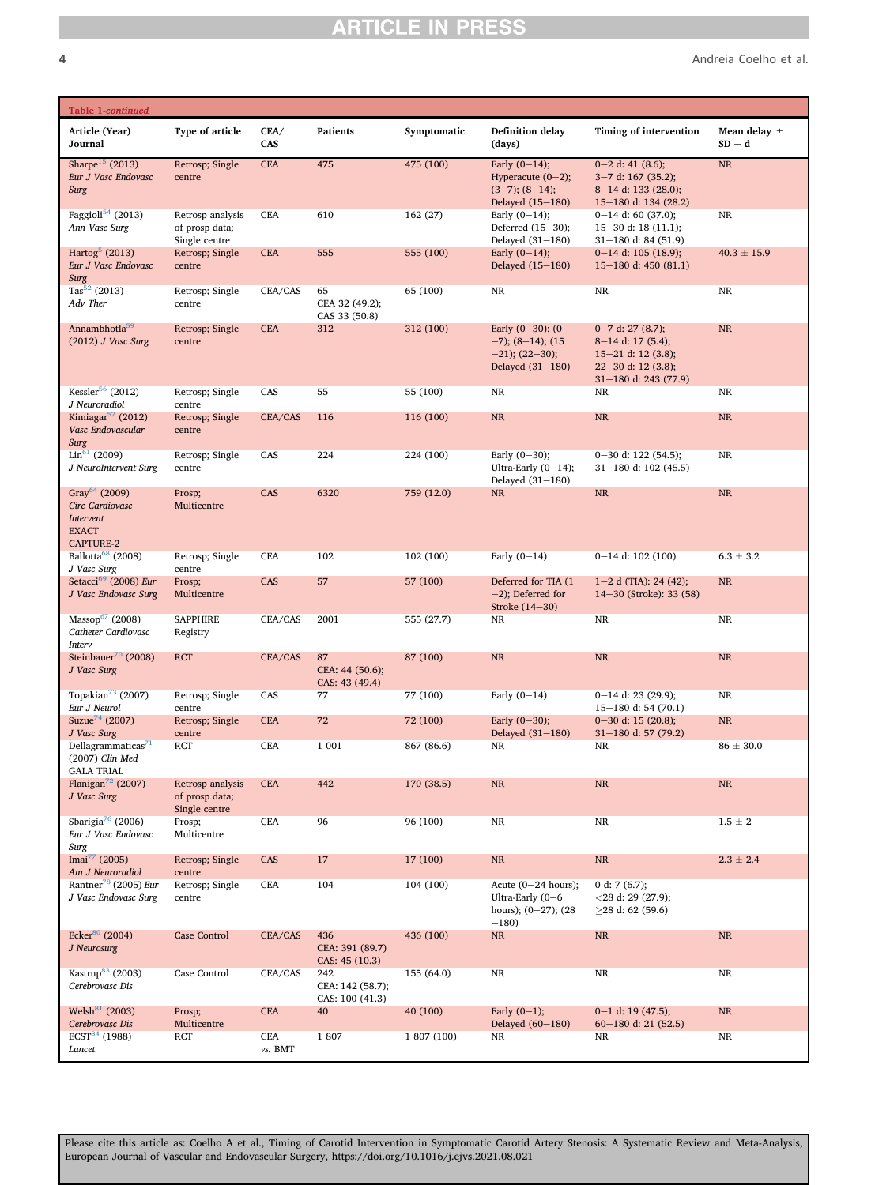4 Andreia Coelho et al.

| Table 1-continued                                                                             |                                                     |                |                                            |             |                                                                                      |                                                                                                                           |                              |
|-----------------------------------------------------------------------------------------------|-----------------------------------------------------|----------------|--------------------------------------------|-------------|--------------------------------------------------------------------------------------|---------------------------------------------------------------------------------------------------------------------------|------------------------------|
| Article (Year)<br>Journal                                                                     | Type of article                                     | CEA/<br>CAS    | <b>Patients</b>                            | Symptomatic | <b>Definition delay</b><br>(days)                                                    | Timing of intervention                                                                                                    | Mean delay $\pm$<br>$SD - d$ |
| Sharpe <sup>15</sup> (2013)<br>Eur J Vasc Endovasc<br>Surg                                    | Retrosp; Single<br>centre                           | <b>CEA</b>     | 475                                        | 475 (100)   | Early $(0-14)$ ;<br>Hyperacute $(0-2)$ ;<br>$(3-7)$ ; $(8-14)$ ;<br>Delayed (15-180) | $0-2$ d: 41 (8.6);<br>$3 - 7$ d: 167 (35.2);<br>8-14 d: 133 (28.0);<br>15-180 d: 134 (28.2)                               | $\rm NR$                     |
| Faggioli <sup>54</sup> (2013)<br>Ann Vasc Surg                                                | Retrosp analysis<br>of prosp data;<br>Single centre | <b>CEA</b>     | 610                                        | 162(27)     | Early $(0-14)$ ;<br>Deferred (15-30);<br>Delayed (31-180)                            | $0-14$ d: 60 (37.0);<br>$15-30$ d: 18 (11.1);<br>$31 - 180$ d: 84 (51.9)                                                  | NR                           |
| Hartog $5(2013)$<br>Eur J Vasc Endovasc<br>Surg                                               | Retrosp; Single<br>centre                           | <b>CEA</b>     | 555                                        | 555 (100)   | Early $(0-14)$ ;<br>Delayed (15-180)                                                 | $0-14$ d: 105 (18.9);<br>15-180 d: $450(81.1)$                                                                            | $40.3 \pm 15.9$              |
| Tas <sup>52</sup> (2013)<br>Adv Ther                                                          | Retrosp; Single<br>centre                           | CEA/CAS        | 65<br>CEA 32 (49.2);<br>CAS 33 (50.8)      | 65 (100)    | NR                                                                                   | <b>NR</b>                                                                                                                 | NR                           |
| Annambhotla <sup>59</sup><br>$(2012)$ J Vasc Surg                                             | Retrosp; Single<br>centre                           | <b>CEA</b>     | 312                                        | 312 (100)   | Early $(0-30)$ ; $(0$<br>$-7$ ; (8-14); (15<br>$-21$ ; (22-30);<br>Delayed (31-180)  | $0 - 7$ d: 27 (8.7);<br>$8-14$ d: 17 (5.4);<br>$15-21$ d: 12 (3.8);<br>$22 - 30$ d: 12 (3.8);<br>$31 - 180$ d: 243 (77.9) | <b>NR</b>                    |
| Kessler <sup>56</sup> (2012)<br>J Neuroradiol                                                 | Retrosp; Single<br>centre                           | CAS            | 55                                         | 55 (100)    | $\rm NR$                                                                             | NR                                                                                                                        | NR                           |
| Kimiagar <sup>57</sup> (2012)<br>Vasc Endovascular<br>Surg                                    | Retrosp; Single<br>centre                           | CEA/CAS        | 116                                        | 116 (100)   | $\rm NR$                                                                             | $\rm NR$                                                                                                                  | $\rm NR$                     |
| $\text{Lin}^{61}$ (2009)<br>J NeuroIntervent Surg                                             | Retrosp; Single<br>centre                           | CAS            | 224                                        | 224 (100)   | Early $(0-30)$ ;<br>Ultra-Early $(0-14)$ ;<br>Delayed (31-180)                       | $0-30$ d: 122 (54.5);<br>$31 - 180$ d: 102 (45.5)                                                                         | NR                           |
| Gray <sup>64</sup> (2009)<br>Circ Cardiovasc<br>Intervent<br><b>EXACT</b><br><b>CAPTURE-2</b> | Prosp;<br>Multicentre                               | CAS            | 6320                                       | 759 (12.0)  | NR                                                                                   | $\rm NR$                                                                                                                  | <b>NR</b>                    |
| Ballotta <sup>68</sup> (2008)<br>J Vasc Surg                                                  | Retrosp; Single<br>centre                           | <b>CEA</b>     | 102                                        | 102 (100)   | Early $(0-14)$                                                                       | $0-14$ d: 102 (100)                                                                                                       | $6.3 \pm 3.2$                |
| Setacci <sup>69</sup> (2008) Eur<br>J Vasc Endovasc Surg                                      | Prosp;<br>Multicentre                               | CAS            | 57                                         | 57 (100)    | Deferred for TIA (1<br>$-2$ ); Deferred for<br>Stroke (14-30)                        | $1-2$ d (TIA): 24 (42);<br>14-30 (Stroke): 33 (58)                                                                        | <b>NR</b>                    |
| Massop <sup>67</sup> (2008)<br>Catheter Cardiovasc<br>Interv                                  | <b>SAPPHIRE</b><br>Registry                         | CEA/CAS        | 2001                                       | 555 (27.7)  | NR                                                                                   | $\rm NR$                                                                                                                  | NR                           |
| Steinbauer <sup>70</sup> (2008)<br>J Vasc Surg                                                | <b>RCT</b>                                          | CEA/CAS        | 87<br>CEA: 44 (50.6);<br>CAS: 43 (49.4)    | 87 (100)    | <b>NR</b>                                                                            | <b>NR</b>                                                                                                                 | <b>NR</b>                    |
| Topakian <sup>73</sup> (2007)<br>Eur J Neurol                                                 | Retrosp; Single<br>centre                           | CAS            | 77                                         | 77 (100)    | Early $(0-14)$                                                                       | $0-14$ d: 23 (29.9);<br>15-180 d: 54 (70.1)                                                                               | NR                           |
| Suzue <sup>74</sup> (2007)<br>J Vasc Surg                                                     | Retrosp; Single<br>centre                           | <b>CEA</b>     | 72                                         | 72 (100)    | Early $(0-30)$ ;<br>Delayed (31-180)                                                 | $0 - 30$ d: 15 (20.8);<br>$31 - 180$ d: 57 (79.2)                                                                         | $\rm NR$                     |
| Dellagrammaticas <sup>71</sup><br>(2007) Clin Med<br><b>GALA TRIAL</b>                        | RCT                                                 | <b>CEA</b>     | 1 001                                      | 867 (86.6)  | NR                                                                                   | <b>NR</b>                                                                                                                 | $86 \pm 30.0$                |
| Flanigan <sup>72</sup> (2007)<br>J Vasc Surg                                                  | Retrosp analysis<br>of prosp data;<br>Single centre | <b>CEA</b>     | 442                                        | 170 (38.5)  | <b>NR</b>                                                                            | $\rm NR$                                                                                                                  | NR                           |
| Sbarigia <sup>76</sup> (2006)<br>Eur J Vasc Endovasc<br>Surg                                  | Prosp;<br>Multicentre                               | CEA            | 96                                         | 96 (100)    | $_{\rm NR}$                                                                          | NR                                                                                                                        | $1.5 \pm 2$                  |
| Imai <sup>77</sup> (2005)<br>Am J Neuroradiol                                                 | Retrosp; Single<br>centre                           | CAS            | 17                                         | 17 (100)    | <b>NR</b>                                                                            | NR                                                                                                                        | $2.3\,\pm\,2.4$              |
| Rantner <sup>78</sup> (2005) Eur<br>J Vasc Endovasc Surg                                      | Retrosp; Single<br>$\mbox{centre}$                  | CEA            | 104                                        | 104 (100)   | Acute $(0-24$ hours);<br>Ultra-Early $(0-6)$<br>hours); $(0-27)$ ; $(28)$<br>$-180$  | 0 d: 7 $(6.7)$ ;<br>$<$ 28 d: 29 (27.9);<br>$>28$ d: 62 (59.6)                                                            |                              |
| Ecker <sup>80</sup> (2004)<br>J Neurosurg                                                     | <b>Case Control</b>                                 | CEA/CAS        | 436<br>CEA: 391 (89.7)<br>CAS: 45 (10.3)   | 436 (100)   | $\rm NR$                                                                             | $\rm NR$                                                                                                                  | NR                           |
| Kastrup <sup>83</sup> (2003)<br>Cerebrovasc Dis                                               | Case Control                                        | CEA/CAS        | 242<br>CEA: 142 (58.7);<br>CAS: 100 (41.3) | 155 (64.0)  | $_{\rm NR}$                                                                          | NR                                                                                                                        | $\rm NR$                     |
| Welsh <sup>81</sup> (2003)<br>Cerebrovasc Dis                                                 | Prosp;<br>Multicentre                               | <b>CEA</b>     | 40                                         | 40 (100)    | Early $(0-1)$ ;<br>Delayed (60-180)                                                  | $0-1$ d: 19 (47.5);<br>$60-180$ d: 21 (52.5)                                                                              | <b>NR</b>                    |
| ECT <sup>84</sup> (1988)<br>Lancet                                                            | RCT                                                 | CEA<br>vs. BMT | 1807                                       | 1 807 (100) | NR                                                                                   | NR                                                                                                                        | NR                           |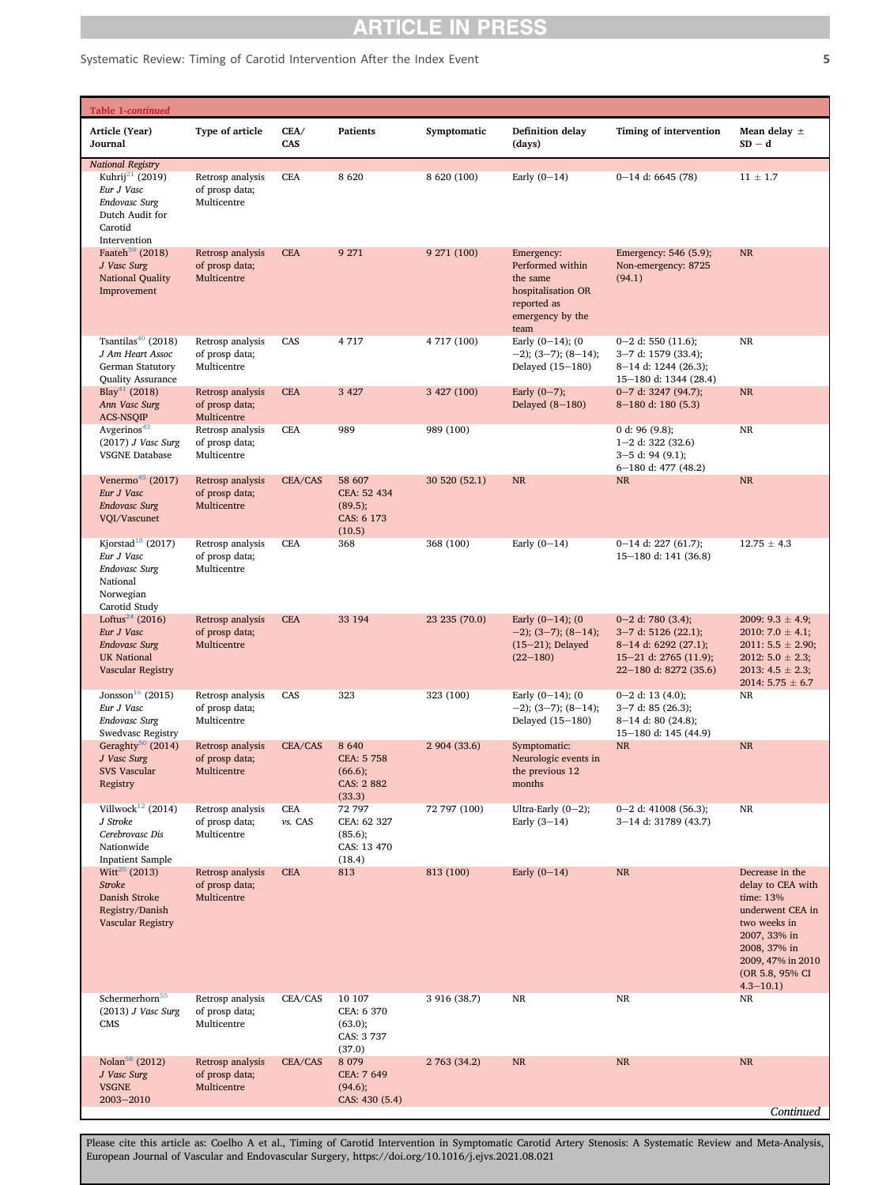### Systematic Review: Timing of Carotid Intervention After the Index Event 5 5

| Table 1-continued                                                                                            |                                                   |                       |                                                           |               |                                                                                                             |                                                                                                                              |                                                                                                                                                                               |
|--------------------------------------------------------------------------------------------------------------|---------------------------------------------------|-----------------------|-----------------------------------------------------------|---------------|-------------------------------------------------------------------------------------------------------------|------------------------------------------------------------------------------------------------------------------------------|-------------------------------------------------------------------------------------------------------------------------------------------------------------------------------|
| Article (Year)<br>Journal                                                                                    | Type of article                                   | CEA/<br>CAS           | Patients                                                  | Symptomatic   | <b>Definition delay</b><br>(days)                                                                           | Timing of intervention                                                                                                       | Mean delay $\pm$<br>$SD - d$                                                                                                                                                  |
| <b>National Registry</b><br>Kuhrij <sup>21</sup> (2019)                                                      | Retrosp analysis                                  | <b>CEA</b>            | 8620                                                      | 8 620 (100)   | Early $(0-14)$                                                                                              | $0-14$ d: 6645 (78)                                                                                                          | $11 \pm 1.7$                                                                                                                                                                  |
| Eur J Vasc<br>Endovasc Surg<br>Dutch Audit for<br>Carotid<br>Intervention                                    | of prosp data;<br>Multicentre                     |                       |                                                           |               |                                                                                                             |                                                                                                                              |                                                                                                                                                                               |
| Faateh <sup>39</sup> (2018)<br>J Vasc Surg<br>National Quality<br>Improvement                                | Retrosp analysis<br>of prosp data;<br>Multicentre | <b>CEA</b>            | 9 271                                                     | 9 271 (100)   | Emergency:<br>Performed within<br>the same<br>hospitalisation OR<br>reported as<br>emergency by the<br>team | Emergency: 546 (5.9);<br>Non-emergency: 8725<br>(94.1)                                                                       | <b>NR</b>                                                                                                                                                                     |
| Tsantilas <sup>40</sup> (2018)<br>J Am Heart Assoc<br>German Statutory<br>Quality Assurance                  | Retrosp analysis<br>of prosp data;<br>Multicentre | CAS                   | 4717                                                      | 4 717 (100)   | Early $(0-14)$ ; $(0$<br>$-2$ ); (3-7); (8-14);<br>Delayed (15-180)                                         | $0-2$ d: 550 (11.6);<br>3-7 d: 1579 (33.4);<br>$8-14$ d: 1244 (26.3);<br>15-180 d: 1344 (28.4)                               | NR                                                                                                                                                                            |
| Blay <sup>41</sup> (2018)<br>Ann Vasc Surg<br><b>ACS-NSQIP</b>                                               | Retrosp analysis<br>of prosp data;<br>Multicentre | <b>CEA</b>            | 3 4 2 7                                                   | 3 427 (100)   | Early $(0-7)$ ;<br>Delayed $(8-180)$                                                                        | $0 - 7$ d: 3247 (94.7);<br>$8-180$ d: 180 (5.3)                                                                              | <b>NR</b>                                                                                                                                                                     |
| Avgerinos <sup>43</sup><br>$(2017)$ J Vasc Surg<br><b>VSGNE Database</b>                                     | Retrosp analysis<br>of prosp data;<br>Multicentre | <b>CEA</b>            | 989                                                       | 989 (100)     |                                                                                                             | 0 d: 96 $(9.8)$ ;<br>$1-2$ d: 322 (32.6)<br>$3-5$ d: 94 (9.1);<br>$6-180$ d: 477 (48.2)                                      | $_{\rm NR}$                                                                                                                                                                   |
| Venermo <sup>45</sup> (2017)<br>Eur J Vasc<br><b>Endovasc Surg</b><br>VQI/Vascunet                           | Retrosp analysis<br>of prosp data;<br>Multicentre | CEA/CAS               | 58 607<br>CEA: 52 434<br>(89.5);<br>CAS: 6 173<br>(10.5)  | 30 520 (52.1) | <b>NR</b>                                                                                                   | <b>NR</b>                                                                                                                    | <b>NR</b>                                                                                                                                                                     |
| Kjorstad <sup>18</sup> (2017)<br>Eur J Vasc<br>Endovasc Surg<br>National<br>Norwegian<br>Carotid Study       | Retrosp analysis<br>of prosp data;<br>Multicentre | <b>CEA</b>            | 368                                                       | 368 (100)     | Early $(0-14)$                                                                                              | $0-14$ d: 227 (61.7);<br>15-180 d: 141 (36.8)                                                                                | $12.75 \pm 4.3$                                                                                                                                                               |
| Loftus <sup>24</sup> (2016)<br>Eur J Vasc<br><b>Endovasc Surg</b><br><b>UK National</b><br>Vascular Registry | Retrosp analysis<br>of prosp data;<br>Multicentre | <b>CEA</b>            | 33 194                                                    | 23 235 (70.0) | Early $(0-14)$ ; $(0$<br>$-2$ ; (3-7); (8-14);<br>$(15-21)$ ; Delayed<br>$(22 - 180)$                       | $0 - 2$ d: 780 (3.4);<br>$3-7$ d: 5126 (22.1);<br>$8-14$ d: 6292 (27.1);<br>$15-21$ d: 2765 (11.9);<br>22-180 d: 8272 (35.6) | 2009: $9.3 \pm 4.9$ ;<br>2010: $7.0 \pm 4.1$ ;<br>$2011: 5.5 \pm 2.90;$<br>2012: $5.0 \pm 2.3$ ;<br>2013: $4.5 \pm 2.3$ ;<br>2014: $5.75 \pm 6.7$                             |
| Jonsson <sup>16</sup> (2015)<br>Eur J Vasc<br>Endovasc Surg<br><b>Swedvasc Registry</b>                      | Retrosp analysis<br>of prosp data;<br>Multicentre | CAS                   | 323                                                       | 323 (100)     | Early $(0-14)$ ; $(0$<br>$-2$ ); (3-7); (8-14);<br>Delayed (15-180)                                         | $0-2$ d: 13 (4.0);<br>$3-7$ d: 85 (26.3);<br>$8-14$ d: 80 (24.8);<br>15-180 d: 145 (44.9)                                    | NR                                                                                                                                                                            |
| Geraghty <sup>50</sup> (2014)<br>J Vasc Surg<br>SVS Vascular<br>Registry                                     | Retrosp analysis<br>of prosp data;<br>Multicentre | CEA/CAS               | 8 6 4 0<br>CEA: 5 758<br>(66.6);<br>CAS: 2 882<br>(33.3)  | 2 904 (33.6)  | Symptomatic:<br>Neurologic events in<br>the previous 12<br>months                                           | <b>NR</b>                                                                                                                    | NR                                                                                                                                                                            |
| Villwock <sup>12</sup> (2014)<br>J Stroke<br>Cerebrovasc Dis<br>Nationwide<br><b>Inpatient Sample</b>        | Retrosp analysis<br>of prosp data;<br>Multicentre | <b>CEA</b><br>vs. CAS | 72 797<br>CEA: 62 327<br>(85.6);<br>CAS: 13 470<br>(18.4) | 72 797 (100)  | Ultra-Early $(0-2)$ ;<br>Early $(3-14)$                                                                     | $0 - 2$ d: 41008 (56.3);<br>3-14 d: 31789 (43.7)                                                                             | NR                                                                                                                                                                            |
| Witt <sup>25</sup> (2013)<br>Stroke<br>Danish Stroke<br>Registry/Danish<br>Vascular Registry                 | Retrosp analysis<br>of prosp data;<br>Multicentre | <b>CEA</b>            | 813                                                       | 813 (100)     | Early $(0-14)$                                                                                              | $\rm NR$                                                                                                                     | Decrease in the<br>delay to CEA with<br>time: 13%<br>underwent CEA in<br>two weeks in<br>2007, 33% in<br>2008, 37% in<br>2009, 47% in 2010<br>(OR 5.8, 95% CI<br>$4.3 - 10.1$ |
| Schermerhorn <sup>55</sup><br>$(2013)$ J Vasc Surg<br><b>CMS</b>                                             | Retrosp analysis<br>of prosp data;<br>Multicentre | CEA/CAS               | 10 107<br>CEA: 6 370<br>(63.0);<br>CAS: 3737<br>(37.0)    | 3 916 (38.7)  | $\rm NR$                                                                                                    | $\rm NR$                                                                                                                     | NR                                                                                                                                                                            |
| Nolan <sup>58</sup> (2012)<br>J Vasc Surg<br><b>VSGNE</b><br>$2003 - 2010$                                   | Retrosp analysis<br>of prosp data;<br>Multicentre | CEA/CAS               | 8 0 7 9<br>CEA: 7 649<br>(94.6);<br>CAS: 430 (5.4)        | 2 763 (34.2)  | $\rm NR$                                                                                                    | <b>NR</b>                                                                                                                    | NR                                                                                                                                                                            |
|                                                                                                              |                                                   |                       |                                                           |               |                                                                                                             |                                                                                                                              | Continued                                                                                                                                                                     |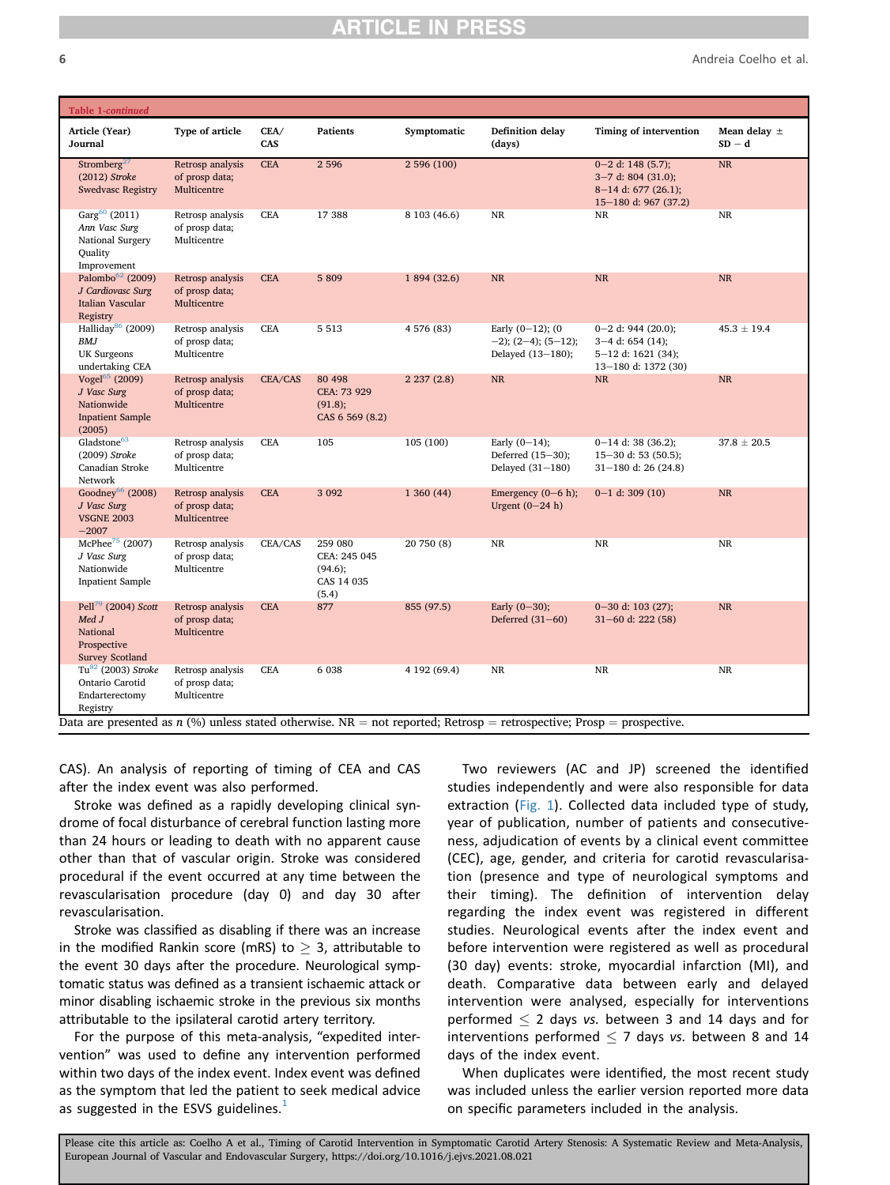6 Andreia Coelho et al.

| Table 1-continued                                                                             |                                                    |             |                                                           |              |                                                                                                                         |                                                                                                |                              |
|-----------------------------------------------------------------------------------------------|----------------------------------------------------|-------------|-----------------------------------------------------------|--------------|-------------------------------------------------------------------------------------------------------------------------|------------------------------------------------------------------------------------------------|------------------------------|
| Article (Year)<br>Journal                                                                     | Type of article                                    | CEA/<br>CAS | <b>Patients</b>                                           | Symptomatic  | <b>Definition delay</b><br>(days)                                                                                       | Timing of intervention                                                                         | Mean delay $\pm$<br>$SD - d$ |
| Stromberg <sup>27</sup><br>$(2012)$ Stroke<br><b>Swedvasc Registry</b>                        | Retrosp analysis<br>of prosp data;<br>Multicentre  | <b>CEA</b>  | 2 5 9 6                                                   | 2 596 (100)  |                                                                                                                         | $0 - 2$ d: 148 (5.7);<br>$3-7$ d: 804 (31.0);<br>$8-14$ d: 677 (26.1);<br>15-180 d: 967 (37.2) | NR                           |
| Garg <sup>60</sup> (2011)<br>Ann Vasc Surg<br>National Surgery<br>Quality<br>Improvement      | Retrosp analysis<br>of prosp data;<br>Multicentre  | CEA         | 17 388                                                    | 8 103 (46.6) | $\rm NR$                                                                                                                | NR                                                                                             | $\rm NR$                     |
| Palombo <sup>62</sup> (2009)<br>J Cardiovasc Surg<br>Italian Vascular<br>Registry             | Retrosp analysis<br>of prosp data;<br>Multicentre  | <b>CEA</b>  | 5 8 0 9                                                   | 1 894 (32.6) | <b>NR</b>                                                                                                               | $\rm NR$                                                                                       | <b>NR</b>                    |
| Halliday <sup>86</sup> (2009)<br><b>BMJ</b><br><b>UK Surgeons</b><br>undertaking CEA          | Retrosp analysis<br>of prosp data;<br>Multicentre  | <b>CEA</b>  | 5 5 1 3                                                   | 4 576 (83)   | Early $(0-12)$ ; $(0$<br>$-2$ ); (2-4); (5-12);<br>Delayed (13-180);                                                    | $0 - 2$ d: 944 (20.0);<br>$3-4$ d: 654 (14);<br>$5-12$ d: 1621 (34);<br>13-180 d: 1372 (30)    | $45.3 \pm 19.4$              |
| Vogel <sup>65</sup> (2009)<br>J Vasc Surg<br>Nationwide<br><b>Inpatient Sample</b><br>(2005)  | Retrosp analysis<br>of prosp data;<br>Multicentre  | CEA/CAS     | 80 498<br>CEA: 73 929<br>(91.8);<br>CAS 6 569 (8.2)       | 2237(2.8)    | NR                                                                                                                      | $\rm NR$                                                                                       | <b>NR</b>                    |
| Gladstone <sup>63</sup><br>(2009) Stroke<br>Canadian Stroke<br>Network                        | Retrosp analysis<br>of prosp data;<br>Multicentre  | <b>CEA</b>  | 105                                                       | 105 (100)    | Early $(0-14)$ ;<br>Deferred (15-30);<br>Delayed $(31-180)$                                                             | $0-14$ d: 38 (36.2);<br>$15 - 30$ d: 53 (50.5);<br>$31 - 180$ d: 26 (24.8)                     | $37.8 \pm 20.5$              |
| Goodney <sup>66</sup> (2008)<br>J Vasc Surg<br><b>VSGNE 2003</b><br>$-2007$                   | Retrosp analysis<br>of prosp data;<br>Multicentree | <b>CEA</b>  | 3 0 9 2                                                   | 1 360 (44)   | Emergency $(0-6 h)$ ;<br>Urgent $(0-24 h)$                                                                              | $0-1$ d: 309 (10)                                                                              | <b>NR</b>                    |
| McPhee <sup>75</sup> (2007)<br>J Vasc Surg<br>Nationwide<br><b>Inpatient Sample</b>           | Retrosp analysis<br>of prosp data;<br>Multicentre  | CEA/CAS     | 259 080<br>CEA: 245 045<br>(94.6);<br>CAS 14 035<br>(5.4) | 20 750 (8)   | NR                                                                                                                      | NR                                                                                             | NR                           |
| Pell <sup>79</sup> (2004) Scott<br>Med J<br>National<br>Prospective<br><b>Survey Scotland</b> | Retrosp analysis<br>of prosp data;<br>Multicentre  | <b>CEA</b>  | 877                                                       | 855 (97.5)   | Early $(0-30)$ ;<br>Deferred $(31-60)$                                                                                  | $0 - 30$ d: 103 (27);<br>$31 - 60$ d: 222 (58)                                                 | <b>NR</b>                    |
| $Tu82$ (2003) Stroke<br>Ontario Carotid<br>Endarterectomy<br>Registry                         | Retrosp analysis<br>of prosp data;<br>Multicentre  | <b>CEA</b>  | 6 0 38                                                    | 4 192 (69.4) | NR                                                                                                                      | NR                                                                                             | NR                           |
|                                                                                               |                                                    |             |                                                           |              | Data are presented as $n$ (%) unless stated otherwise. NR = not reported; Retrosp = retrospective; Prosp = prospective. |                                                                                                |                              |

CAS). An analysis of reporting of timing of CEA and CAS after the index event was also performed.

Stroke was defined as a rapidly developing clinical syndrome of focal disturbance of cerebral function lasting more than 24 hours or leading to death with no apparent cause other than that of vascular origin. Stroke was considered procedural if the event occurred at any time between the revascularisation procedure (day 0) and day 30 after revascularisation.

Stroke was classified as disabling if there was an increase in the modified Rankin score (mRS) to  $> 3$ , attributable to the event 30 days after the procedure. Neurological symptomatic status was defined as a transient ischaemic attack or minor disabling ischaemic stroke in the previous six months attributable to the ipsilateral carotid artery territory.

For the purpose of this meta-analysis, "expedited intervention" was used to define any intervention performed within two days of the index event. Index event was defined as the symptom that led the patient to seek medical advice as suggested in the ESVS guidelines. $<sup>1</sup>$  $<sup>1</sup>$  $<sup>1</sup>$ </sup>

Two reviewers (AC and JP) screened the identified studies independently and were also responsible for data extraction ([Fig. 1](#page-1-0)). Collected data included type of study, year of publication, number of patients and consecutiveness, adjudication of events by a clinical event committee (CEC), age, gender, and criteria for carotid revascularisation (presence and type of neurological symptoms and their timing). The definition of intervention delay regarding the index event was registered in different studies. Neurological events after the index event and before intervention were registered as well as procedural (30 day) events: stroke, myocardial infarction (MI), and death. Comparative data between early and delayed intervention were analysed, especially for interventions performed  $\leq$  2 days vs. between 3 and 14 days and for interventions performed  $\leq$  7 days vs. between 8 and 14 days of the index event.

When duplicates were identified, the most recent study was included unless the earlier version reported more data on specific parameters included in the analysis.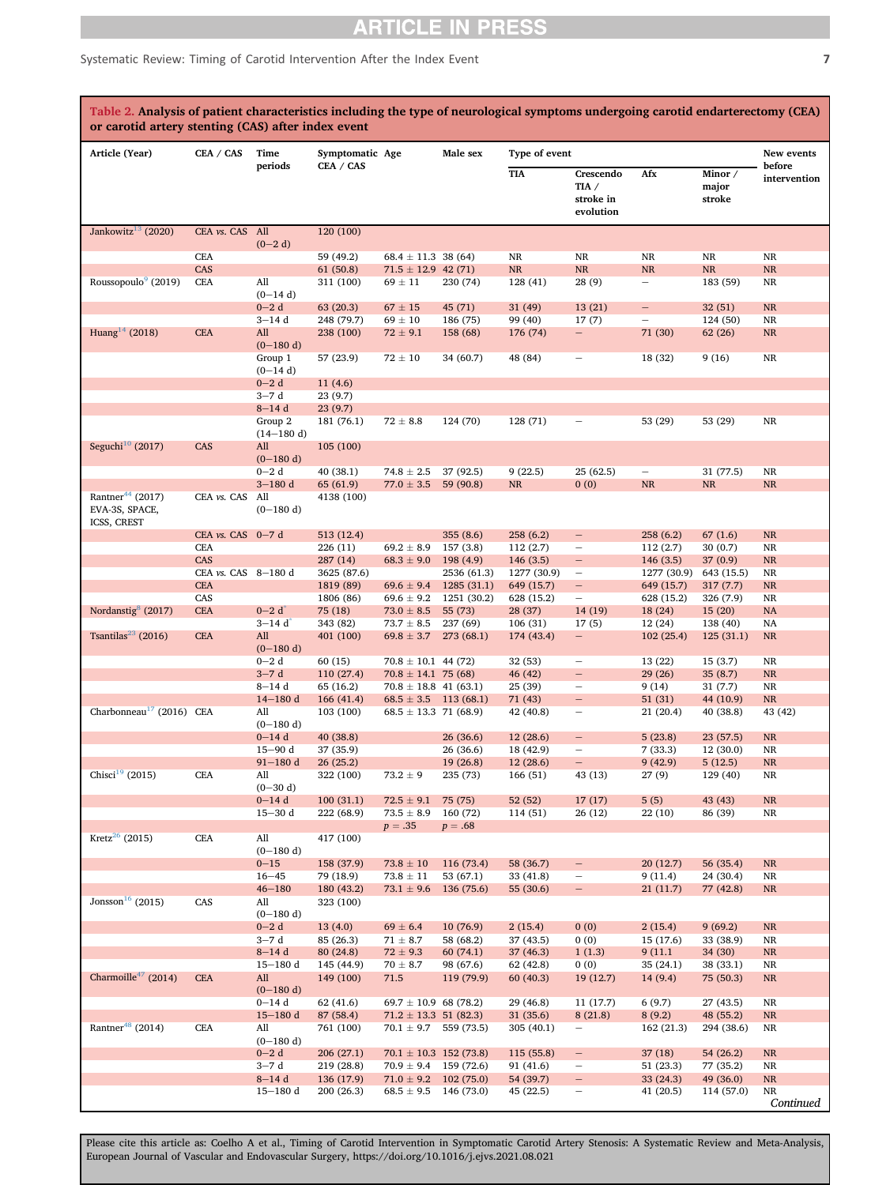### Systematic Review: Timing of Carotid Intervention After the Index Event 7 7

<span id="page-6-0"></span>

| Table 2. Analysis of patient characteristics including the type of neurological symptoms undergoing carotid endarterectomy (CEA)<br>or carotid artery stenting (CAS) after index event |                      |                         |                         |                            |             |               |                                                |                          |                            |                        |
|----------------------------------------------------------------------------------------------------------------------------------------------------------------------------------------|----------------------|-------------------------|-------------------------|----------------------------|-------------|---------------|------------------------------------------------|--------------------------|----------------------------|------------------------|
| Article (Year)                                                                                                                                                                         | CEA / CAS            | Time                    | Symptomatic Age         |                            | Male sex    | Type of event |                                                |                          |                            | New events             |
|                                                                                                                                                                                        |                      | periods                 | CEA / CAS               |                            |             | <b>TIA</b>    | Crescendo<br>TIA $/$<br>stroke in<br>evolution | Afx                      | Minor /<br>major<br>stroke | before<br>intervention |
| Jankowitz <sup>13</sup> (2020)                                                                                                                                                         | CEA vs. CAS All      |                         | 120 (100)               |                            |             |               |                                                |                          |                            |                        |
|                                                                                                                                                                                        |                      | $(0-2d)$                |                         |                            |             |               |                                                |                          |                            |                        |
|                                                                                                                                                                                        | <b>CEA</b>           |                         | 59 (49.2)               | $68.4 \pm 11.3$ 38 (64)    |             | <b>NR</b>     | NR                                             | <b>NR</b>                | NR                         | <b>NR</b>              |
| Roussopoulo <sup>9</sup> (2019)                                                                                                                                                        | CAS                  |                         | 61(50.8)                | $71.5 \pm 12.9$ 42 (71)    |             | $\rm NR$      | $\rm NR$                                       | $\rm NR$                 | NR                         | NR                     |
|                                                                                                                                                                                        | <b>CEA</b>           | All<br>$(0-14d)$        | 311 (100)               | $69 \pm 11$                | 230 (74)    | 128 (41)      | 28 (9)                                         | $\overline{\phantom{a}}$ | 183 (59)                   | <b>NR</b>              |
|                                                                                                                                                                                        |                      | $0 - 2d$                | 63(20.3)                | $67 \pm 15$                | 45 (71)     | 31 (49)       | 13(21)                                         | $\overline{\phantom{a}}$ | 32(51)                     | $\rm NR$               |
|                                                                                                                                                                                        |                      | $3 - 14d$               | 248 (79.7)              | $69\pm10$                  | 186 (75)    | 99 (40)       | 17(7)                                          |                          | 124 (50)                   | NR                     |
| Huang <sup>14</sup> (2018)                                                                                                                                                             | <b>CEA</b>           | All                     | 238 (100)               | $72 \pm 9.1$               | 158 (68)    | 176 (74)      | $\qquad \qquad -$                              | 71 (30)                  | 62 (26)                    | NR                     |
|                                                                                                                                                                                        |                      | $(0-180 d)$<br>Group 1  | 57 (23.9)               | $72 \pm 10$                | 34 (60.7)   | 48 (84)       |                                                | 18 (32)                  | 9(16)                      | NR                     |
|                                                                                                                                                                                        |                      | $(0-14d)$               |                         |                            |             |               |                                                |                          |                            |                        |
|                                                                                                                                                                                        |                      | $0 - 2d$                | 11(4.6)                 |                            |             |               |                                                |                          |                            |                        |
|                                                                                                                                                                                        |                      | $3-7d$                  | 23(9.7)                 |                            |             |               |                                                |                          |                            |                        |
|                                                                                                                                                                                        |                      | $8 - 14d$               | 23(9.7)                 |                            |             |               |                                                |                          |                            |                        |
|                                                                                                                                                                                        |                      | Group 2                 | 181 (76.1)              | $72 \pm 8.8$               | 124 (70)    | 128 (71)      |                                                | 53 (29)                  | 53 (29)                    | NR                     |
| Seguchi <sup>10</sup> (2017)                                                                                                                                                           | CAS                  | $(14-180d)$<br>All      | 105(100)                |                            |             |               |                                                |                          |                            |                        |
|                                                                                                                                                                                        |                      | $(0-180 d)$             |                         |                            |             |               |                                                |                          |                            |                        |
|                                                                                                                                                                                        |                      | $0 - 2d$                | 40 (38.1)               | $74.8 \pm 2.5$             | 37 (92.5)   | 9(22.5)       | 25 (62.5)                                      | $\overline{\phantom{a}}$ | 31 (77.5)                  | <b>NR</b>              |
|                                                                                                                                                                                        |                      | $3 - 180$ d             | 65 (61.9)               | $77.0 \pm 3.5$             | 59 (90.8)   | $\rm NR$      | 0(0)                                           | NR                       | NR                         | NR                     |
| Rantner <sup>44</sup> (2017)<br>EVA-3S, SPACE,                                                                                                                                         | CEA vs. CAS          | All<br>$(0-180 d)$      | 4138 (100)              |                            |             |               |                                                |                          |                            |                        |
| ICSS, CREST                                                                                                                                                                            | CEA $vs.$ CAS $0-7d$ |                         | 513 (12.4)              |                            | 355(8.6)    | 258 (6.2)     | -                                              | 258(6.2)                 | 67(1.6)                    | <b>NR</b>              |
|                                                                                                                                                                                        | <b>CEA</b>           |                         | 226 (11)                | $69.2\,\pm\,8.9$           | 157 (3.8)   | 112 (2.7)     | $\qquad \qquad -$                              | 112(2.7)                 | 30(0.7)                    | <b>NR</b>              |
|                                                                                                                                                                                        | CAS                  |                         | 287(14)                 | $68.3 \pm 9.0$             | 198 (4.9)   | 146 (3.5)     | $\qquad \qquad -$                              | 146(3.5)                 | 37 (0.9)                   | NR                     |
|                                                                                                                                                                                        | CEA vs. CAS 8-180 d  |                         | 3625 (87.6)             |                            | 2536 (61.3) | 1277 (30.9)   | $\overline{\phantom{m}}$                       | 1277 (30.9)              | 643 (15.5)                 | NR                     |
|                                                                                                                                                                                        | <b>CEA</b>           |                         | 1819 (89)               | $69.6 \pm 9.4$             | 1285(31.1)  | 649 (15.7)    | $\overline{\phantom{0}}$                       | 649 (15.7)               | 317(7.7)                   | NR                     |
|                                                                                                                                                                                        | CAS                  |                         | 1806 (86)               | $69.6 \pm 9.2$             | 1251 (30.2) | 628 (15.2)    | $\qquad \qquad -$                              | 628 (15.2)               | 326 (7.9)                  | <b>NR</b>              |
| Nordanstig <sup>8</sup> (2017)                                                                                                                                                         | <b>CEA</b>           | $0 - 2 d$               | 75 (18)                 | $73.0 \pm 8.5$             | 55 (73)     | 28 (37)       | 14(19)                                         | 18 (24)                  | 15(20)                     | <b>NA</b>              |
|                                                                                                                                                                                        |                      | $3 - 14d$               | 343 (82)                | $73.7 \pm 8.5$             | 237 (69)    | 106 (31)      | 17(5)                                          | 12 (24)                  | 138 (40)                   | NA                     |
| Tsantilas <sup>23</sup> (2016)                                                                                                                                                         | <b>CEA</b>           | All                     | 401 (100)               | $69.8 \pm 3.7$             | 273 (68.1)  | 174 (43.4)    | $\qquad \qquad -$                              | 102(25.4)                | 125(31.1)                  | <b>NR</b>              |
|                                                                                                                                                                                        |                      | $(0-180 d)$<br>$0 - 2d$ | 60(15)                  | $70.8 \pm 10.1$ 44 (72)    |             | 32 (53)       | $\qquad \qquad -$                              | 13 (22)                  | 15(3.7)                    | <b>NR</b>              |
|                                                                                                                                                                                        |                      | $3 - 7d$                | 110 (27.4)              | $70.8 \pm 14.1$ 75 (68)    |             | 46 (42)       | $\qquad \qquad -$                              | 29 (26)                  | 35(8.7)                    | <b>NR</b>              |
|                                                                                                                                                                                        |                      | $8 - 14d$               | 65 (16.2)               | $70.8 \pm 18.8$ 41 (63.1)  |             | 25 (39)       | $\qquad \qquad -$                              | 9(14)                    | 31 (7.7)                   | <b>NR</b>              |
|                                                                                                                                                                                        |                      | $14 - 180$ d            | 166(41.4)               | $68.5 \pm 3.5$ 113 (68.1)  |             | 71 (43)       | $\qquad \qquad -$                              | 51(31)                   | 44 (10.9)                  | NR                     |
| Charbonneau <sup>17</sup> (2016) CEA                                                                                                                                                   |                      | All                     | 103 (100)               | $68.5 \pm 13.3$ 71 (68.9)  |             | 42 (40.8)     | $\overline{\phantom{m}}$                       | 21(20.4)                 | 40 (38.8)                  | 43 (42)                |
|                                                                                                                                                                                        |                      | $(0-180 d)$             |                         |                            |             |               |                                                |                          |                            |                        |
|                                                                                                                                                                                        |                      | $0 - 14d$               | 40 (38.8)               |                            | 26(36.6)    | 12(28.6)      | $\qquad \qquad -$                              | 5(23.8)                  | 23 (57.5)                  | NR                     |
|                                                                                                                                                                                        |                      | $15 - 90$ d             | 37 (35.9)               |                            | 26(36.6)    | 18 (42.9)     | $\qquad \qquad -$                              | 7(33.3)                  | 12 (30.0)                  | NR                     |
| Chisci <sup>19</sup> (2015)                                                                                                                                                            |                      | $91 - 180$ d            | 26(25.2)                |                            | 19(26.8)    | 12(28.6)      |                                                | 9(42.9)                  | 5(12.5)                    | <b>NR</b>              |
|                                                                                                                                                                                        | <b>CEA</b>           | All<br>$(0-30 d)$       | 322 (100)               | $73.2\pm9$                 | 235 (73)    | 166 (51)      | 43 (13)                                        | 27 (9)                   | 129 (40)                   | NR                     |
|                                                                                                                                                                                        |                      | $0 - 14$ d              | 100(31.1)               | $72.5 \pm 9.1$             | 75 (75)     | 52 (52)       | 17(17)                                         | 5(5)                     | 43 (43)                    | NR                     |
|                                                                                                                                                                                        |                      | $15 - 30$ d             | 222 (68.9)              | $73.5 \pm 8.9$             | 160 (72)    | 114 (51)      | 26 (12)                                        | 22 (10)                  | 86 (39)                    | $\rm NR$               |
|                                                                                                                                                                                        |                      |                         |                         | $p=.35$                    | $p=.68$     |               |                                                |                          |                            |                        |
| Kretz <sup>26</sup> (2015)                                                                                                                                                             | <b>CEA</b>           | All                     | 417 (100)               |                            |             |               |                                                |                          |                            |                        |
|                                                                                                                                                                                        |                      | $(0-180d)$              |                         |                            |             |               |                                                |                          |                            |                        |
|                                                                                                                                                                                        |                      | $0 - 15$                | 158 (37.9)              | $73.8\pm10$                | 116 (73.4)  | 58 (36.7)     | $\overline{\phantom{0}}$                       | 20(12.7)                 | 56 (35.4)                  | NR                     |
|                                                                                                                                                                                        |                      | $16 - 45$               | 79 (18.9)               | $73.8 \pm 11$              | 53 (67.1)   | 33 (41.8)     | $\qquad \qquad -$                              | 9(11.4)                  | 24 (30.4)                  | NR                     |
| Jonsson <sup>16</sup> (2015)                                                                                                                                                           | CAS                  | $46 - 180$              | 180 (43.2)<br>323 (100) | $73.1 \pm 9.6$             | 136 (75.6)  | 55 (30.6)     | $\overline{\phantom{0}}$                       | 21(11.7)                 | 77 (42.8)                  | <b>NR</b>              |
|                                                                                                                                                                                        |                      | All<br>$(0-180 d)$      |                         |                            |             |               |                                                |                          |                            |                        |
|                                                                                                                                                                                        |                      | $0 - 2d$                | 13(4.0)                 | $69\pm6.4$                 | 10(76.9)    | 2(15.4)       | 0(0)                                           | 2(15.4)                  | 9(69.2)                    | <b>NR</b>              |
|                                                                                                                                                                                        |                      | $3-7d$                  | 85 (26.3)               | $71\,\pm\,8.7$             | 58 (68.2)   | 37 (43.5)     | 0(0)                                           | 15 (17.6)                | 33 (38.9)                  | <b>NR</b>              |
|                                                                                                                                                                                        |                      | $8-14d$                 | 80 (24.8)               | $72 \pm 9.3$               | 60(74.1)    | 37(46.3)      | 1(1.3)                                         | 9(11.1)                  | 34 (30)                    | <b>NR</b>              |
|                                                                                                                                                                                        |                      | $15 - 180$ d            | 145 (44.9)              | $70\pm8.7$                 | 98 (67.6)   | 62 (42.8)     | 0(0)                                           | 35 (24.1)                | 38 (33.1)                  | NR                     |
| Charmoille <sup>47</sup> (2014)                                                                                                                                                        | <b>CEA</b>           | All<br>$(0-180 d)$      | 149 (100)               | 71.5                       | 119 (79.9)  | 60(40.3)      | 19 (12.7)                                      | 14(9.4)                  | 75 (50.3)                  | NR                     |
|                                                                                                                                                                                        |                      | $0 - 14$ d              | 62 (41.6)               | $69.7 \pm 10.9$ 68 (78.2)  |             | 29 (46.8)     | 11 (17.7)                                      | 6(9.7)                   | 27 (43.5)                  | NR                     |
|                                                                                                                                                                                        |                      | $15 - 180$ d            | 87 (58.4)               | $71.2 \pm 13.3$ 51 (82.3)  |             | 31(35.6)      | 8(21.8)                                        | 8(9.2)                   | 48 (55.2)                  | NR                     |
| Rantner <sup>48</sup> (2014)                                                                                                                                                           | <b>CEA</b>           | All                     | 761 (100)               | $70.1 \pm 9.7$ 559 (73.5)  |             | 305 (40.1)    | $\qquad \qquad -$                              | 162 (21.3)               | 294 (38.6)                 | NR                     |
|                                                                                                                                                                                        |                      | $(0-180 d)$             |                         |                            |             |               |                                                |                          |                            |                        |
|                                                                                                                                                                                        |                      | $0 - 2d$                | 206 (27.1)              | $70.1 \pm 10.3$ 152 (73.8) |             | 115 (55.8)    | -                                              | 37(18)                   | 54 (26.2)                  | <b>NR</b>              |
|                                                                                                                                                                                        |                      | $3-7d$                  | 219 (28.8)              | $70.9 \pm 9.4$ 159 (72.6)  |             | 91 (41.6)     | $\overline{\phantom{0}}$                       | 51 (23.3)                | 77 (35.2)                  | NR                     |
|                                                                                                                                                                                        |                      | $8 - 14d$               | 136 (17.9)              | $71.0 \pm 9.2$ 102 (75.0)  |             | 54 (39.7)     | -                                              | 33 (24.3)                | 49 (36.0)                  | <b>NR</b>              |
|                                                                                                                                                                                        |                      | $15 - 180$ d            | 200 (26.3)              | $68.5 \pm 9.5$ 146 (73.0)  |             | 45 (22.5)     | -                                              | 41 (20.5)                | 114 (57.0)                 | NR<br>Continued        |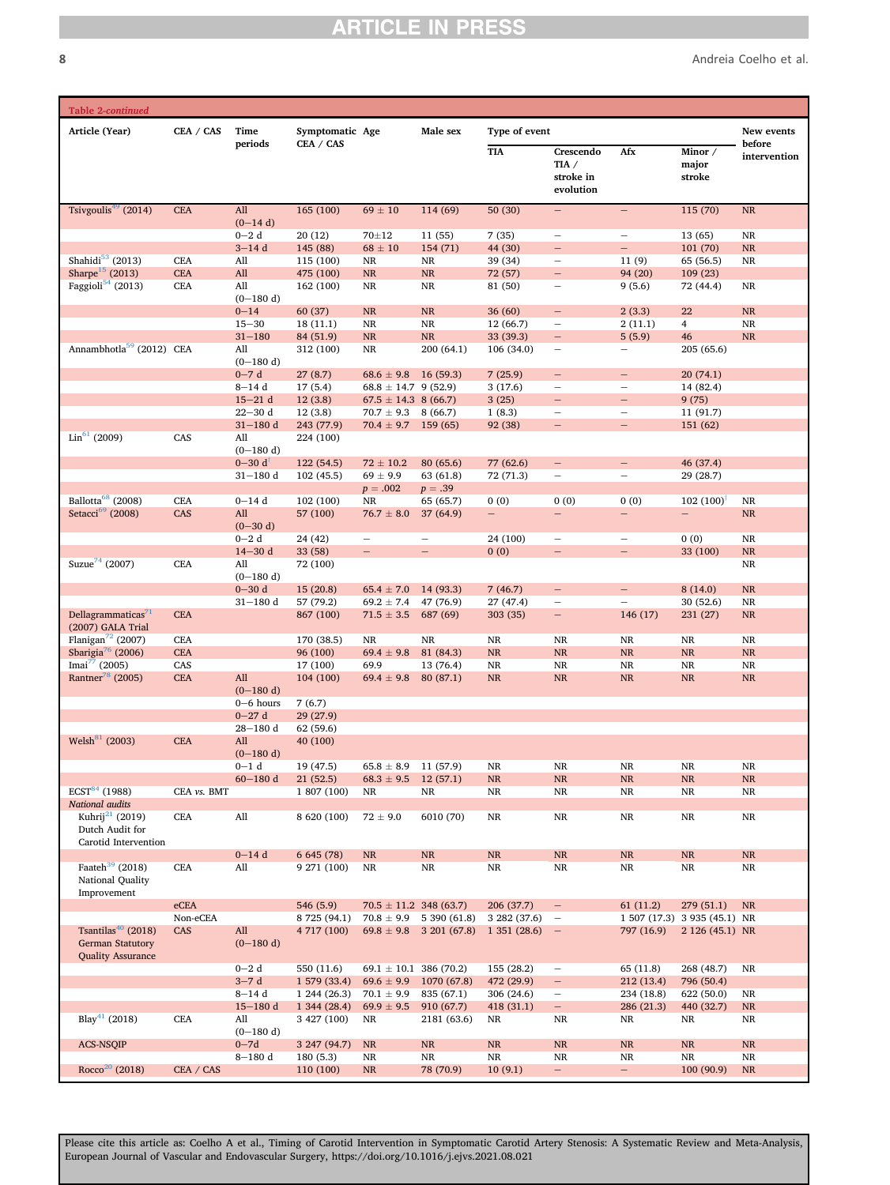8 Andreia Coelho et al.

| Table 2-continued                                                                     |             |                                           |                             |                                                      |                             |                          |                                                      |                                                      |                              |                         |
|---------------------------------------------------------------------------------------|-------------|-------------------------------------------|-----------------------------|------------------------------------------------------|-----------------------------|--------------------------|------------------------------------------------------|------------------------------------------------------|------------------------------|-------------------------|
| Article (Year)                                                                        | CEA / CAS   | Time                                      | Symptomatic Age             |                                                      | Male sex                    | Type of event            |                                                      |                                                      |                              | New events              |
|                                                                                       |             | periods                                   | CEA / CAS                   |                                                      |                             | <b>TIA</b>               | Crescendo<br>TIA $/$<br>stroke in<br>evolution       | Afx                                                  | Minor /<br>major<br>stroke   | before<br>intervention  |
| Tsivgoulis <sup>49</sup> (2014)                                                       | <b>CEA</b>  | All                                       | 165(100)                    | $69\pm10$                                            | 114(69)                     | 50(30)                   |                                                      | $\overline{\phantom{0}}$                             | 115 (70)                     | $\rm NR$                |
|                                                                                       |             | $(0-14d)$<br>$0 - 2d$                     | 20(12)                      | 70±12                                                | 11(55)                      | 7(35)                    | $\overline{\phantom{0}}$                             | $\qquad \qquad -$                                    | 13(65)                       | $\rm NR$                |
|                                                                                       |             | $3-14d$                                   | 145 (88)                    | $68\pm10$                                            | 154 (71)                    | 44 (30)                  | $\qquad \qquad -$                                    | $\overline{\phantom{0}}$                             | 101 (70)                     | $\rm NR$                |
| Shahidi $53$ (2013)                                                                   | <b>CEA</b>  | All                                       | 115 (100)                   | $\rm NR$                                             | <b>NR</b>                   | 39 (34)                  | $\overline{\phantom{0}}$                             | 11(9)                                                | 65 (56.5)                    | NR                      |
| Sharpe <sup>15</sup> (2013)<br>Faggioli $54$ (2013)                                   | <b>CEA</b>  | All<br>All                                | 475 (100)                   | NR<br>NR                                             | $\rm NR$<br>NR              | 72 (57)                  | $\overline{\phantom{a}}$                             | 94 (20)                                              | 109(23)<br>72 (44.4)         |                         |
|                                                                                       | <b>CEA</b>  | $(0-180 d)$                               | 162 (100)                   |                                                      |                             | 81 (50)                  | $\overline{\phantom{m}}$                             | 9(5.6)                                               |                              | NR                      |
|                                                                                       |             | $0 - 14$                                  | 60 (37)                     | $\rm NR$                                             | $\rm NR$                    | 36(60)                   | $\overline{\phantom{m}}$                             | 2(3.3)                                               | 22                           | $\rm NR$                |
|                                                                                       |             | $15 - 30$                                 | 18(11.1)                    | $\rm NR$                                             | $\rm NR$                    | 12 (66.7)                | $\overline{\phantom{0}}$                             | 2(11.1)                                              | $\overline{4}$               | NR                      |
| Annambhotla <sup>59</sup> (2012) CEA                                                  |             | $31 - 180$<br>All                         | 84 (51.9)<br>312 (100)      | NR<br>$\rm NR$                                       | NR<br>200 (64.1)            | 33 (39.3)<br>106 (34.0)  | $\overline{\phantom{a}}$<br>$\qquad \qquad -$        | 5(5.9)<br>$\overline{\phantom{0}}$                   | 46<br>205 (65.6)             | NR                      |
|                                                                                       |             | $(0-180 d)$                               |                             |                                                      |                             |                          |                                                      |                                                      |                              |                         |
|                                                                                       |             | $0 - 7d$                                  | 27(8.7)                     | $68.6 \pm 9.8$                                       | 16(59.3)                    | 7(25.9)                  | $\overline{\phantom{0}}$                             | -                                                    | 20(74.1)                     |                         |
|                                                                                       |             | $8 - 14d$<br>$15 - 21$ d                  | 17(5.4)<br>12(3.8)          | $68.8 \pm 14.7$ 9 (52.9)<br>$67.5 \pm 14.3$ 8 (66.7) |                             | 3(17.6)<br>3(25)         | $\overline{\phantom{0}}$<br>$\qquad \qquad -$        | $\overline{\phantom{0}}$<br>$\overline{\phantom{0}}$ | 14 (82.4)<br>9(75)           |                         |
|                                                                                       |             | $22 - 30$ d                               | 12(3.8)                     | $70.7 \pm 9.3$ 8 (66.7)                              |                             | 1(8.3)                   | $\overline{\phantom{a}}$                             | $\qquad \qquad$                                      | 11 (91.7)                    |                         |
|                                                                                       |             | $31 - 180$ d                              | 243 (77.9)                  | $70.4 \pm 9.7$ 159 (65)                              |                             | 92 (38)                  | $\overline{\phantom{a}}$                             | $\qquad \qquad -$                                    | 151 (62)                     |                         |
| $\text{Lin}^{61}$ (2009)                                                              | CAS         | All                                       | 224 (100)                   |                                                      |                             |                          |                                                      |                                                      |                              |                         |
|                                                                                       |             | $(0-180 d)$                               |                             |                                                      |                             |                          |                                                      |                                                      |                              |                         |
|                                                                                       |             | $0 - 30 d^{\dagger}$<br>$31 - 180$ d      | 122 (54.5)<br>102(45.5)     | $72 \pm 10.2$<br>$69 \pm 9.9$                        | 80(65.6)<br>63 (61.8)       | 77 (62.6)<br>72 (71.3)   | $\overline{\phantom{m}}$                             | $\qquad \qquad -$                                    | 46 (37.4)<br>29 (28.7)       |                         |
|                                                                                       |             |                                           |                             | $p=.002$                                             | $p=.39$                     |                          |                                                      |                                                      |                              |                         |
| Ballotta <sup>68</sup> (2008)                                                         | <b>CEA</b>  | $0 - 14d$                                 | 102 (100)                   | NR                                                   | 65 (65.7)                   | 0(0)                     | 0(0)                                                 | 0(0)                                                 | $102(100)^{1/2}$             | NR                      |
| Setacci <sup>69</sup> (2008)                                                          | CAS         | All<br>$(0-30 d)$                         | 57 (100)                    | $76.7 \pm 8.0$                                       | 37 (64.9)                   | $\overline{\phantom{0}}$ | $\qquad \qquad -$                                    | $\equiv$                                             | $\qquad \qquad -$            | NR                      |
|                                                                                       |             | $0 - 2d$                                  | 24 (42)                     | $\overline{\phantom{m}}$                             |                             | 24 (100)                 | $\overline{\phantom{m}}$                             |                                                      | 0(0)                         | $_{\rm NR}$             |
|                                                                                       |             | $14 - 30 d$                               | 33 (58)                     | $\overline{\phantom{0}}$                             | $\overline{\phantom{0}}$    | 0(0)                     | $\overline{\phantom{0}}$                             | $\overline{\phantom{0}}$                             | 33 (100)                     | $\rm NR$                |
| Suzue <sup>74</sup> (2007)                                                            | <b>CEA</b>  | All<br>$(0-180 d)$                        | 72 (100)                    |                                                      |                             |                          |                                                      |                                                      |                              | $\rm NR$                |
|                                                                                       |             | $0 - 30 d$                                | 15(20.8)                    | $65.4 \pm 7.0$                                       | 14 (93.3)                   | 7(46.7)                  | $\overline{\phantom{m}}$                             |                                                      | 8(14.0)                      | $\rm NR$                |
|                                                                                       |             | $31 - 180$ d                              | 57 (79.2)                   | $69.2 \pm 7.4$                                       | 47 (76.9)                   | 27 (47.4)                | $\overline{\phantom{0}}$                             |                                                      | 30(52.6)                     | NR                      |
| Dellagrammaticas <sup>71</sup><br>(2007) GALA Trial                                   | <b>CEA</b>  |                                           | 867 (100)                   | $71.5 \pm 3.5$                                       | 687 (69)                    | 303 (35)                 | $\qquad \qquad -$                                    | 146 (17)                                             | 231(27)                      | NR                      |
| Flanigan <sup>72</sup> (2007)                                                         | <b>CEA</b>  |                                           | 170 (38.5)                  | NR                                                   | NR                          | NR                       | NR                                                   | NR                                                   | <b>NR</b>                    | NR                      |
| Sbarigia <sup>76</sup> (2006)                                                         | <b>CEA</b>  |                                           | 96 (100)                    | $69.4 \pm 9.8$                                       | 81 (84.3)                   | NR                       | NR                                                   | $\rm NR$                                             | $\rm NR$                     | $\rm NR$                |
| Imai $^{77}$ (2005)<br>Rantner <sup>78</sup> (2005)                                   | CAS         |                                           | 17 (100)                    | 69.9                                                 | 13 (76.4)                   | NR                       | <b>NR</b>                                            | <b>NR</b>                                            | <b>NR</b><br>NR              | NR<br>NR                |
|                                                                                       | <b>CEA</b>  | All<br>$(0-180 d)$                        | 104 (100)                   | $69.4 \pm 9.8$                                       | 80(87.1)                    | <b>NR</b>                | NR                                                   | <b>NR</b>                                            |                              |                         |
|                                                                                       |             | $0 - 6$ hours                             | 7(6.7)                      |                                                      |                             |                          |                                                      |                                                      |                              |                         |
|                                                                                       |             | $0 - 27d$                                 | 29 (27.9)                   |                                                      |                             |                          |                                                      |                                                      |                              |                         |
| Welsh <sup>81</sup> (2003)                                                            |             | $28 - 180$ d                              | 62 (59.6)                   |                                                      |                             |                          |                                                      |                                                      |                              |                         |
|                                                                                       | <b>CEA</b>  | All<br>$(0-180 d)$                        | 40 (100)                    |                                                      |                             |                          |                                                      |                                                      |                              |                         |
|                                                                                       |             | $0-1$ d                                   | 19 (47.5)                   | $65.8 \pm 8.9$                                       | 11 (57.9)                   | NR                       | <b>NR</b>                                            | NR                                                   | NR                           | NR                      |
|                                                                                       |             | $60 - 180$ d                              | 21(52.5)                    | $68.3 \pm 9.5$                                       | 12(57.1)                    | $\rm NR$                 | $\rm NR$                                             | $\rm NR$                                             | $\rm NR$                     | $\rm NR$                |
| $\overline{\mathrm{ECST}^{84}}$ (1988)                                                | CEA vs. BMT |                                           | 1 807 (100)                 | NR                                                   | NR                          | NR                       | NR                                                   | NR                                                   | <b>NR</b>                    | $_{\rm NR}$             |
| National audits<br>Kuhrij <sup>21</sup> (2019)                                        | <b>CEA</b>  | $\mathop{\rm All}\nolimits$               | 8 620 (100)                 | $72 \pm 9.0$                                         | 6010 (70)                   | NR                       | $\rm NR$                                             | $\rm NR$                                             | $\rm NR$                     | $\rm NR$                |
| Dutch Audit for                                                                       |             |                                           |                             |                                                      |                             |                          |                                                      |                                                      |                              |                         |
| Carotid Intervention                                                                  |             |                                           | 6 645 (78)                  |                                                      |                             |                          |                                                      |                                                      |                              | NR                      |
| Faateh <sup>39</sup> (2018)                                                           | <b>CEA</b>  | $0 - 14d$<br>All                          | 9 271 (100)                 | NR<br>$\rm NR$                                       | $\rm NR$<br>$\rm NR$        | $\rm NR$<br>$\rm NR$     | $\rm NR$<br>$\rm NR$                                 | $\rm NR$<br>NR                                       | $\rm NR$<br>$\rm NR$         | $_{\rm NR}$             |
| National Quality<br>Improvement                                                       |             |                                           |                             |                                                      |                             |                          |                                                      |                                                      |                              |                         |
|                                                                                       | eCEA        |                                           | 546 (5.9)                   | $70.5 \pm 11.2$ 348 (63.7)                           |                             | 206 (37.7)               | $\overline{\phantom{a}}$                             | 61(11.2)                                             | 279(51.1)                    | <b>NR</b>               |
|                                                                                       | Non-eCEA    |                                           | 8 725 (94.1)                |                                                      | $70.8 \pm 9.9$ 5 390 (61.8) | 3 282 (37.6)             | $\overline{\phantom{a}}$                             |                                                      | 1 507 (17.3) 3 935 (45.1) NR |                         |
| Tsantilas <sup>40</sup> (2018)<br><b>German Statutory</b><br><b>Quality Assurance</b> | CAS         | All<br>$(0-180 d)$                        | 4 717 (100)                 | $69.8 \pm 9.8$                                       | 3201(67.8)                  | 1351(28.6)               | $\hspace{0.1mm}-\hspace{0.1mm}$                      | 797 (16.9)                                           | 2 126 (45.1) NR              |                         |
|                                                                                       |             | $0 - 2d$                                  | 550 (11.6)                  | $69.1 \pm 10.1$ 386 (70.2)                           |                             | 155 (28.2)               | $\overline{\phantom{m}}$                             | 65 (11.8)                                            | 268 (48.7)                   | $_{\rm NR}$             |
|                                                                                       |             | $3-7d$                                    | 1579(33.4)                  | $69.6 \pm 9.9$                                       | 1070 (67.8)                 | 472 (29.9)               | $\overline{\phantom{a}}$                             | 212 (13.4)                                           | 796 (50.4)                   |                         |
|                                                                                       |             | $8-14d$<br>$15 - 180$ d                   | 1 244 (26.3)<br>1,344(28.4) | $70.1 \pm 9.9$<br>$69.9 \pm 9.5$                     | 835 (67.1)<br>910 (67.7)    | 306 (24.6)<br>418 (31.1) | $\overline{\phantom{m}}$<br>$\overline{\phantom{a}}$ | 234 (18.8)<br>286 (21.3)                             | 622 (50.0)<br>440 (32.7)     | NR<br>NR                |
| Blay <sup>41</sup> (2018)                                                             | <b>CEA</b>  | All                                       | 3 427 (100)                 | NR                                                   | 2181 (63.6)                 | NR                       | NR                                                   | NR                                                   | NR                           | NR                      |
|                                                                                       |             | $(0-180 d)$                               |                             |                                                      |                             |                          |                                                      |                                                      |                              |                         |
| <b>ACS-NSQIP</b>                                                                      |             | $0 - 7d$<br>$8\text{--}180\,\,\mathrm{d}$ | 3 247 (94.7)<br>180(5.3)    | NR<br>$\rm NR$                                       | $\rm NR$<br>$\rm NR$        | $\rm NR$<br>NR           | $\rm NR$<br>$\rm NR$                                 | $\rm NR$<br>NR                                       | $\rm NR$<br>$\rm NR$         | $\rm NR$<br>$_{\rm NR}$ |
| Rocco <sup>20</sup> (2018)                                                            | CEA / CAS   |                                           | 110 (100)                   | NR                                                   | 78 (70.9)                   | 10(9.1)                  | $\overline{\phantom{m}}$                             | -                                                    | 100 (90.9)                   | <b>NR</b>               |
|                                                                                       |             |                                           |                             |                                                      |                             |                          |                                                      |                                                      |                              |                         |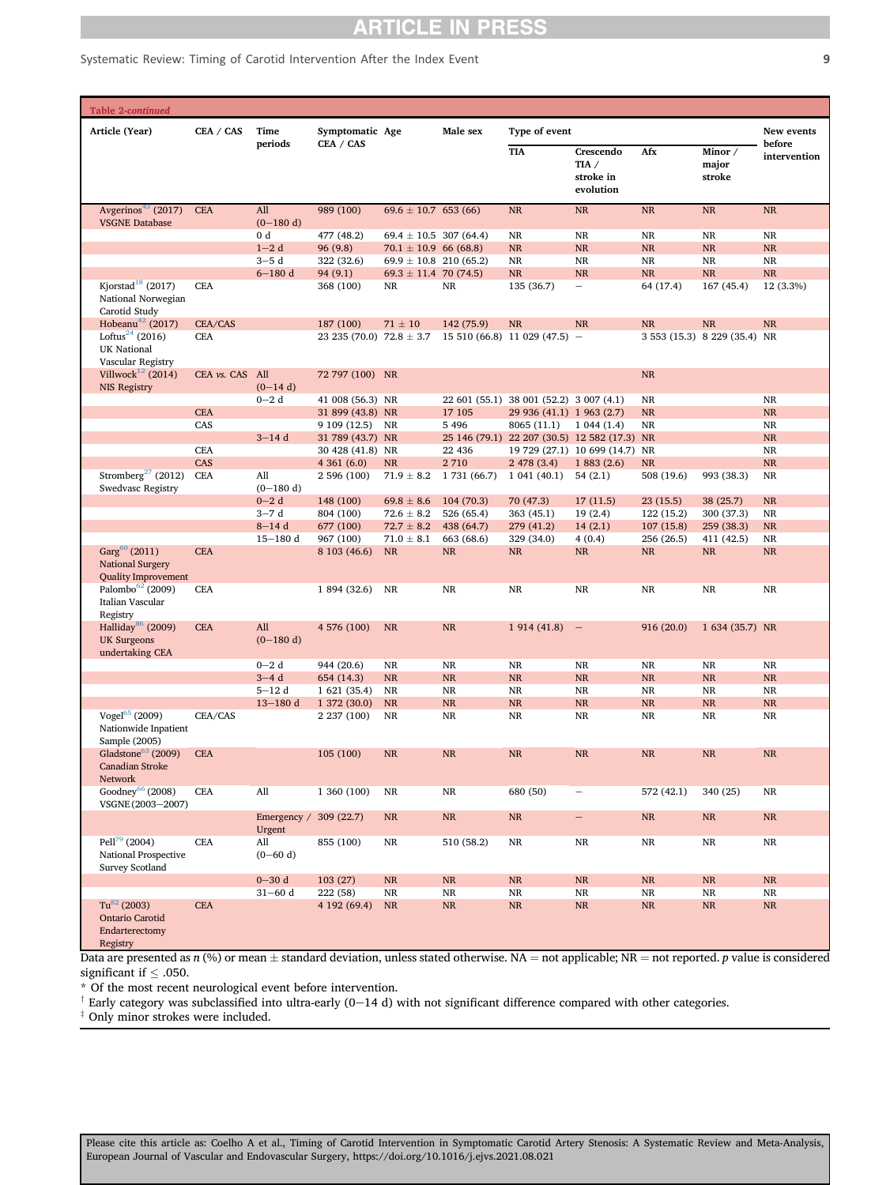Systematic Review: Timing of Carotid Intervention After the Index Event 9

| <b>Table 2-continued</b> |                                                                                                                                                      |                 |                       |                                           |                                        |              |                                              |                                                |                        |                                           |                        |
|--------------------------|------------------------------------------------------------------------------------------------------------------------------------------------------|-----------------|-----------------------|-------------------------------------------|----------------------------------------|--------------|----------------------------------------------|------------------------------------------------|------------------------|-------------------------------------------|------------------------|
|                          | Article (Year)                                                                                                                                       | CEA / CAS       | Time                  | Symptomatic Age                           |                                        | Male sex     | Type of event                                |                                                |                        |                                           | New events             |
|                          |                                                                                                                                                      |                 | periods               | CEA / CAS                                 |                                        |              | <b>TIA</b>                                   | Crescendo<br>TIA $/$<br>stroke in<br>evolution | Afx                    | Minor /<br>major<br>stroke                | before<br>intervention |
|                          | Avgerinos <sup>43</sup> (2017)<br><b>VSGNE Database</b>                                                                                              | <b>CEA</b>      | All<br>$(0-180d)$     | 989 (100)                                 | $69.6 \pm 10.7$ 653 (66)               |              | $\rm NR$                                     | $\rm NR$                                       | $\rm NR$               | $\rm NR$                                  | $\rm NR$               |
|                          |                                                                                                                                                      |                 | 0 d                   | 477 (48.2)                                | $69.4 \pm 10.5$ 307 (64.4)             |              | NR                                           | NR                                             | <b>NR</b>              | <b>NR</b>                                 | $\rm NR$               |
|                          |                                                                                                                                                      |                 | $1-2d$                | 96(9.8)                                   | $70.1 \pm 10.9$ 66 (68.8)              |              | <b>NR</b>                                    | NR                                             | $\rm NR$               | <b>NR</b>                                 | $\rm NR$               |
|                          |                                                                                                                                                      |                 | $3-5d$                | 322 (32.6)                                | $69.9 \pm 10.8$ 210 (65.2)             |              | NR                                           | <b>NR</b>                                      | NR                     | <b>NR</b><br><b>NR</b>                    | $\rm NR$               |
|                          | Kjorstad <sup>18</sup> (2017)                                                                                                                        | <b>CEA</b>      | $6 - 180$ d           | 94 (9.1)<br>368 (100)                     | $69.3 \pm 11.4$ 70 (74.5)<br><b>NR</b> | NR           | <b>NR</b><br>135 (36.7)                      | <b>NR</b>                                      | <b>NR</b><br>64 (17.4) | 167 (45.4)                                | $\rm NR$<br>12 (3.3%)  |
|                          | National Norwegian<br>Carotid Study                                                                                                                  |                 |                       |                                           |                                        |              |                                              |                                                |                        |                                           |                        |
|                          | Hobeanu <sup>42</sup> (2017)<br>Loftus <sup>24</sup> (2016)<br><b>UK National</b><br>Vascular Registry                                               | CEA/CAS<br>CEA  |                       | 187 (100)<br>23 235 (70.0) 72.8 $\pm$ 3.7 | $71 \pm 10$                            | 142 (75.9)   | $\rm NR$<br>$15510(66.8) 11029(47.5) -$      | <b>NR</b>                                      | <b>NR</b>              | <b>NR</b><br>3 553 (15.3) 8 229 (35.4) NR | <b>NR</b>              |
|                          | Villwock <sup>12</sup> (2014)<br><b>NIS Registry</b>                                                                                                 | CEA vs. CAS All | $(0-14d)$             | 72 797 (100) NR                           |                                        |              |                                              |                                                | NR                     |                                           |                        |
|                          |                                                                                                                                                      |                 | $0 - 2d$              | 41 008 (56.3) NR                          |                                        |              | 22 601 (55.1) 38 001 (52.2) 3 007 (4.1)      |                                                | NR                     |                                           | NR                     |
|                          |                                                                                                                                                      | <b>CEA</b>      |                       | 31 899 (43.8) NR                          |                                        | 17 10 5      | 29 936 (41.1) 1 963 (2.7)                    |                                                | <b>NR</b>              |                                           | $\rm NR$               |
|                          |                                                                                                                                                      | CAS             |                       | 9 109 (12.5) NR                           |                                        | 5 4 9 6      | 8065 (11.1)                                  | 1044(1.4)                                      | NR                     |                                           | NR                     |
|                          |                                                                                                                                                      |                 | $3-14d$               | 31 789 (43.7) NR                          |                                        |              | 25 146 (79.1) 22 207 (30.5) 12 582 (17.3) NR |                                                |                        |                                           | <b>NR</b>              |
|                          |                                                                                                                                                      | <b>CEA</b>      |                       | 30 428 (41.8) NR                          |                                        | 22 4 36      |                                              | 19 729 (27.1) 10 699 (14.7) NR                 |                        |                                           | NR                     |
|                          |                                                                                                                                                      | CAS             |                       | 4361(6.0)                                 | <b>NR</b>                              | 2710         | 2478(3.4)                                    | 1883(2.6)                                      | NR                     |                                           | $\rm NR$               |
|                          | Stromberg <sup>27</sup> (2012)<br><b>Swedvasc Registry</b>                                                                                           | <b>CEA</b>      | All<br>$(0-180 d)$    | 2 596 (100)                               | $71.9 \pm 8.2$                         | 1 731 (66.7) | 1041(40.1)                                   | 54(2.1)                                        | 508 (19.6)             | 993 (38.3)                                | $\rm NR$               |
|                          |                                                                                                                                                      |                 | $0 - 2d$              | 148 (100)                                 | $69.8 \pm 8.6$                         | 104(70.3)    | 70 (47.3)                                    | 17(11.5)                                       | 23(15.5)               | 38 (25.7)                                 | $\rm NR$               |
|                          |                                                                                                                                                      |                 | $3-7d$                | 804 (100)                                 | $72.6 \pm 8.2$                         | 526 (65.4)   | 363 (45.1)                                   | 19(2.4)                                        | 122 (15.2)             | 300 (37.3)                                | NR                     |
|                          |                                                                                                                                                      |                 | $8 - 14d$             | 677 (100)                                 | $72.7 \pm 8.2$                         | 438 (64.7)   | 279 (41.2)                                   | 14(2.1)                                        | 107(15.8)              | 259 (38.3)                                | NR                     |
|                          |                                                                                                                                                      |                 | $15 - 180$ d          | 967 (100)                                 | $71.0 \pm 8.1$                         | 663 (68.6)   | 329 (34.0)                                   | 4(0.4)                                         | 256 (26.5)             | 411 (42.5)                                | NR                     |
|                          | $Garg60$ (2011)<br><b>National Surgery</b><br><b>Quality Improvement</b>                                                                             | <b>CEA</b>      |                       | 8 103 (46.6)                              | <b>NR</b>                              | NR           | NR                                           | NR                                             | $\rm NR$               | <b>NR</b>                                 | NR                     |
|                          | Palombo <sup>62</sup> (2009)<br>Italian Vascular<br>Registry                                                                                         | <b>CEA</b>      |                       | 1 894 (32.6)                              | <b>NR</b>                              | <b>NR</b>    | $\rm NR$                                     | NR                                             | NR                     | NR                                        | NR                     |
|                          | Halliday <sup>86</sup> (2009)<br><b>UK Surgeons</b><br>undertaking CEA                                                                               | <b>CEA</b>      | All<br>$(0-180 d)$    | 4 576 (100)                               | <b>NR</b>                              | <b>NR</b>    | 1914(41.8)                                   | $\hspace{0.1mm}-\hspace{0.1mm}$                | 916 (20.0)             | 1 634 (35.7) NR                           |                        |
|                          |                                                                                                                                                      |                 | $0 - 2d$              | 944 (20.6)                                | <b>NR</b>                              | <b>NR</b>    | NR                                           | NR                                             | NR                     | <b>NR</b>                                 | NR                     |
|                          |                                                                                                                                                      |                 | $3-4d$                | 654 (14.3)                                | <b>NR</b>                              | <b>NR</b>    | NR                                           | <b>NR</b>                                      | $\rm NR$               | <b>NR</b>                                 | <b>NR</b>              |
|                          |                                                                                                                                                      |                 | $5 - 12d$             | 1 621 (35.4)                              | <b>NR</b>                              | <b>NR</b>    | NR                                           | <b>NR</b>                                      | NR                     | NR                                        | NR                     |
|                          |                                                                                                                                                      |                 | $13 - 180$ d          | 1 372 (30.0)                              | <b>NR</b>                              | <b>NR</b>    | NR                                           | <b>NR</b>                                      | $\rm NR$               | <b>NR</b>                                 | NR                     |
|                          | Vogel <sup>65</sup> (2009)<br>Nationwide Inpatient<br>Sample (2005)                                                                                  | CEA/CAS         |                       | 2 237 (100)                               | <b>NR</b>                              | NR           | NR                                           | NR                                             | NR                     | <b>NR</b>                                 | NR                     |
|                          | Gladstone <sup>63</sup> (2009)<br><b>Canadian Stroke</b><br><b>Network</b>                                                                           | <b>CEA</b>      |                       | 105 (100)                                 | <b>NR</b>                              | <b>NR</b>    | <b>NR</b>                                    | <b>NR</b>                                      | <b>NR</b>              | <b>NR</b>                                 | <b>NR</b>              |
|                          | Goodney <sup>66</sup> (2008)<br>VSGNE (2003-2007)                                                                                                    | <b>CEA</b>      | All                   | 1 360 (100)                               | <b>NR</b>                              | NR           | 680 (50)                                     |                                                | 572 (42.1)             | 340 (25)                                  | NR                     |
|                          |                                                                                                                                                      |                 | Emergency /<br>Urgent | 309(22.7)                                 | <b>NR</b>                              | $\rm NR$     | NR                                           | $\qquad \qquad -$                              | $\rm NR$               | <b>NR</b>                                 | $\rm NR$               |
|                          | Pell <sup>79</sup> (2004)<br>National Prospective<br>Survey Scotland                                                                                 | <b>CEA</b>      | All<br>$(0-60 d)$     | 855 (100)                                 | $\rm NR$                               | 510 (58.2)   | NR                                           | NR                                             | $\rm NR$               | $\rm NR$                                  | $\rm NR$               |
|                          |                                                                                                                                                      |                 | $0 - 30 d$            | 103(27)                                   | $\rm NR$                               | <b>NR</b>    | $\rm NR$                                     | <b>NR</b>                                      | $\rm NR$               | <b>NR</b>                                 | $\rm NR$               |
|                          |                                                                                                                                                      |                 | $31 - 60$ d           | 222 (58)                                  | <b>NR</b>                              | <b>NR</b>    | NR                                           | <b>NR</b>                                      | NR                     | <b>NR</b>                                 | NR                     |
|                          | $Tu^{82}$ (2003)<br><b>Ontario Carotid</b><br>Endarterectomy<br>Registry                                                                             | <b>CEA</b>      |                       | 4 192 (69.4)                              | NR                                     | $\rm NR$     | $\rm NR$                                     | NR                                             | $\rm NR$               | <b>NR</b>                                 | $\rm NR$               |
|                          | Data are presented as $n(0)$ or mean + standard deviation, unless stated otherwise $NA$ = not applicable; $ND$ = not reported, p value is considered |                 |                       |                                           |                                        |              |                                              |                                                |                        |                                           |                        |

Data are presented as  $n$  (%) or mean  $\pm$  standard deviation, unless stated otherwise. NA = not applicable; NR = not reported. p value is considered significant if  $\leq$  .050.

<span id="page-8-0"></span>\* Of the most recent neurological event before intervention.

 $^{\dagger}$  Early category was subclassified into ultra-early (0-14 d) with not significant difference compared with other categories.

 $*$  Only minor strokes were included.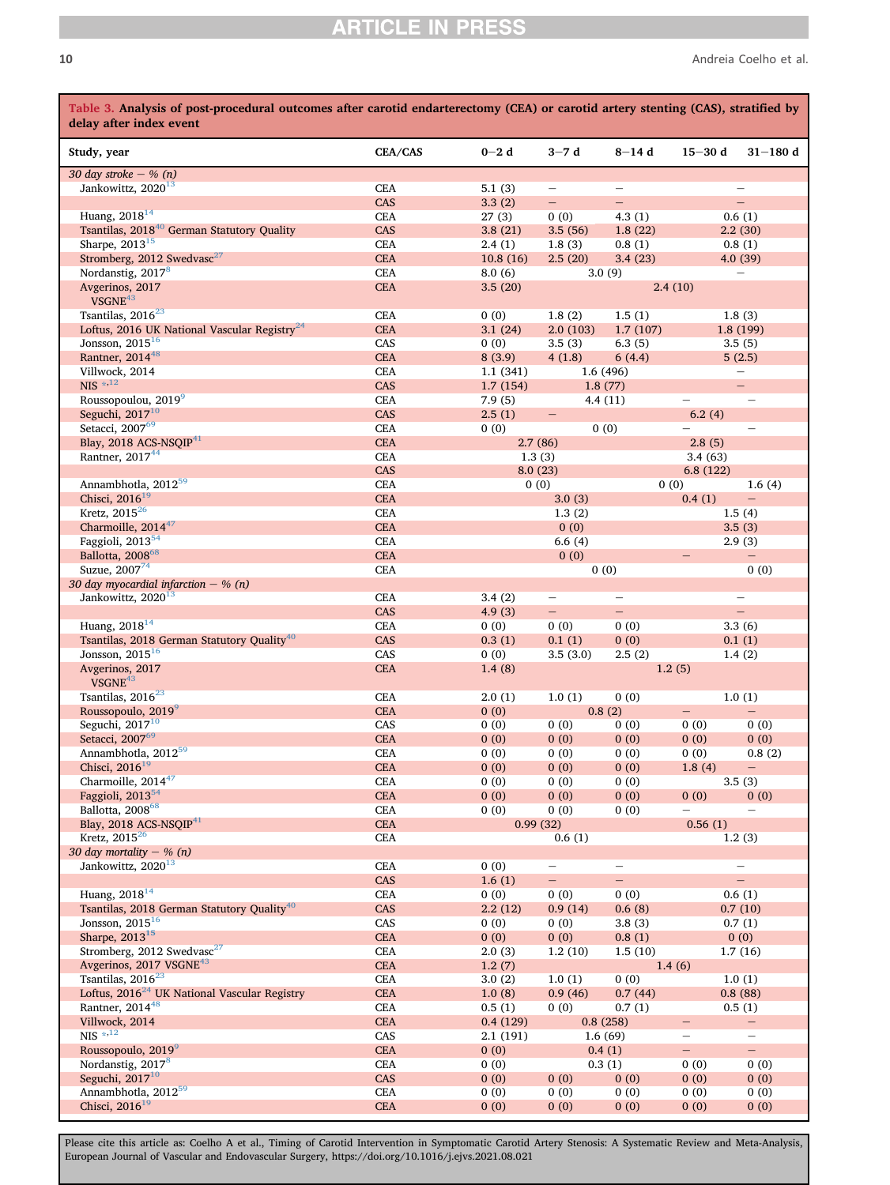<span id="page-9-0"></span>

| Table 3. Analysis of post-procedural outcomes after carotid endarterectomy (CEA) or carotid artery stenting (CAS), stratified by<br>delay after index event |                          |              |                          |                          |                          |                                    |
|-------------------------------------------------------------------------------------------------------------------------------------------------------------|--------------------------|--------------|--------------------------|--------------------------|--------------------------|------------------------------------|
| Study, year                                                                                                                                                 | CEA/CAS                  | $0 - 2d$     | $3-7d$                   | $8 - 14d$                | $15 - 30$ d              | $31 - 180$ d                       |
| 30 day stroke $-$ % (n)                                                                                                                                     |                          |              |                          |                          |                          |                                    |
| Jankowittz, 2020 <sup>13</sup>                                                                                                                              | <b>CEA</b>               | 5.1(3)       | $\overline{\phantom{0}}$ |                          |                          |                                    |
|                                                                                                                                                             | CAS                      | 3.3(2)       | $\overline{\phantom{0}}$ | $\overline{\phantom{0}}$ |                          | $\qquad \qquad -$                  |
| Huang, 2018 <sup>14</sup>                                                                                                                                   | <b>CEA</b>               | 27(3)        | 0(0)                     | 4.3(1)                   |                          | 0.6(1)                             |
| Tsantilas, 2018 <sup>40</sup> German Statutory Quality                                                                                                      | CAS                      | 3.8(21)      | 3.5(56)                  | 1.8(22)                  |                          | 2.2(30)                            |
| Sharpe, 2013 <sup>15</sup>                                                                                                                                  | <b>CEA</b>               | 2.4(1)       | 1.8(3)                   | 0.8(1)                   |                          | 0.8(1)                             |
| Stromberg, 2012 Swedvasc <sup>27</sup>                                                                                                                      | <b>CEA</b>               | 10.8(16)     | 2.5(20)                  | 3.4(23)                  |                          | 4.0(39)                            |
| Nordanstig, 2017 <sup>8</sup>                                                                                                                               | <b>CEA</b>               | 8.0(6)       |                          | 3.0(9)                   |                          | $\overline{\phantom{0}}$           |
| Avgerinos, 2017<br>VSGNE <sup>43</sup>                                                                                                                      | <b>CEA</b>               | 3.5(20)      |                          |                          | 2.4(10)                  |                                    |
| Tsantilas, 2016 <sup>23</sup>                                                                                                                               | <b>CEA</b>               | 0(0)         | 1.8(2)                   | 1.5(1)                   |                          | 1.8(3)                             |
| Loftus, 2016 UK National Vascular Registry <sup>24</sup>                                                                                                    | <b>CEA</b>               | 3.1(24)      | 2.0(103)                 | 1.7(107)                 |                          | 1.8(199)                           |
| Jonsson, $2015^{16}$                                                                                                                                        | CAS                      | 0(0)         | 3.5(3)                   | 6.3(5)                   |                          | 3.5(5)                             |
| Rantner, 2014 <sup>48</sup>                                                                                                                                 | <b>CEA</b>               | 8(3.9)       | 4(1.8)                   | 6(4.4)                   |                          | 5(2.5)                             |
| Villwock, 2014                                                                                                                                              | <b>CEA</b>               | 1.1(341)     |                          | 1.6 (496)                |                          |                                    |
| $NIS$ $*$ , $^{12}$                                                                                                                                         | CAS                      | 1.7(154)     |                          | 1.8(77)                  |                          | $-$                                |
| Roussopoulou, 20199                                                                                                                                         | <b>CEA</b>               | 7.9(5)       |                          | 4.4(11)                  |                          | $\overline{\phantom{0}}$           |
| Seguchi, $2017^{10}$                                                                                                                                        | CAS                      | 2.5(1)       | $\overline{\phantom{0}}$ |                          | 6.2(4)                   |                                    |
| Setacci, 2007 <sup>69</sup>                                                                                                                                 | <b>CEA</b>               | 0(0)         |                          | 0(0)                     |                          | $\overline{\phantom{0}}$           |
| Blay, 2018 ACS-NSOIP $41$                                                                                                                                   | <b>CEA</b>               |              | 2.7(86)                  |                          | 2.8(5)                   |                                    |
| Rantner, 2017 <sup>44</sup>                                                                                                                                 | <b>CEA</b>               | 1.3(3)       |                          |                          | 3.4(63)                  |                                    |
| Annambhotla, 2012 <sup>59</sup>                                                                                                                             | CAS                      |              | 8.0(23)                  |                          | 6.8(122)                 |                                    |
| Chisci, 2016 <sup>19</sup>                                                                                                                                  | <b>CEA</b><br><b>CEA</b> | 0(0)         |                          |                          | 0(0)                     | 1.6(4)<br>$\overline{\phantom{0}}$ |
| Kretz, 2015 <sup>26</sup>                                                                                                                                   | <b>CEA</b>               |              | 3.0(3)                   |                          | 0.4(1)                   |                                    |
| Charmoille, 2014 <sup>47</sup>                                                                                                                              | <b>CEA</b>               |              | 1.3(2)<br>0(0)           |                          |                          | 1.5(4)<br>3.5(3)                   |
| Faggioli, 2013 <sup>54</sup>                                                                                                                                | <b>CEA</b>               |              | 6.6(4)                   |                          |                          | 2.9(3)                             |
| Ballotta, 2008 <sup>68</sup>                                                                                                                                | <b>CEA</b>               |              | 0(0)                     |                          | $\overline{\phantom{0}}$ | $-$                                |
| Suzue, 200774                                                                                                                                               | <b>CEA</b>               |              |                          | 0(0)                     |                          | 0(0)                               |
| 30 day myocardial infarction $-$ % (n)                                                                                                                      |                          |              |                          |                          |                          |                                    |
| Jankowittz, 2020 <sup>13</sup>                                                                                                                              | <b>CEA</b>               | 3.4(2)       | $\overline{\phantom{0}}$ | $\overline{\phantom{0}}$ |                          | $\qquad \qquad -$                  |
|                                                                                                                                                             | CAS                      | 4.9(3)       | $\overline{\phantom{0}}$ | $\qquad \qquad -$        |                          | $\equiv$                           |
| Huang, $2018^{14}$                                                                                                                                          | <b>CEA</b>               | 0(0)         | 0(0)                     | 0(0)                     |                          | 3.3(6)                             |
| Tsantilas, 2018 German Statutory Quality <sup>40</sup>                                                                                                      | CAS                      | 0.3(1)       | 0.1(1)                   | 0(0)                     |                          | 0.1(1)                             |
| Jonsson, $2015^{16}$                                                                                                                                        | CAS                      | 0(0)         | 3.5(3.0)                 | 2.5(2)                   |                          | 1.4(2)                             |
| Avgerinos, 2017                                                                                                                                             | <b>CEA</b>               | 1.4(8)       |                          |                          | 1.2(5)                   |                                    |
| VSGNE <sup>43</sup>                                                                                                                                         |                          |              |                          |                          |                          |                                    |
| Tsantilas, 2016 <sup>23</sup>                                                                                                                               | <b>CEA</b>               | 2.0(1)       | 1.0(1)                   | 0(0)                     |                          | 1.0(1)                             |
| Roussopoulo, 2019 <sup>9</sup>                                                                                                                              | <b>CEA</b>               | 0(0)         |                          | 0.8(2)                   | -                        | $-$                                |
| Seguchi, $2017^{10}$<br>Setacci, 2007 <sup>69</sup>                                                                                                         | CAS                      | 0(0)         | 0(0)                     | 0(0)                     | 0(0)                     | 0(0)                               |
| Annambhotla, 2012 <sup>59</sup>                                                                                                                             | <b>CEA</b><br><b>CEA</b> | 0(0)<br>0(0) | 0(0)<br>0(0)             | 0(0)<br>0(0)             | 0(0)<br>0(0)             | 0(0)<br>0.8(2)                     |
| Chisci, $2016^{19}$                                                                                                                                         | <b>CEA</b>               | 0(0)         | 0(0)                     | 0(0)                     | 1.8(4)                   | $\overline{\phantom{m}}$           |
| Charmoille, 2014 <sup>47</sup>                                                                                                                              | <b>CEA</b>               | 0(0)         | 0(0)                     | 0(0)                     |                          | 3.5(3)                             |
| Faggioli, 2013 <sup>54</sup>                                                                                                                                | CEA                      | 0(0)         | 0(0)                     | 0(0)                     | 0(0)                     | 0(0)                               |
| Ballotta, 2008 <sup>68</sup>                                                                                                                                | <b>CEA</b>               | 0(0)         | 0(0)                     | 0(0)                     | $\overline{\phantom{0}}$ | $\overline{\phantom{0}}$           |
| Blay, 2018 ACS-NSQIP <sup>41</sup>                                                                                                                          | <b>CEA</b>               |              | 0.99(32)                 |                          | 0.56(1)                  |                                    |
| Kretz, 2015 <sup>26</sup>                                                                                                                                   | <b>CEA</b>               |              | 0.6(1)                   |                          |                          | 1.2(3)                             |
| 30 day mortality $-$ % (n)                                                                                                                                  |                          |              |                          |                          |                          |                                    |
| Jankowittz, 2020 <sup>13</sup>                                                                                                                              | <b>CEA</b>               | 0(0)         | $\overline{\phantom{0}}$ | -                        |                          | $\qquad \qquad -$                  |
|                                                                                                                                                             | CAS                      | 1.6(1)       | -                        | $\equiv$                 |                          | $\equiv$                           |
| Huang, 2018 <sup>14</sup>                                                                                                                                   | <b>CEA</b>               | 0(0)         | 0(0)                     | 0(0)                     |                          | 0.6(1)                             |
| Tsantilas, 2018 German Statutory Quality <sup>40</sup>                                                                                                      | CAS                      | 2.2(12)      | 0.9(14)                  | 0.6(8)                   |                          | 0.7(10)                            |
| Jonsson, $2015^{16}$                                                                                                                                        | CAS                      | 0(0)         | 0(0)                     | 3.8(3)                   |                          | 0.7(1)                             |
| Sharpe, 2013 <sup>15</sup>                                                                                                                                  | <b>CEA</b>               | 0(0)         | 0(0)                     | 0.8(1)                   |                          | 0(0)                               |
| Stromberg, 2012 Swedvasc <sup>27</sup>                                                                                                                      | <b>CEA</b>               | 2.0(3)       | 1.2(10)                  | 1.5(10)                  |                          | 1.7(16)                            |
| Avgerinos, 2017 VSGNE <sup>43</sup>                                                                                                                         | CEA                      | 1.2(7)       |                          |                          | 1.4(6)                   |                                    |
| Tsantilas, 2016 <sup>23</sup>                                                                                                                               | <b>CEA</b>               | 3.0(2)       | 1.0(1)                   | 0(0)                     |                          | 1.0(1)                             |
| Loftus, $2016^{24}$ UK National Vascular Registry                                                                                                           | CEA                      | 1.0(8)       | 0.9(46)                  | 0.7(44)                  |                          | 0.8(88)                            |
| Rantner, 2014 <sup>48</sup>                                                                                                                                 | <b>CEA</b>               | 0.5(1)       | 0(0)                     | 0.7(1)                   |                          | 0.5(1)                             |
| Villwock, 2014                                                                                                                                              | <b>CEA</b>               | 0.4(129)     |                          | 0.8(258)                 | -                        | -                                  |
| $NIS$ $*$ <sup>12</sup>                                                                                                                                     | CAS                      | 2.1(191)     |                          | 1.6(69)                  | $\overline{\phantom{0}}$ | -                                  |
| Roussopoulo, 2019 <sup>9</sup>                                                                                                                              | <b>CEA</b>               | 0(0)         |                          | 0.4(1)                   | $\equiv$                 | $\equiv$                           |
| Nordanstig, 2017 <sup>8</sup>                                                                                                                               | <b>CEA</b>               | 0(0)         |                          | 0.3(1)                   | 0(0)                     | 0(0)                               |
| Seguchi, 2017 <sup>10</sup>                                                                                                                                 | CAS                      | 0(0)         | 0(0)                     | 0(0)                     | 0(0)                     | 0(0)                               |
| Annambhotla, 2012 <sup>59</sup>                                                                                                                             | <b>CEA</b>               | 0(0)         | 0(0)                     | 0(0)                     | 0(0)                     | 0(0)                               |
| Chisci, 2016 <sup>19</sup>                                                                                                                                  | <b>CEA</b>               | 0(0)         | 0(0)                     | 0(0)                     | 0(0)                     | 0(0)                               |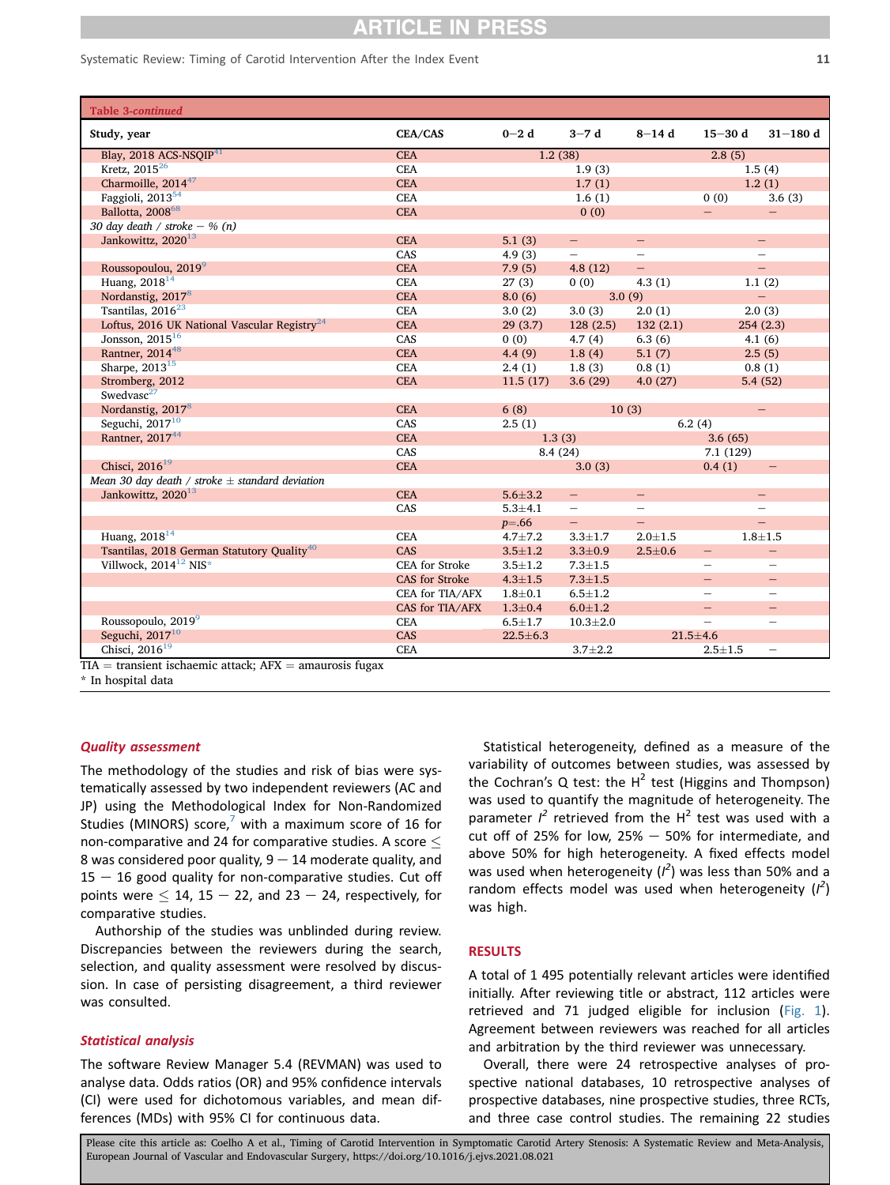| Study, year                                                  | CEA/CAS               | $0 - 2d$       | $3-7d$                   | $8 - 14d$                | $15 - 30d$               | $31 - 180$ d             |
|--------------------------------------------------------------|-----------------------|----------------|--------------------------|--------------------------|--------------------------|--------------------------|
| Blay, 2018 ACS-NSQIP <sup>41</sup>                           | <b>CEA</b>            | 1.2(38)        |                          |                          | 2.8(5)                   |                          |
| Kretz, $2015^{26}$                                           | <b>CEA</b>            |                | 1.9(3)                   |                          |                          | 1.5(4)                   |
| Charmoille, 2014 <sup>47</sup>                               | <b>CEA</b>            |                | 1.7(1)                   |                          |                          | 1.2(1)                   |
| Faggioli, 2013 <sup>54</sup>                                 | <b>CEA</b>            |                | 1.6(1)                   |                          | 0(0)                     | 3.6(3)                   |
| Ballotta, 2008 <sup>68</sup>                                 | <b>CEA</b>            |                | 0(0)                     |                          |                          |                          |
| 30 day death / stroke $-$ % (n)                              |                       |                |                          |                          |                          |                          |
| Jankowittz, 2020 <sup>13</sup>                               | <b>CEA</b>            | 5.1(3)         | $-$                      | $-$                      |                          | $\overline{\phantom{0}}$ |
|                                                              | CAS                   | 4.9(3)         | $\overline{\phantom{0}}$ | $-$                      |                          | $\overline{\phantom{0}}$ |
| Roussopoulou, 2019 <sup>9</sup>                              | <b>CEA</b>            | 7.9(5)         | 4.8(12)                  | $\qquad \qquad -$        |                          | $\qquad \qquad -$        |
| Huang, $2018^{14}$                                           | CEA                   | 27(3)          | 0(0)                     | 4.3(1)                   |                          | 1.1(2)                   |
| Nordanstig, 2017 <sup>8</sup>                                | <b>CEA</b>            | 8.0(6)         | 3.0(9)                   |                          |                          | $\overline{\phantom{0}}$ |
| Tsantilas, 2016 <sup>23</sup>                                | CEA                   | 3.0(2)         | 3.0(3)                   | 2.0(1)                   |                          | 2.0(3)                   |
| Loftus, 2016 UK National Vascular Registry <sup>24</sup>     | <b>CEA</b>            | 29(3.7)        | 128(2.5)                 | 132(2.1)                 |                          | 254(2.3)                 |
| Jonsson, $2015^{16}$                                         | CAS                   | 0(0)           | 4.7(4)                   | 6.3(6)                   |                          | 4.1(6)                   |
| Rantner, 2014 <sup>48</sup>                                  | <b>CEA</b>            | 4.4(9)         | 1.8(4)                   | 5.1(7)                   |                          | 2.5(5)                   |
| Sharpe, 2013 <sup>15</sup>                                   | <b>CEA</b>            | 2.4(1)         | 1.8(3)                   | 0.8(1)                   |                          | 0.8(1)                   |
| Stromberg, 2012                                              | <b>CEA</b>            | 11.5(17)       | 3.6(29)                  | 4.0(27)                  |                          | 5.4(52)                  |
| Swedvasc <sup>27</sup>                                       |                       |                |                          |                          |                          |                          |
| Nordanstig, 2017 <sup>8</sup>                                | <b>CEA</b>            | 6(8)           | 10(3)                    |                          |                          |                          |
| Seguchi, $2017^{10}$                                         | CAS                   | 2.5(1)         |                          |                          | 6.2(4)                   |                          |
| Rantner, 2017 <sup>44</sup>                                  | <b>CEA</b>            | 1.3(3)         |                          |                          | 3.6(65)                  |                          |
|                                                              | CAS                   | 8.4(24)        |                          |                          | 7.1 (129)                |                          |
| Chisci, 2016 <sup>19</sup>                                   | <b>CEA</b>            |                | 3.0(3)                   |                          | 0.4(1)                   | $\qquad \qquad -$        |
| Mean 30 day death / stroke $\pm$ standard deviation          |                       |                |                          |                          |                          |                          |
| Jankowittz, 2020 <sup>13</sup>                               | <b>CEA</b>            | $5.6 + 3.2$    | $\overline{\phantom{0}}$ |                          |                          |                          |
|                                                              | CAS                   | $5.3 + 4.1$    | $\overline{\phantom{0}}$ | $\overline{\phantom{0}}$ |                          | $\overline{\phantom{0}}$ |
|                                                              |                       | $p = .66$      | $\overline{\phantom{a}}$ | $\equiv$                 |                          | $=$                      |
| Huang, 2018 <sup>14</sup>                                    | <b>CEA</b>            | $4.7 \pm 7.2$  | $3.3 + 1.7$              | $2.0 + 1.5$              |                          | $1.8 + 1.5$              |
| Tsantilas, 2018 German Statutory Quality <sup>40</sup>       | CAS                   | $3.5 \pm 1.2$  | $3.3 \pm 0.9$            | $2.5 \pm 0.6$            | $\overline{\phantom{0}}$ | $\overline{\phantom{0}}$ |
| Villwock, $2014^{12}$ NIS*                                   | CEA for Stroke        | $3.5 \pm 1.2$  | $7.3 + 1.5$              |                          | $\overline{\phantom{0}}$ | $\overline{\phantom{0}}$ |
|                                                              | <b>CAS</b> for Stroke | $4.3 \pm 1.5$  | $7.3 + 1.5$              |                          | $\qquad \qquad -$        | $\overline{\phantom{0}}$ |
|                                                              | CEA for TIA/AFX       | $1.8{\pm}0.1$  | $6.5 \pm 1.2$            |                          |                          | $\overline{\phantom{0}}$ |
|                                                              | CAS for TIA/AFX       | $1.3 \pm 0.4$  | $6.0 + 1.2$              |                          | $\qquad \qquad -$        | $\qquad \qquad -$        |
| Roussopoulo, 2019 <sup>9</sup>                               | <b>CEA</b>            | $6.5 \pm 1.7$  | $10.3 + 2.0$             |                          | $\overline{\phantom{0}}$ | $\overline{\phantom{0}}$ |
| Seguchi, $2017^{10}$                                         | CAS                   | $22.5 \pm 6.3$ |                          |                          | $21.5 + 4.6$             |                          |
| Chisci, 2016 <sup>19</sup>                                   | <b>CEA</b>            |                | $3.7 + 2.2$              |                          | $2.5 + 1.5$              | $\overline{\phantom{0}}$ |
| $TIA$ = transient ischaemic attack: $A FY$ = amayrosis fugay |                       |                |                          |                          |                          |                          |

 $\epsilon$ nt ischaemic attack; AFX  $=$  amaurosis fugax

<span id="page-10-0"></span>\* In hospital data

Table 3-continued

#### Quality assessment

The methodology of the studies and risk of bias were systematically assessed by two independent reviewers (AC and JP) using the Methodological Index for Non-Randomized Studies (MINORS) score, $\frac{7}{10}$  $\frac{7}{10}$  $\frac{7}{10}$  with a maximum score of 16 for non-comparative and 24 for comparative studies. A score  $\leq$ 8 was considered poor quality,  $9 - 14$  moderate quality, and  $15 - 16$  good quality for non-comparative studies. Cut off points were  $\leq 14$ , 15 - 22, and 23 - 24, respectively, for comparative studies.

Authorship of the studies was unblinded during review. Discrepancies between the reviewers during the search, selection, and quality assessment were resolved by discussion. In case of persisting disagreement, a third reviewer was consulted.

#### Statistical analysis

The software Review Manager 5.4 (REVMAN) was used to analyse data. Odds ratios (OR) and 95% confidence intervals (CI) were used for dichotomous variables, and mean differences (MDs) with 95% CI for continuous data.

Statistical heterogeneity, defined as a measure of the variability of outcomes between studies, was assessed by the Cochran's Q test: the  $H^2$  test (Higgins and Thompson) was used to quantify the magnitude of heterogeneity. The parameter  $I^2$  retrieved from the H<sup>2</sup> test was used with a cut off of 25% for low,  $25% - 50%$  for intermediate, and above 50% for high heterogeneity. A fixed effects model was used when heterogeneity  $(l^2)$  was less than 50% and a random effects model was used when heterogeneity  $(l^2)$ was high.

#### RESULTS

A total of 1 495 potentially relevant articles were identified initially. After reviewing title or abstract, 112 articles were retrieved and 71 judged eligible for inclusion ([Fig. 1](#page-1-0)). Agreement between reviewers was reached for all articles and arbitration by the third reviewer was unnecessary.

Overall, there were 24 retrospective analyses of prospective national databases, 10 retrospective analyses of prospective databases, nine prospective studies, three RCTs, and three case control studies. The remaining 22 studies

Please cite this article as: Coelho A et al., Timing of Carotid Intervention in Symptomatic Carotid Artery Stenosis: A Systematic Review and Meta-Analysis, European Journal of Vascular and Endovascular Surgery, https://doi.org/10.1016/j.ejvs.2021.08.021

## **ARTICLE IN PRESS**

#### Systematic Review: Timing of Carotid Intervention After the Index Event 11 and 11 and 11 and 11 and 11 and 11 and 11 and 11 and 11 and 11 and 11 and 11 and 11 and 11 and 11 and 11 and 11 and 11 and 11 and 11 and 11 and 11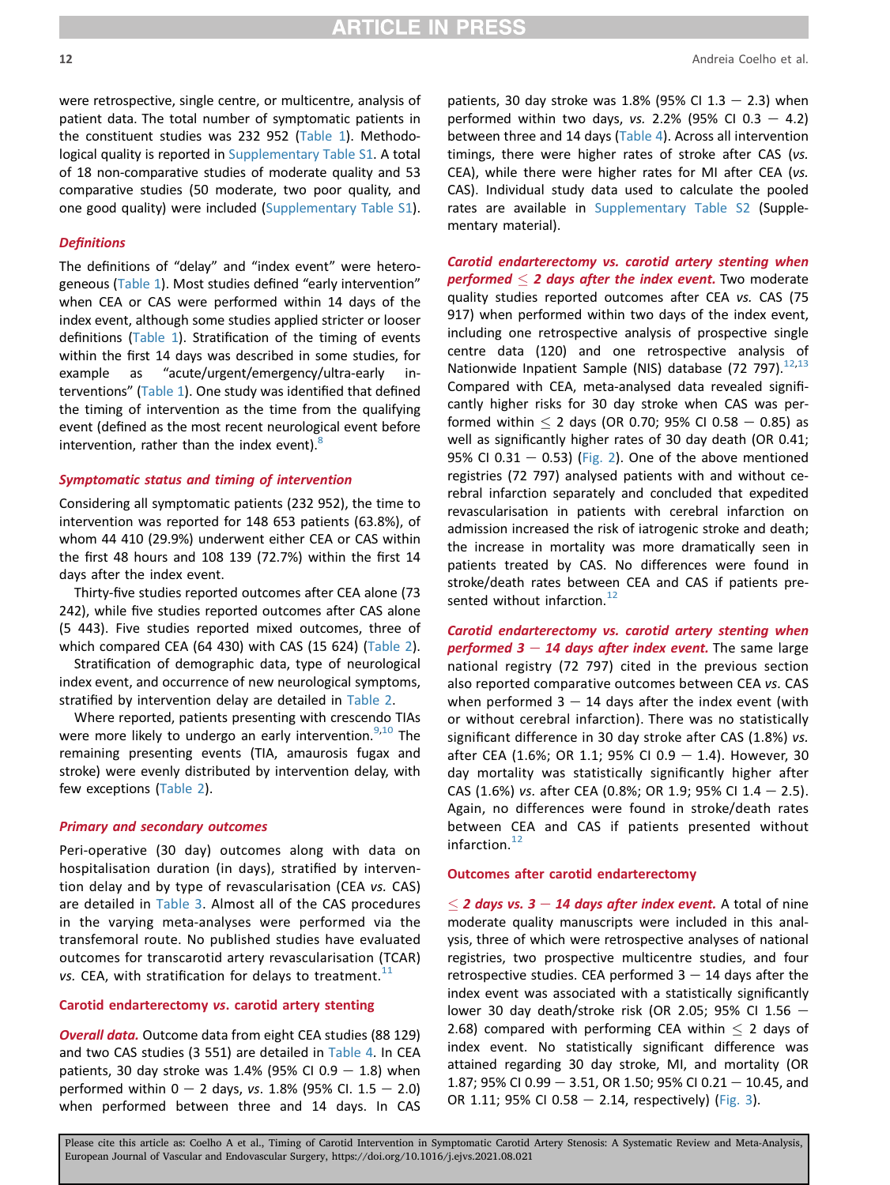were retrospective, single centre, or multicentre, analysis of patient data. The total number of symptomatic patients in the constituent studies was 232 952 ([Table 1\)](#page-2-0). Methodological quality is reported in Supplementary Table S1. A total of 18 non-comparative studies of moderate quality and 53 comparative studies (50 moderate, two poor quality, and one good quality) were included (Supplementary Table S1).

#### **Definitions**

The definitions of "delay" and "index event" were heterogeneous ([Table 1\)](#page-2-0). Most studies defined "early intervention" when CEA or CAS were performed within 14 days of the index event, although some studies applied stricter or looser definitions ([Table 1\)](#page-2-0). Stratification of the timing of events within the first 14 days was described in some studies, for example as "acute/urgent/emergency/ultra-early interventions" ([Table 1\)](#page-2-0). One study was identified that defined the timing of intervention as the time from the qualifying event (defined as the most recent neurological event before intervention, rather than the index event). $8$ 

#### Symptomatic status and timing of intervention

Considering all symptomatic patients (232 952), the time to intervention was reported for 148 653 patients (63.8%), of whom 44 410 (29.9%) underwent either CEA or CAS within the first 48 hours and 108 139 (72.7%) within the first 14 days after the index event.

Thirty-five studies reported outcomes after CEA alone (73 242), while five studies reported outcomes after CAS alone (5 443). Five studies reported mixed outcomes, three of which compared CEA (64 430) with CAS (15 624) [\(Table 2](#page-6-0)).

Stratification of demographic data, type of neurological index event, and occurrence of new neurological symptoms, stratified by intervention delay are detailed in [Table 2](#page-6-0).

Where reported, patients presenting with crescendo TIAs were more likely to undergo an early intervention.<sup>[9,](#page-17-6)[10](#page-17-7)</sup> The remaining presenting events (TIA, amaurosis fugax and stroke) were evenly distributed by intervention delay, with few exceptions ([Table 2](#page-6-0)).

#### Primary and secondary outcomes

Peri-operative (30 day) outcomes along with data on hospitalisation duration (in days), stratified by intervention delay and by type of revascularisation (CEA vs. CAS) are detailed in [Table 3.](#page-9-0) Almost all of the CAS procedures in the varying meta-analyses were performed via the transfemoral route. No published studies have evaluated outcomes for transcarotid artery revascularisation (TCAR) vs. CEA, with stratification for delays to treatment. $^{11}$  $^{11}$  $^{11}$ 

#### Carotid endarterectomy vs. carotid artery stenting

**Overall data.** Outcome data from eight CEA studies (88 129) and two CAS studies (3 551) are detailed in [Table 4.](#page-13-0) In CEA patients, 30 day stroke was 1.4% (95% CI 0.9  $-$  1.8) when performed within  $0 - 2$  days, vs. 1.8% (95% Cl. 1.5 - 2.0) when performed between three and 14 days. In CAS patients, 30 day stroke was 1.8% (95% CI 1.3  $-$  2.3) when performed within two days, vs. 2.2% (95% CI 0.3  $-$  4.2) between three and 14 days ([Table 4\)](#page-13-0). Across all intervention timings, there were higher rates of stroke after CAS (vs. CEA), while there were higher rates for MI after CEA (vs. CAS). Individual study data used to calculate the pooled rates are available in Supplementary Table S2 (Supplementary material).

Carotid endarterectomy vs. carotid artery stenting when performed  $\leq$  2 days after the index event. Two moderate quality studies reported outcomes after CEA vs. CAS (75 917) when performed within two days of the index event, including one retrospective analysis of prospective single centre data (120) and one retrospective analysis of Nationwide Inpatient Sample (NIS) database (72 797).<sup>[12](#page-17-9),[13](#page-18-2)</sup> Compared with CEA, meta-analysed data revealed significantly higher risks for 30 day stroke when CAS was performed within  $\leq$  2 days (OR 0.70; 95% CI 0.58  $-$  0.85) as well as significantly higher rates of 30 day death (OR 0.41; 95% CI 0.31  $-$  0.53) ([Fig. 2](#page-13-1)). One of the above mentioned registries (72 797) analysed patients with and without cerebral infarction separately and concluded that expedited revascularisation in patients with cerebral infarction on admission increased the risk of iatrogenic stroke and death; the increase in mortality was more dramatically seen in patients treated by CAS. No differences were found in stroke/death rates between CEA and CAS if patients pre-sented without infarction.<sup>[12](#page-17-9)</sup>

Carotid endarterectomy vs. carotid artery stenting when performed  $3 - 14$  days after index event. The same large national registry (72 797) cited in the previous section also reported comparative outcomes between CEA vs. CAS when performed  $3 - 14$  days after the index event (with or without cerebral infarction). There was no statistically significant difference in 30 day stroke after CAS (1.8%) vs. after CEA (1.6%; OR 1.1; 95% CI 0.9 - 1.4). However, 30 day mortality was statistically significantly higher after CAS (1.6%) vs. after CEA (0.8%; OR 1.9; 95% CI 1.4 - 2.5). Again, no differences were found in stroke/death rates between CEA and CAS if patients presented without infarction. $^{12}$  $^{12}$  $^{12}$ 

#### Outcomes after carotid endarterectomy

 $\leq$  2 days vs. 3 – 14 days after index event. A total of nine moderate quality manuscripts were included in this analysis, three of which were retrospective analyses of national registries, two prospective multicentre studies, and four retrospective studies. CEA performed  $3 - 14$  days after the index event was associated with a statistically significantly lower 30 day death/stroke risk (OR 2.05; 95% CI 1.56  $-$ 2.68) compared with performing CEA within  $\leq$  2 days of index event. No statistically significant difference was attained regarding 30 day stroke, MI, and mortality (OR 1.87; 95% CI 0.99 - 3.51, OR 1.50; 95% CI 0.21 - 10.45, and OR 1.11; 95% CI 0.58  $-$  2.14, respectively) ([Fig. 3\)](#page-14-0).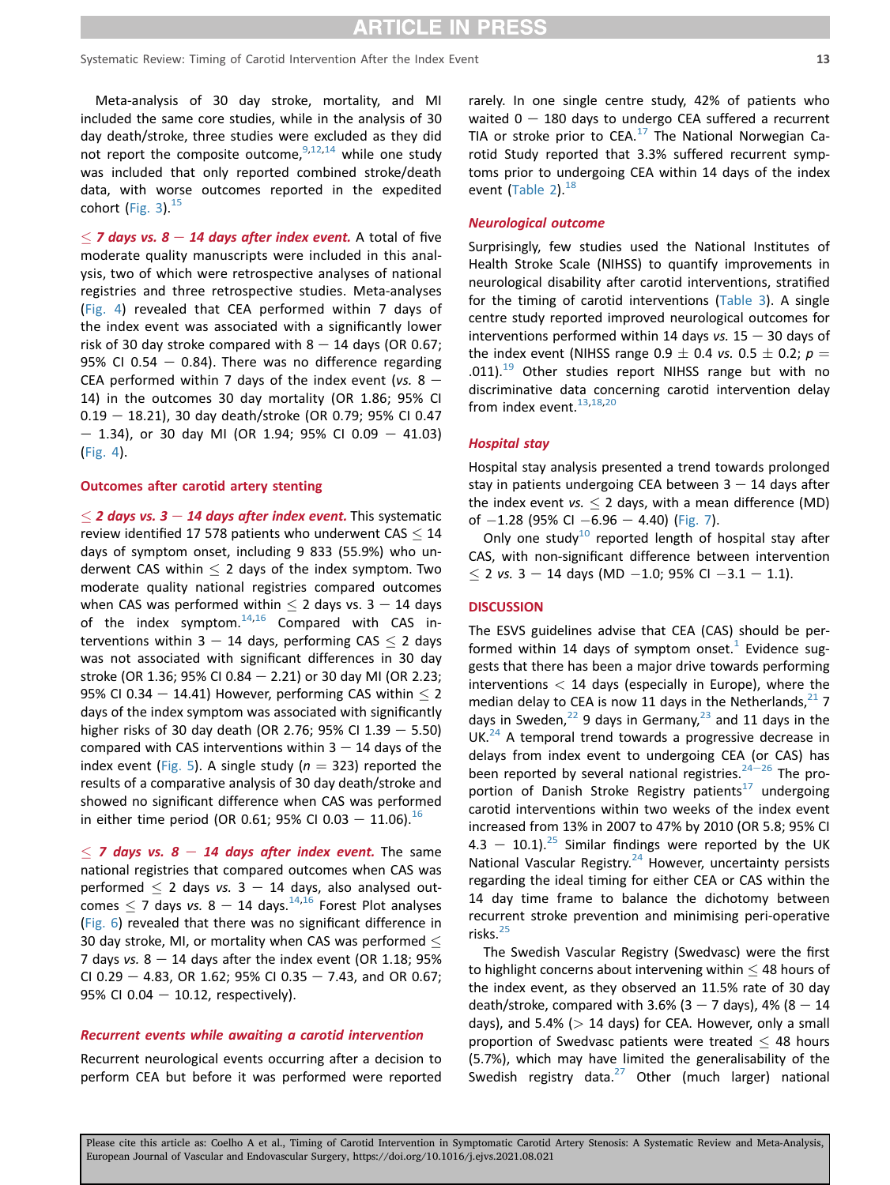Meta-analysis of 30 day stroke, mortality, and MI included the same core studies, while in the analysis of 30 day death/stroke, three studies were excluded as they did not report the composite outcome,  $9,12,14$  $9,12,14$  $9,12,14$  $9,12,14$  while one study was included that only reported combined stroke/death data, with worse outcomes reported in the expedited cohort (Fig.  $3$ ).<sup>[15](#page-18-15)</sup>

 $\leq$  7 days vs. 8 – 14 days after index event. A total of five moderate quality manuscripts were included in this analysis, two of which were retrospective analyses of national registries and three retrospective studies. Meta-analyses ([Fig. 4\)](#page-15-0) revealed that CEA performed within 7 days of the index event was associated with a significantly lower risk of 30 day stroke compared with  $8 - 14$  days (OR 0.67; 95% CI 0.54  $-$  0.84). There was no difference regarding CEA performed within 7 days of the index event (vs.  $8 -$ 14) in the outcomes 30 day mortality (OR 1.86; 95% CI  $0.19 - 18.21$ ), 30 day death/stroke (OR 0.79; 95% CI 0.47  $-$  1.34), or 30 day MI (OR 1.94; 95% CI 0.09  $-$  41.03) ([Fig. 4\)](#page-15-0).

#### Outcomes after carotid artery stenting

 $\leq$  2 days vs. 3 – 14 days after index event. This systematic review identified 17 578 patients who underwent  $CAS < 14$ days of symptom onset, including 9 833 (55.9%) who underwent CAS within  $\leq$  2 days of the index symptom. Two moderate quality national registries compared outcomes when CAS was performed within  $\leq$  2 days vs. 3 - 14 days of the index symptom. $14,16$  $14,16$  Compared with CAS interventions within 3 - 14 days, performing CAS  $\leq$  2 days was not associated with significant differences in 30 day stroke (OR 1.36; 95% CI 0.84  $-$  2.21) or 30 day MI (OR 2.23; 95% CI 0.34  $-$  14.41) However, performing CAS within  $<$  2 days of the index symptom was associated with significantly higher risks of 30 day death (OR 2.76; 95% CI 1.39  $-$  5.50) compared with CAS interventions within  $3 - 14$  days of the index event ([Fig. 5](#page-16-0)). A single study ( $n = 323$ ) reported the results of a comparative analysis of 30 day death/stroke and showed no significant difference when CAS was performed in either time period (OR 0.61; 95% CI 0.03 - 11.06).<sup>[16](#page-18-24)</sup>

 $<$  7 days vs. 8 – 14 days after index event. The same national registries that compared outcomes when CAS was performed  $\leq$  2 days vs. 3 - 14 days, also analysed outcomes  $\leq$  7 days vs. 8 – 14 days.<sup>14,[16](#page-18-24)</sup> Forest Plot analyses ([Fig. 6](#page-16-1)) revealed that there was no significant difference in 30 day stroke, MI, or mortality when CAS was performed  $\leq$ 7 days vs.  $8 - 14$  days after the index event (OR 1.18; 95%) CI 0.29 - 4.83, OR 1.62; 95% CI 0.35 - 7.43, and OR 0.67; 95% CI 0.04  $-$  10.12, respectively).

#### Recurrent events while awaiting a carotid intervention

Recurrent neurological events occurring after a decision to perform CEA but before it was performed were reported rarely. In one single centre study, 42% of patients who waited  $0 - 180$  days to undergo CEA suffered a recurrent TIA or stroke prior to  $CEA<sup>17</sup>$  $CEA<sup>17</sup>$  $CEA<sup>17</sup>$  The National Norwegian Carotid Study reported that 3.3% suffered recurrent symptoms prior to undergoing CEA within 14 days of the index event  $(Table 2)$  $(Table 2)$ .  $^{18}$ 

#### Neurological outcome

Surprisingly, few studies used the National Institutes of Health Stroke Scale (NIHSS) to quantify improvements in neurological disability after carotid interventions, stratified for the timing of carotid interventions ([Table 3\)](#page-9-0). A single centre study reported improved neurological outcomes for interventions performed within 14 days vs.  $15 - 30$  days of the index event (NIHSS range 0.9  $\pm$  0.4 vs. 0.5  $\pm$  0.2; p = .011).<sup>[19](#page-18-13)</sup> Other studies report NIHSS range but with no discriminative data concerning carotid intervention delay from index event.<sup>[13,](#page-18-2)[18](#page-18-22)[,20](#page-18-7)</sup>

#### Hospital stay

Hospital stay analysis presented a trend towards prolonged stay in patients undergoing CEA between  $3 - 14$  days after the index event vs.  $\leq$  2 days, with a mean difference (MD) of  $-1.28$  (95% CI  $-6.96 - 4.40$ ) [\(Fig. 7](#page-17-12)).

Only one study<sup>10</sup> reported length of hospital stay after CAS, with non-significant difference between intervention  $\leq$  2 vs. 3 – 14 days (MD -1.0; 95% CI -3.1 – 1.1).

#### **DISCUSSION**

The ESVS guidelines advise that CEA (CAS) should be performed within 14 days of symptom onset.<sup>1</sup> Evidence suggests that there has been a major drive towards performing interventions  $<$  14 days (especially in Europe), where the median delay to CEA is now 11 days in the Netherlands,  $21$  7 days in Sweden, $^{22}$  $^{22}$  $^{22}$  9 days in Germany, $^{23}$  $^{23}$  $^{23}$  and 11 days in the  $UK.<sup>24</sup>$  $UK.<sup>24</sup>$  $UK.<sup>24</sup>$  A temporal trend towards a progressive decrease in delays from index event to undergoing CEA (or CAS) has been reported by several national registries.<sup>[24](#page-18-23)-[26](#page-18-23)</sup> The proportion of Danish Stroke Registry patients $17$  undergoing carotid interventions within two weeks of the index event increased from 13% in 2007 to 47% by 2010 (OR 5.8; 95% CI 4.3 - 10.1).<sup>25</sup> Similar findings were reported by the UK National Vascular Registry. $24$  However, uncertainty persists regarding the ideal timing for either CEA or CAS within the 14 day time frame to balance the dichotomy between recurrent stroke prevention and minimising peri-operative risks.<sup>[25](#page-18-25)</sup>

The Swedish Vascular Registry (Swedvasc) were the first to highlight concerns about intervening within  $\leq$  48 hours of the index event, as they observed an 11.5% rate of 30 day death/stroke, compared with 3.6% (3 – 7 days), 4% (8 – 14 days), and 5.4% ( $> 14$  days) for CEA. However, only a small proportion of Swedvasc patients were treated  $\leq$  48 hours (5.7%), which may have limited the generalisability of the Swedish registry data. $^{27}$  Other (much larger) national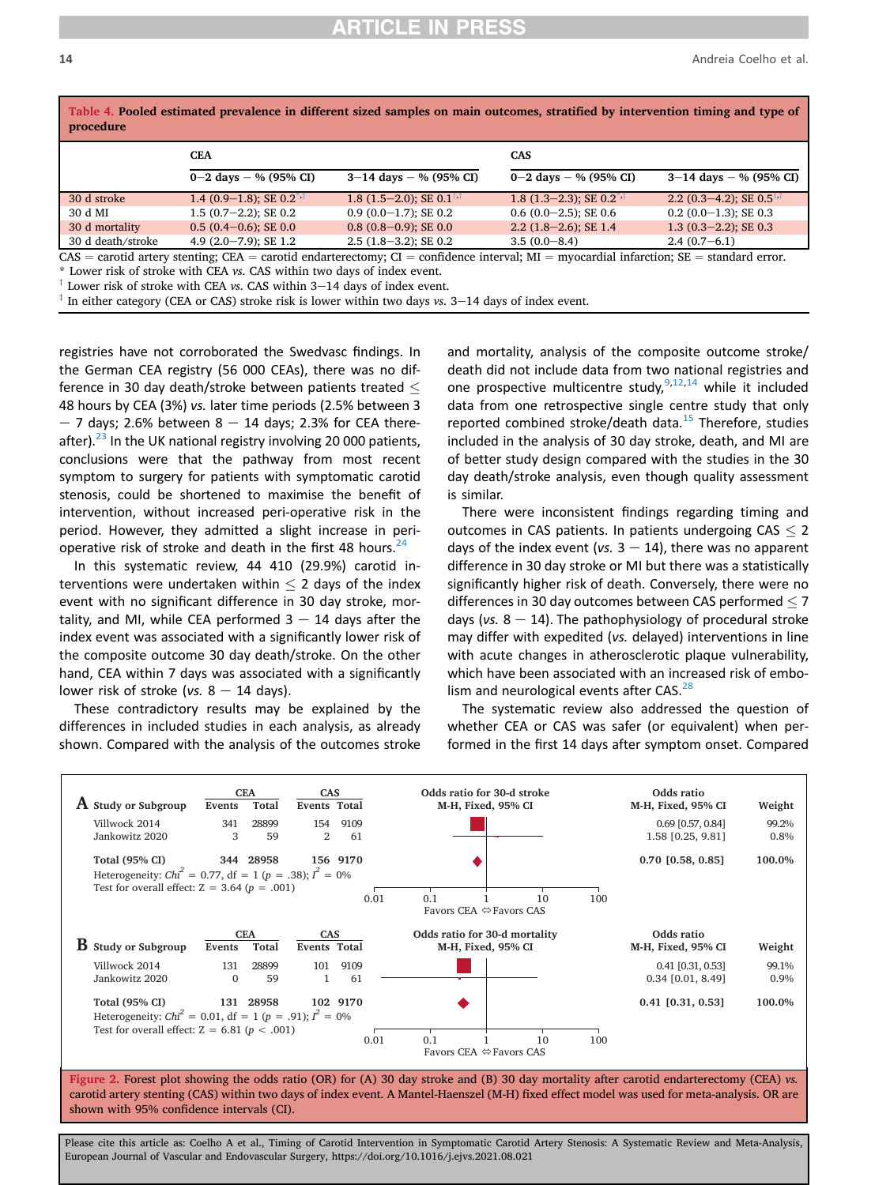| Table 4. Pooled estimated prevalence in different sized samples on main outcomes, stratified by intervention timing and type of<br>procedure |                                  |                                                                                                                                                  |                                         |                                              |  |  |  |
|----------------------------------------------------------------------------------------------------------------------------------------------|----------------------------------|--------------------------------------------------------------------------------------------------------------------------------------------------|-----------------------------------------|----------------------------------------------|--|--|--|
|                                                                                                                                              | <b>CEA</b>                       |                                                                                                                                                  | <b>CAS</b>                              |                                              |  |  |  |
|                                                                                                                                              | $0 - 2$ days $-$ % (95% CI)      | $3-14$ days $-$ % (95% CI)                                                                                                                       | 0–2 days – % (95% CI)                   | $3-14$ days $-$ % (95% CI)                   |  |  |  |
| 30 d stroke                                                                                                                                  | 1.4 $(0.9-1.8)$ ; SE $0.2^{*,+}$ | 1.8 $(1.5-2.0)$ ; SE 0.1 <sup><math>\dagger</math>,<math>\ddagger</math></sup>                                                                   | 1.8 $(1.3-2.3)$ ; SE 0.2 <sup>*,†</sup> | 2.2 $(0.3-4.2)$ ; SE $0.5^{\dagger,\dagger}$ |  |  |  |
| 30 d MI                                                                                                                                      | $1.5(0.7-2.2)$ : SE 0.2          | $0.9(0.0-1.7);$ SE 0.2                                                                                                                           | $0.6$ (0.0-2.5); SE 0.6                 | $0.2$ (0.0-1.3); SE 0.3                      |  |  |  |
| 30 d mortality                                                                                                                               | $0.5(0.4-0.6);$ SE 0.0           | $0.8(0.8-0.9);$ SE 0.0                                                                                                                           | $2.2$ (1.8-2.6); SE 1.4                 | $1.3$ (0.3-2.2); SE 0.3                      |  |  |  |
| 30 d death/stroke                                                                                                                            | 4.9 $(2.0 - 7.9)$ ; SE 1.2       | $2.5$ (1.8-3.2); SE 0.2                                                                                                                          | $3.5(0.0-8.4)$                          | $2.4(0.7-6.1)$                               |  |  |  |
|                                                                                                                                              |                                  | $CAS =$ carotid artery stepting: $CFA =$ carotid endarterectomy: $CI =$ confidence interval: $MI =$ myocardial infarction: $SE =$ standard error |                                         |                                              |  |  |  |

<span id="page-13-0"></span>Table 4. Pooled estimated prevalence in different sized samples on main outcomes, stratified by intervention timing and type of

 $CAS =$  carotid artery stenting; CEA = carotid endarterectomy; CI = confidence interval; MI = myocardial infarction; SE = standard error.  $*$  Lower risk of stroke with CEA *vs*. CAS within two days of index event.

<span id="page-13-2"></span>

 $\dagger$  Lower risk of stroke with CEA vs. CAS within 3-14 days of index event.

 $\frac{1}{4}$  In either category (CEA or CAS) stroke risk is lower within two days vs. 3-14 days of index event.

registries have not corroborated the Swedvasc findings. In the German CEA registry (56 000 CEAs), there was no difference in 30 day death/stroke between patients treated  $\leq$ 48 hours by CEA (3%) vs. later time periods (2.5% between 3  $-7$  days; 2.6% between 8  $-$  14 days; 2.3% for CEA thereafter). $23$  In the UK national registry involving 20 000 patients, conclusions were that the pathway from most recent symptom to surgery for patients with symptomatic carotid stenosis, could be shortened to maximise the benefit of intervention, without increased peri-operative risk in the period. However, they admitted a slight increase in perioperative risk of stroke and death in the first 48 hours.  $24$ 

In this systematic review, 44 410 (29.9%) carotid interventions were undertaken within  $\leq$  2 days of the index event with no significant difference in 30 day stroke, mortality, and MI, while CEA performed  $3 - 14$  days after the index event was associated with a significantly lower risk of the composite outcome 30 day death/stroke. On the other hand, CEA within 7 days was associated with a significantly lower risk of stroke (vs.  $8 - 14$  days).

These contradictory results may be explained by the differences in included studies in each analysis, as already shown. Compared with the analysis of the outcomes stroke and mortality, analysis of the composite outcome stroke/ death did not include data from two national registries and one prospective multicentre study,  $9,12,14$  $9,12,14$  $9,12,14$  while it included data from one retrospective single centre study that only reported combined stroke/death data. $15$  Therefore, studies included in the analysis of 30 day stroke, death, and MI are of better study design compared with the studies in the 30 day death/stroke analysis, even though quality assessment is similar.

There were inconsistent findings regarding timing and outcomes in CAS patients. In patients undergoing  $CAS \leq 2$ days of the index event (vs.  $3 - 14$ ), there was no apparent difference in 30 day stroke or MI but there was a statistically significantly higher risk of death. Conversely, there were no differences in 30 day outcomes between CAS performed  $\leq$  7 days (vs.  $8 - 14$ ). The pathophysiology of procedural stroke may differ with expedited (vs. delayed) interventions in line with acute changes in atherosclerotic plaque vulnerability, which have been associated with an increased risk of embo-lism and neurological events after CAS.<sup>[28](#page-18-28)</sup>

The systematic review also addressed the question of whether CEA or CAS was safer (or equivalent) when performed in the first 14 days after symptom onset. Compared

<span id="page-13-1"></span>

Figure 2. Forest plot showing the odds ratio (OR) for (A) 30 day stroke and (B) 30 day mortality after carotid endarterectomy (CEA) vs. carotid artery stenting (CAS) within two days of index event. A Mantel-Haenszel (M-H) fixed effect model was used for meta-analysis. OR are shown with 95% confidence intervals (CI).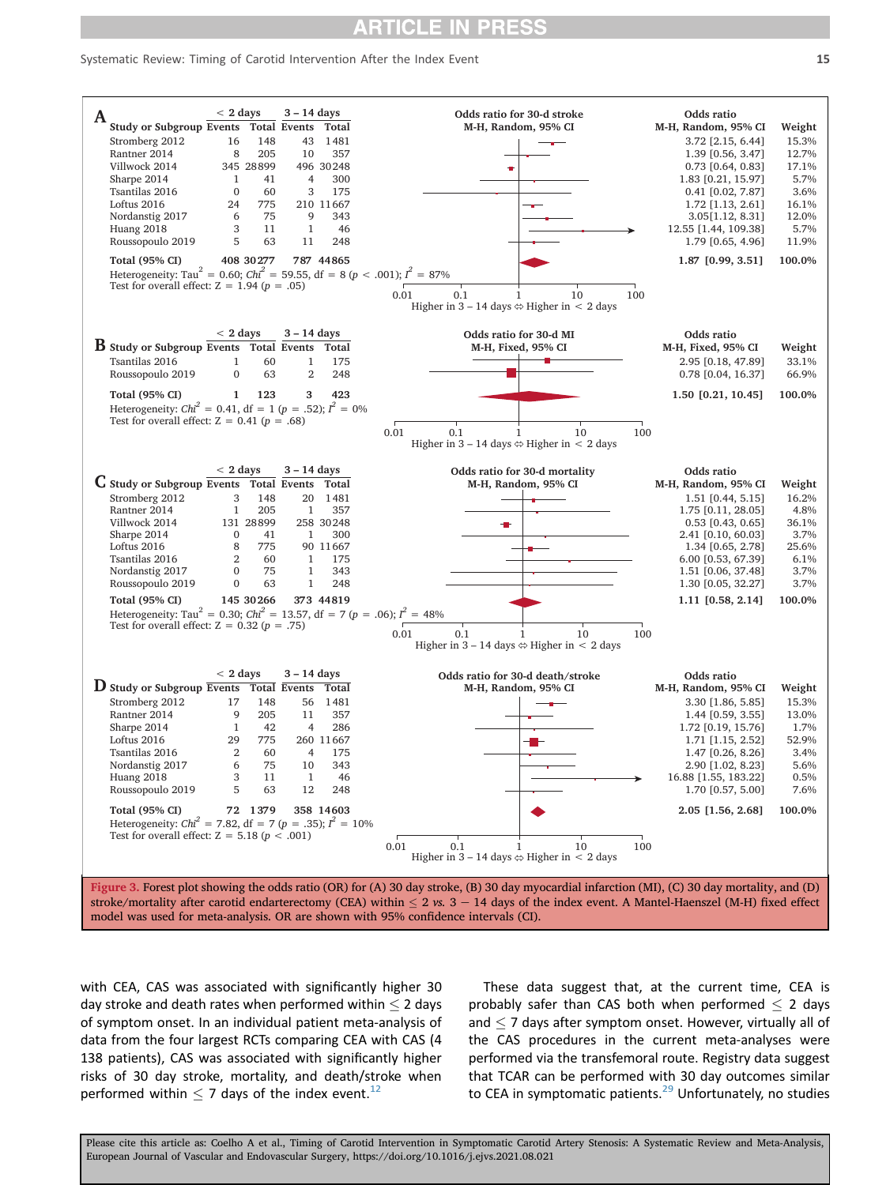#### <span id="page-14-0"></span>Systematic Review: Timing of Carotid Intervention After the Index Event 15



stroke/mortality after carotid endarterectomy (CEA) within  $\leq 2$  vs.  $3 - 14$  days of the index event. A Mantel-Haenszel (M-H) fixed effect model was used for meta-analysis. OR are shown with 95% confidence intervals (CI).

with CEA, CAS was associated with significantly higher 30 day stroke and death rates when performed within  $\leq$  2 days of symptom onset. In an individual patient meta-analysis of data from the four largest RCTs comparing CEA with CAS (4 138 patients), CAS was associated with significantly higher risks of 30 day stroke, mortality, and death/stroke when performed within  $<$  7 days of the index event.<sup>[12](#page-17-9)</sup>

These data suggest that, at the current time, CEA is probably safer than CAS both when performed  $\leq$  2 days and  $<$  7 days after symptom onset. However, virtually all of the CAS procedures in the current meta-analyses were performed via the transfemoral route. Registry data suggest that TCAR can be performed with 30 day outcomes similar to CEA in symptomatic patients.<sup>[29](#page-18-29)</sup> Unfortunately, no studies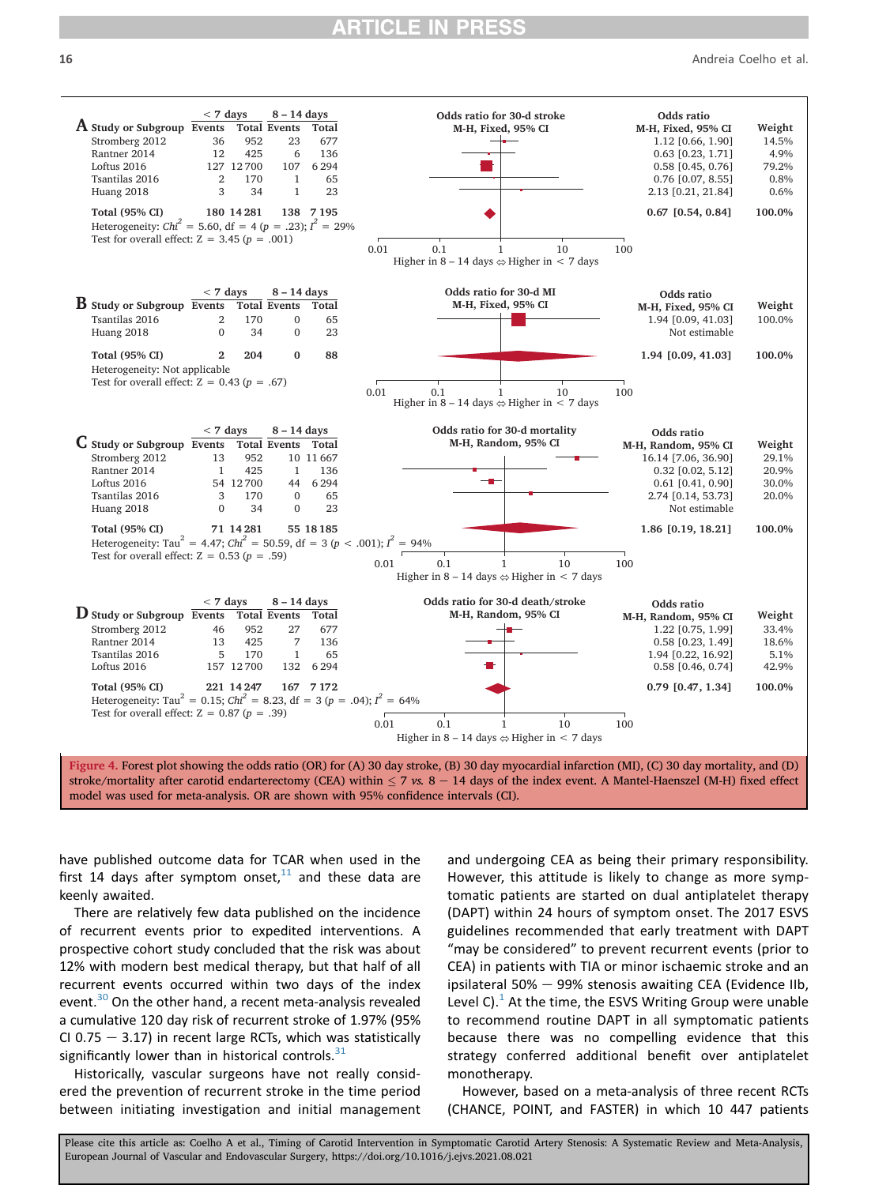16 Andreia Coelho et al.



have published outcome data for TCAR when used in the first 14 days after symptom onset, $11$  and these data are keenly awaited.

There are relatively few data published on the incidence of recurrent events prior to expedited interventions. A prospective cohort study concluded that the risk was about 12% with modern best medical therapy, but that half of all recurrent events occurred within two days of the index event.<sup>[30](#page-18-30)</sup> On the other hand, a recent meta-analysis revealed a cumulative 120 day risk of recurrent stroke of 1.97% (95% CI 0.75  $-$  3.17) in recent large RCTs, which was statistically significantly lower than in historical controls. $31$ 

Historically, vascular surgeons have not really considered the prevention of recurrent stroke in the time period between initiating investigation and initial management and undergoing CEA as being their primary responsibility. However, this attitude is likely to change as more symptomatic patients are started on dual antiplatelet therapy (DAPT) within 24 hours of symptom onset. The 2017 ESVS guidelines recommended that early treatment with DAPT "may be considered" to prevent recurrent events (prior to CEA) in patients with TIA or minor ischaemic stroke and an ipsilateral 50%  $-$  99% stenosis awaiting CEA (Evidence IIb, Level C). $<sup>1</sup>$  $<sup>1</sup>$  $<sup>1</sup>$  At the time, the ESVS Writing Group were unable</sup> to recommend routine DAPT in all symptomatic patients because there was no compelling evidence that this strategy conferred additional benefit over antiplatelet monotherapy.

However, based on a meta-analysis of three recent RCTs (CHANCE, POINT, and FASTER) in which 10 447 patients

<span id="page-15-0"></span>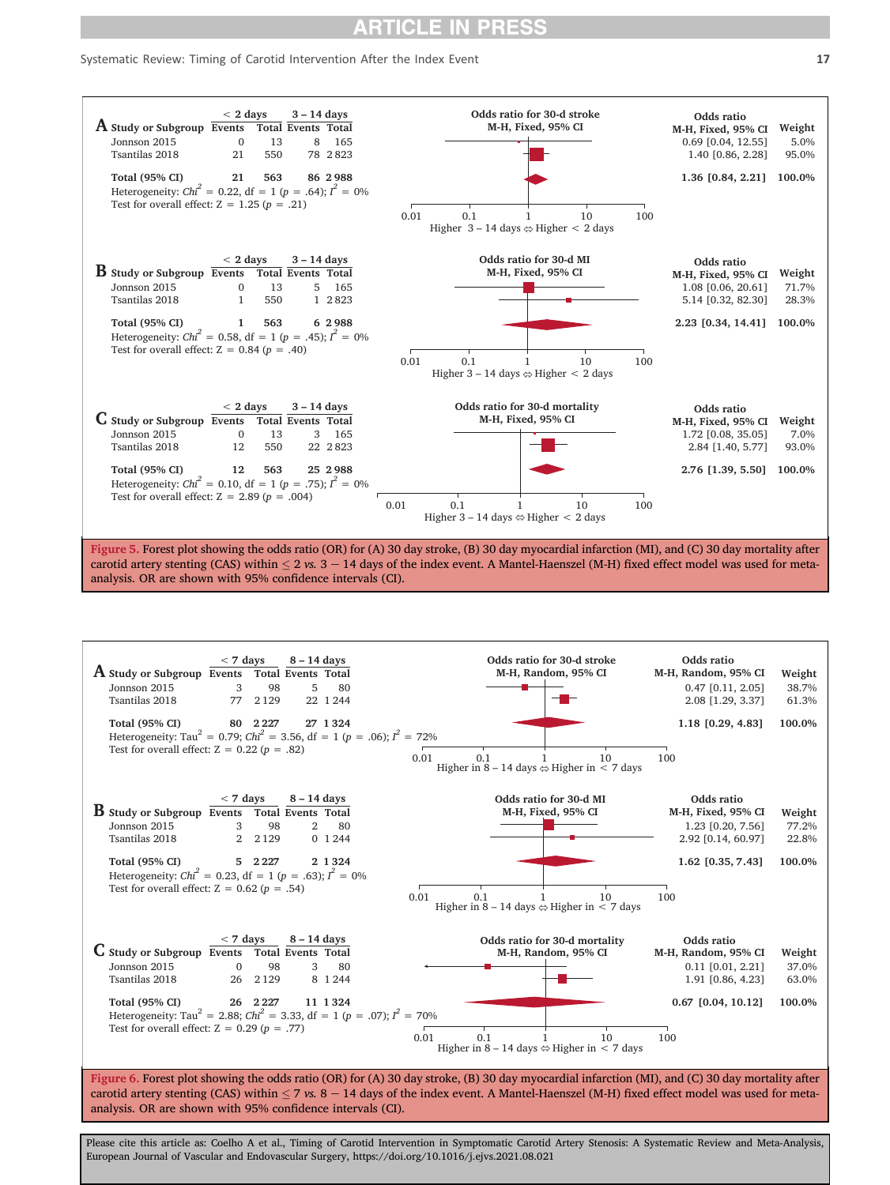#### <span id="page-16-0"></span>Systematic Review: Timing of Carotid Intervention After the Index Event 17



carotid artery stenting (CAS) within  $\leq 2$  vs.  $3 - 14$  days of the index event. A Mantel-Haenszel (M-H) fixed effect model was used for metaanalysis. OR are shown with 95% confidence intervals (CI).

<span id="page-16-1"></span>

Figure 6. Forest plot showing the odds ratio (OR) for (A) 30 day stroke, (B) 30 day myocardial infarction (MI), and (C) 30 day mortality after carotid artery stenting (CAS) within  $\leq$  7 vs. 8 - 14 days of the index event. A Mantel-Haenszel (M-H) fixed effect model was used for metaanalysis. OR are shown with 95% confidence intervals (CI).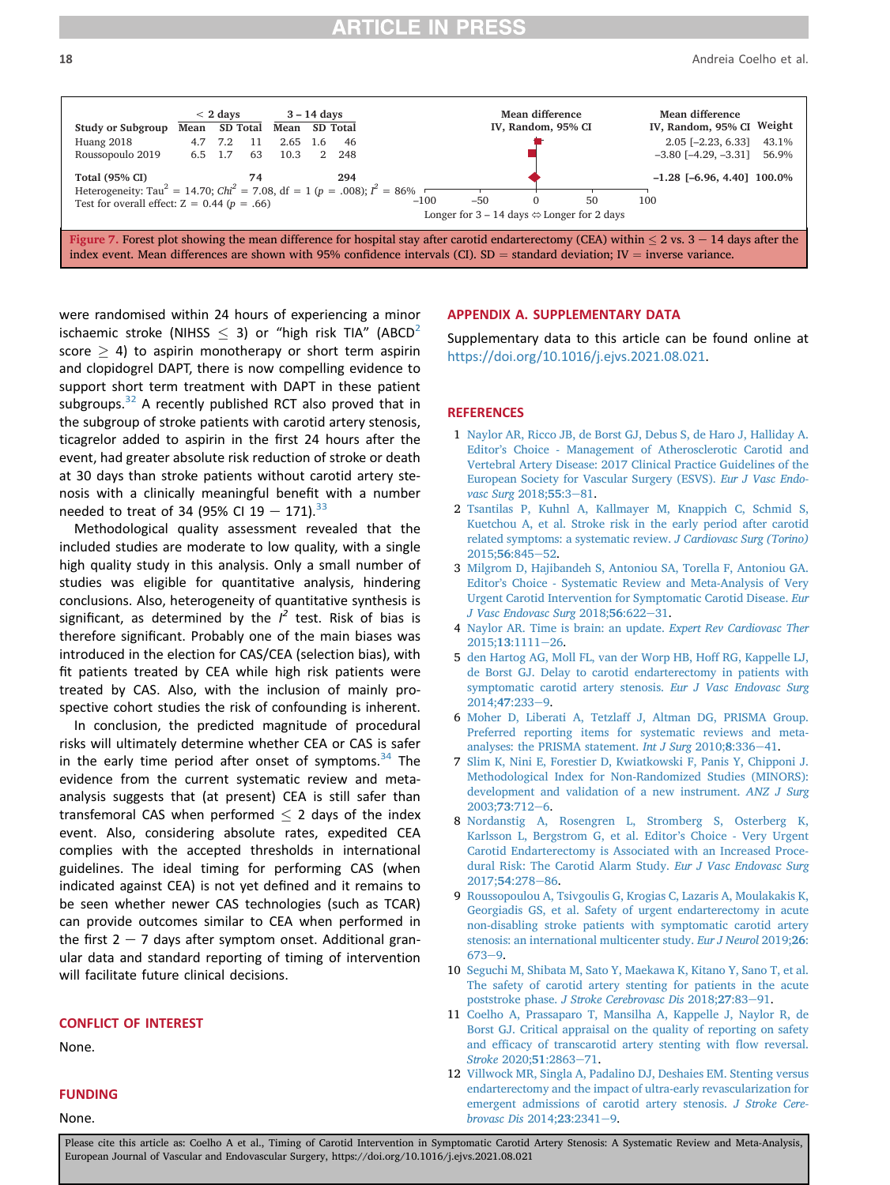<span id="page-17-12"></span>

were randomised within 24 hours of experiencing a minor ischaemic stroke (NIHSS  $\leq$  3) or "high risk TIA" (ABCD<sup>[2](#page-17-1)</sup> score  $>$  4) to aspirin monotherapy or short term aspirin and clopidogrel DAPT, there is now compelling evidence to support short term treatment with DAPT in these patient subgroups. $32$  A recently published RCT also proved that in the subgroup of stroke patients with carotid artery stenosis, ticagrelor added to aspirin in the first 24 hours after the event, had greater absolute risk reduction of stroke or death at 30 days than stroke patients without carotid artery stenosis with a clinically meaningful benefit with a number needed to treat of 34 (95% CI 19  $-$  171).<sup>[33](#page-18-33)</sup>

Methodological quality assessment revealed that the included studies are moderate to low quality, with a single high quality study in this analysis. Only a small number of studies was eligible for quantitative analysis, hindering conclusions. Also, heterogeneity of quantitative synthesis is significant, as determined by the  $I^2$  test. Risk of bias is therefore significant. Probably one of the main biases was introduced in the election for CAS/CEA (selection bias), with fit patients treated by CEA while high risk patients were treated by CAS. Also, with the inclusion of mainly prospective cohort studies the risk of confounding is inherent.

In conclusion, the predicted magnitude of procedural risks will ultimately determine whether CEA or CAS is safer in the early time period after onset of symptoms.<sup>[34](#page-18-0)</sup> The evidence from the current systematic review and metaanalysis suggests that (at present) CEA is still safer than transfemoral CAS when performed  $\leq$  2 days of the index event. Also, considering absolute rates, expedited CEA complies with the accepted thresholds in international guidelines. The ideal timing for performing CAS (when indicated against CEA) is not yet defined and it remains to be seen whether newer CAS technologies (such as TCAR) can provide outcomes similar to CEA when performed in the first  $2 - 7$  days after symptom onset. Additional granular data and standard reporting of timing of intervention will facilitate future clinical decisions.

#### CONFLICT OF INTEREST

None.

### FUNDING

None.

#### APPENDIX A. SUPPLEMENTARY DATA

Supplementary data to this article can be found online at <https://doi.org/10.1016/j.ejvs.2021.08.021>.

#### <span id="page-17-0"></span>**REFERENCES**

- 1 [Naylor AR, Ricco JB, de Borst GJ, Debus S, de Haro J, Halliday A.](http://refhub.elsevier.com/S1078-5884(21)00678-X/sref1) Editor'[s Choice - Management of Atherosclerotic Carotid and](http://refhub.elsevier.com/S1078-5884(21)00678-X/sref1) [Vertebral Artery Disease: 2017 Clinical Practice Guidelines of the](http://refhub.elsevier.com/S1078-5884(21)00678-X/sref1) [European Society for Vascular Surgery \(ESVS\).](http://refhub.elsevier.com/S1078-5884(21)00678-X/sref1) Eur J Vasc Endo[vasc Surg](http://refhub.elsevier.com/S1078-5884(21)00678-X/sref1) 2018;55:3-[81.](http://refhub.elsevier.com/S1078-5884(21)00678-X/sref1)
- <span id="page-17-1"></span>2 [Tsantilas P, Kuhnl A, Kallmayer M, Knappich C, Schmid S,](http://refhub.elsevier.com/S1078-5884(21)00678-X/sref2) [Kuetchou A, et al. Stroke risk in the early period after carotid](http://refhub.elsevier.com/S1078-5884(21)00678-X/sref2) [related symptoms: a systematic review.](http://refhub.elsevier.com/S1078-5884(21)00678-X/sref2) J Cardiovasc Surg (Torino) 2015:56:845-[52.](http://refhub.elsevier.com/S1078-5884(21)00678-X/sref2)
- <span id="page-17-2"></span>3 [Milgrom D, Hajibandeh S, Antoniou SA, Torella F, Antoniou GA.](http://refhub.elsevier.com/S1078-5884(21)00678-X/sref3) Editor'[s Choice - Systematic Review and Meta-Analysis of Very](http://refhub.elsevier.com/S1078-5884(21)00678-X/sref3) [Urgent Carotid Intervention for Symptomatic Carotid Disease.](http://refhub.elsevier.com/S1078-5884(21)00678-X/sref3) Eur [J Vasc Endovasc Surg](http://refhub.elsevier.com/S1078-5884(21)00678-X/sref3) 2018;56:622-[31.](http://refhub.elsevier.com/S1078-5884(21)00678-X/sref3)
- <span id="page-17-4"></span><span id="page-17-3"></span>4 [Naylor AR. Time is brain: an update.](http://refhub.elsevier.com/S1078-5884(21)00678-X/sref4) Expert Rev Cardiovasc Ther 2015;13[:1111](http://refhub.elsevier.com/S1078-5884(21)00678-X/sref4)-[26](http://refhub.elsevier.com/S1078-5884(21)00678-X/sref4).
- 5 [den Hartog AG, Moll FL, van der Worp HB, Hoff RG, Kappelle LJ,](http://refhub.elsevier.com/S1078-5884(21)00678-X/sref5) [de Borst GJ. Delay to carotid endarterectomy in patients with](http://refhub.elsevier.com/S1078-5884(21)00678-X/sref5) [symptomatic carotid artery stenosis.](http://refhub.elsevier.com/S1078-5884(21)00678-X/sref5) Eur J Vasc Endovasc Surg [2014;](http://refhub.elsevier.com/S1078-5884(21)00678-X/sref5)47:233-[9](http://refhub.elsevier.com/S1078-5884(21)00678-X/sref5).
- <span id="page-17-10"></span><span id="page-17-5"></span>6 [Moher D, Liberati A, Tetzlaff J, Altman DG, PRISMA Group.](http://refhub.elsevier.com/S1078-5884(21)00678-X/sref6) [Preferred reporting items for systematic reviews and meta](http://refhub.elsevier.com/S1078-5884(21)00678-X/sref6)[analyses: the PRISMA statement.](http://refhub.elsevier.com/S1078-5884(21)00678-X/sref6) Int J Surg  $2010;8:336-41$ .
- 7 [Slim K, Nini E, Forestier D, Kwiatkowski F, Panis Y, Chipponi J.](http://refhub.elsevier.com/S1078-5884(21)00678-X/sref7) [Methodological Index for Non-Randomized Studies \(MINORS\):](http://refhub.elsevier.com/S1078-5884(21)00678-X/sref7) [development and validation of a new instrument.](http://refhub.elsevier.com/S1078-5884(21)00678-X/sref7) ANZ J Surg [2003;](http://refhub.elsevier.com/S1078-5884(21)00678-X/sref7)73:712-[6](http://refhub.elsevier.com/S1078-5884(21)00678-X/sref7).
- <span id="page-17-8"></span>8 [Nordanstig A, Rosengren L, Stromberg S, Osterberg K,](http://refhub.elsevier.com/S1078-5884(21)00678-X/sref8) [Karlsson L, Bergstrom G, et al. Editor](http://refhub.elsevier.com/S1078-5884(21)00678-X/sref8)'s Choice - Very Urgent [Carotid Endarterectomy is Associated with an Increased Proce](http://refhub.elsevier.com/S1078-5884(21)00678-X/sref8)[dural Risk: The Carotid Alarm Study.](http://refhub.elsevier.com/S1078-5884(21)00678-X/sref8) Eur J Vasc Endovasc Surg [2017;](http://refhub.elsevier.com/S1078-5884(21)00678-X/sref8)54:278-[86.](http://refhub.elsevier.com/S1078-5884(21)00678-X/sref8)
- <span id="page-17-6"></span>9 [Roussopoulou A, Tsivgoulis G, Krogias C, Lazaris A, Moulakakis K,](http://refhub.elsevier.com/S1078-5884(21)00678-X/sref9) [Georgiadis GS, et al. Safety of urgent endarterectomy in acute](http://refhub.elsevier.com/S1078-5884(21)00678-X/sref9) [non-disabling stroke patients with symptomatic carotid artery](http://refhub.elsevier.com/S1078-5884(21)00678-X/sref9) [stenosis: an international multicenter study.](http://refhub.elsevier.com/S1078-5884(21)00678-X/sref9) Eur J Neurol 2019;26:  $673 - 9.$  $673 - 9.$  $673 - 9.$
- <span id="page-17-11"></span><span id="page-17-7"></span>10 [Seguchi M, Shibata M, Sato Y, Maekawa K, Kitano Y, Sano T, et al.](http://refhub.elsevier.com/S1078-5884(21)00678-X/sref10) [The safety of carotid artery stenting for patients in the acute](http://refhub.elsevier.com/S1078-5884(21)00678-X/sref10) poststroke phase. [J Stroke Cerebrovasc Dis](http://refhub.elsevier.com/S1078-5884(21)00678-X/sref10) 2018;27:83-[91.](http://refhub.elsevier.com/S1078-5884(21)00678-X/sref10)
- 11 [Coelho A, Prassaparo T, Mansilha A, Kappelle J, Naylor R, de](http://refhub.elsevier.com/S1078-5884(21)00678-X/sref11) [Borst GJ. Critical appraisal on the quality of reporting on safety](http://refhub.elsevier.com/S1078-5884(21)00678-X/sref11) and effi[cacy of transcarotid artery stenting with](http://refhub.elsevier.com/S1078-5884(21)00678-X/sref11) flow reversal. [Stroke](http://refhub.elsevier.com/S1078-5884(21)00678-X/sref11) 2020;51:2863-[71](http://refhub.elsevier.com/S1078-5884(21)00678-X/sref11).
- <span id="page-17-9"></span>12 [Villwock MR, Singla A, Padalino DJ, Deshaies EM. Stenting versus](http://refhub.elsevier.com/S1078-5884(21)00678-X/sref12) [endarterectomy and the impact of ultra-early revascularization for](http://refhub.elsevier.com/S1078-5884(21)00678-X/sref12) [emergent admissions of carotid artery stenosis.](http://refhub.elsevier.com/S1078-5884(21)00678-X/sref12) J Stroke Cere[brovasc Dis](http://refhub.elsevier.com/S1078-5884(21)00678-X/sref12) 2014;23:2341-[9.](http://refhub.elsevier.com/S1078-5884(21)00678-X/sref12)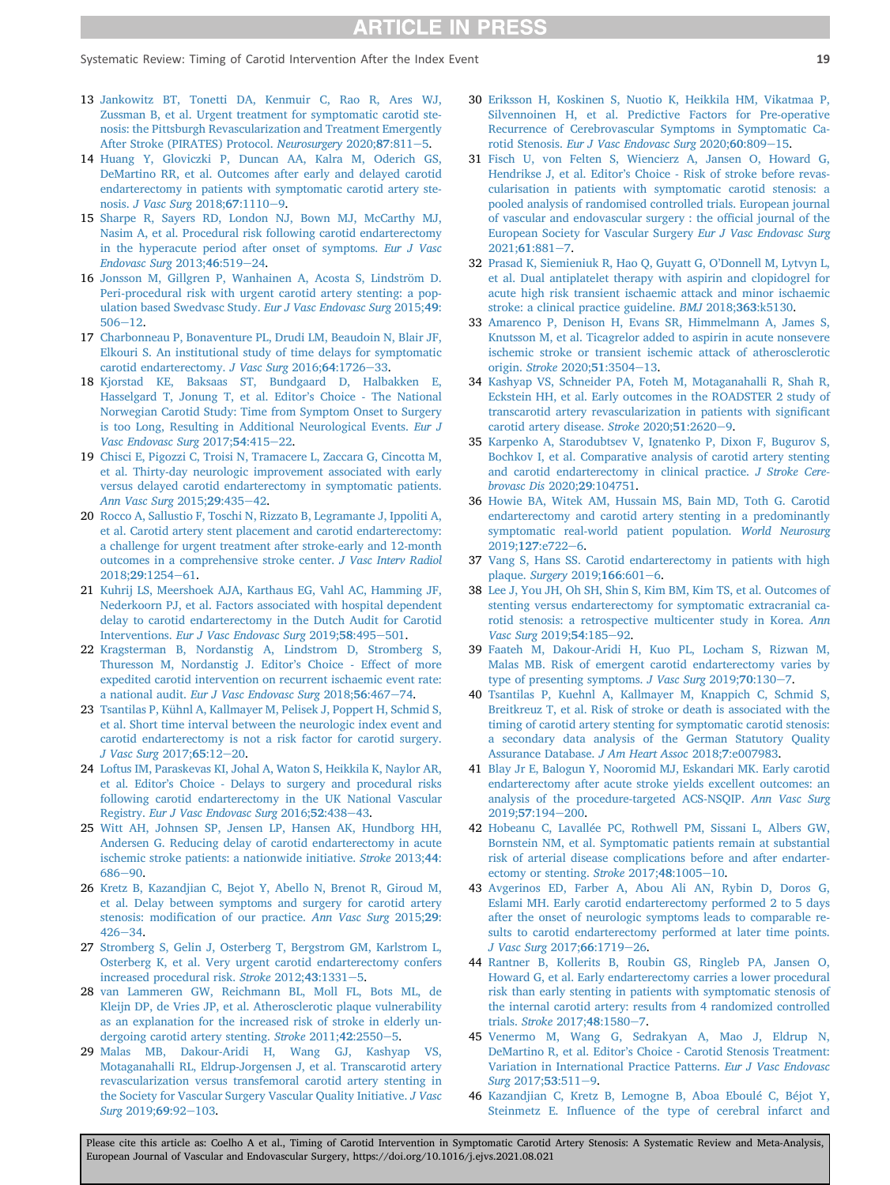Systematic Review: Timing of Carotid Intervention After the Index Event 19

- <span id="page-18-2"></span>13 [Jankowitz BT, Tonetti DA, Kenmuir C, Rao R, Ares WJ,](http://refhub.elsevier.com/S1078-5884(21)00678-X/sref13) [Zussman B, et al. Urgent treatment for symptomatic carotid ste](http://refhub.elsevier.com/S1078-5884(21)00678-X/sref13)[nosis: the Pittsburgh Revascularization and Treatment Emergently](http://refhub.elsevier.com/S1078-5884(21)00678-X/sref13) [After Stroke \(PIRATES\) Protocol.](http://refhub.elsevier.com/S1078-5884(21)00678-X/sref13) Neurosurgery 2020;87:811-[5](http://refhub.elsevier.com/S1078-5884(21)00678-X/sref13).
- <span id="page-18-6"></span>14 [Huang Y, Gloviczki P, Duncan AA, Kalra M, Oderich GS,](http://refhub.elsevier.com/S1078-5884(21)00678-X/sref14) [DeMartino RR, et al. Outcomes after early and delayed carotid](http://refhub.elsevier.com/S1078-5884(21)00678-X/sref14) [endarterectomy in patients with symptomatic carotid artery ste-](http://refhub.elsevier.com/S1078-5884(21)00678-X/sref14)nosis. [J Vasc Surg](http://refhub.elsevier.com/S1078-5884(21)00678-X/sref14) 2018;67:1110-[9.](http://refhub.elsevier.com/S1078-5884(21)00678-X/sref14)
- <span id="page-18-15"></span>15 [Sharpe R, Sayers RD, London NJ, Bown MJ, McCarthy MJ,](http://refhub.elsevier.com/S1078-5884(21)00678-X/sref15) [Nasim A, et al. Procedural risk following carotid endarterectomy](http://refhub.elsevier.com/S1078-5884(21)00678-X/sref15) [in the hyperacute period after onset of symptoms.](http://refhub.elsevier.com/S1078-5884(21)00678-X/sref15) Eur J Vasc [Endovasc Surg](http://refhub.elsevier.com/S1078-5884(21)00678-X/sref15) 2013;46:519-[24](http://refhub.elsevier.com/S1078-5884(21)00678-X/sref15).
- <span id="page-18-24"></span>16 [Jonsson M, Gillgren P, Wanhainen A, Acosta S, Lindström D.](http://refhub.elsevier.com/S1078-5884(21)00678-X/sref16) [Peri-procedural risk with urgent carotid artery stenting: a pop](http://refhub.elsevier.com/S1078-5884(21)00678-X/sref16)[ulation based Swedvasc Study.](http://refhub.elsevier.com/S1078-5884(21)00678-X/sref16) Eur J Vasc Endovasc Surg 2015;49:  $506 - 12.$  $506 - 12.$  $506 - 12.$
- <span id="page-18-12"></span>17 [Charbonneau P, Bonaventure PL, Drudi LM, Beaudoin N, Blair JF,](http://refhub.elsevier.com/S1078-5884(21)00678-X/sref17) [Elkouri S. An institutional study of time delays for symptomatic](http://refhub.elsevier.com/S1078-5884(21)00678-X/sref17) [carotid endarterectomy.](http://refhub.elsevier.com/S1078-5884(21)00678-X/sref17) J Vasc Surg  $2016$ ; 64:1726-[33.](http://refhub.elsevier.com/S1078-5884(21)00678-X/sref17)
- <span id="page-18-22"></span>18 [Kjorstad KE, Baksaas ST, Bundgaard D, Halbakken E,](http://refhub.elsevier.com/S1078-5884(21)00678-X/sref18) [Hasselgard T, Jonung T, et al. Editor](http://refhub.elsevier.com/S1078-5884(21)00678-X/sref18)'s Choice - The National [Norwegian Carotid Study: Time from Symptom Onset to Surgery](http://refhub.elsevier.com/S1078-5884(21)00678-X/sref18) [is too Long, Resulting in Additional Neurological Events.](http://refhub.elsevier.com/S1078-5884(21)00678-X/sref18) Eur J [Vasc Endovasc Surg](http://refhub.elsevier.com/S1078-5884(21)00678-X/sref18) 2017;54:415-[22.](http://refhub.elsevier.com/S1078-5884(21)00678-X/sref18)
- <span id="page-18-13"></span>19 [Chisci E, Pigozzi C, Troisi N, Tramacere L, Zaccara G, Cincotta M,](http://refhub.elsevier.com/S1078-5884(21)00678-X/sref19) [et al. Thirty-day neurologic improvement associated with early](http://refhub.elsevier.com/S1078-5884(21)00678-X/sref19) [versus delayed carotid endarterectomy in symptomatic patients.](http://refhub.elsevier.com/S1078-5884(21)00678-X/sref19) [Ann Vasc Surg](http://refhub.elsevier.com/S1078-5884(21)00678-X/sref19) 2015;29:435-[42](http://refhub.elsevier.com/S1078-5884(21)00678-X/sref19).
- <span id="page-18-7"></span>20 [Rocco A, Sallustio F, Toschi N, Rizzato B, Legramante J, Ippoliti A,](http://refhub.elsevier.com/S1078-5884(21)00678-X/sref20) [et al. Carotid artery stent placement and carotid endarterectomy:](http://refhub.elsevier.com/S1078-5884(21)00678-X/sref20) [a challenge for urgent treatment after stroke-early and 12-month](http://refhub.elsevier.com/S1078-5884(21)00678-X/sref20) [outcomes in a comprehensive stroke center.](http://refhub.elsevier.com/S1078-5884(21)00678-X/sref20) J Vasc Interv Radiol [2018;](http://refhub.elsevier.com/S1078-5884(21)00678-X/sref20)29:1254-[61](http://refhub.elsevier.com/S1078-5884(21)00678-X/sref20).
- <span id="page-18-16"></span>21 [Kuhrij LS, Meershoek AJA, Karthaus EG, Vahl AC, Hamming JF,](http://refhub.elsevier.com/S1078-5884(21)00678-X/sref21) [Nederkoorn PJ, et al. Factors associated with hospital dependent](http://refhub.elsevier.com/S1078-5884(21)00678-X/sref21) [delay to carotid endarterectomy in the Dutch Audit for Carotid](http://refhub.elsevier.com/S1078-5884(21)00678-X/sref21) Interventions. [Eur J Vasc Endovasc Surg](http://refhub.elsevier.com/S1078-5884(21)00678-X/sref21) 2019;58:495-[501](http://refhub.elsevier.com/S1078-5884(21)00678-X/sref21).
- <span id="page-18-27"></span>22 [Kragsterman B, Nordanstig A, Lindstrom D, Stromberg S,](http://refhub.elsevier.com/S1078-5884(21)00678-X/sref22) [Thuresson M, Nordanstig J. Editor](http://refhub.elsevier.com/S1078-5884(21)00678-X/sref22)'s Choice - Effect of more [expedited carotid intervention on recurrent ischaemic event rate:](http://refhub.elsevier.com/S1078-5884(21)00678-X/sref22) a national audit. [Eur J Vasc Endovasc Surg](http://refhub.elsevier.com/S1078-5884(21)00678-X/sref22) 2018;56:467-[74](http://refhub.elsevier.com/S1078-5884(21)00678-X/sref22).
- <span id="page-18-11"></span>23 [Tsantilas P, Kühnl A, Kallmayer M, Pelisek J, Poppert H, Schmid S,](http://refhub.elsevier.com/S1078-5884(21)00678-X/sref23) [et al. Short time interval between the neurologic index event and](http://refhub.elsevier.com/S1078-5884(21)00678-X/sref23) [carotid endarterectomy is not a risk factor for carotid surgery.](http://refhub.elsevier.com/S1078-5884(21)00678-X/sref23) [J Vasc Surg](http://refhub.elsevier.com/S1078-5884(21)00678-X/sref23)  $2017;65:12-20$  $2017;65:12-20$ .
- <span id="page-18-23"></span>24 [Loftus IM, Paraskevas KI, Johal A, Waton S, Heikkila K, Naylor AR,](http://refhub.elsevier.com/S1078-5884(21)00678-X/sref24) et al. Editor'[s Choice - Delays to surgery and procedural risks](http://refhub.elsevier.com/S1078-5884(21)00678-X/sref24) [following carotid endarterectomy in the UK National Vascular](http://refhub.elsevier.com/S1078-5884(21)00678-X/sref24) Registry. [Eur J Vasc Endovasc Surg](http://refhub.elsevier.com/S1078-5884(21)00678-X/sref24) 2016;52:[43](http://refhub.elsevier.com/S1078-5884(21)00678-X/sref24)8-43.
- <span id="page-18-25"></span>25 [Witt AH, Johnsen SP, Jensen LP, Hansen AK, Hundborg HH,](http://refhub.elsevier.com/S1078-5884(21)00678-X/sref25) [Andersen G. Reducing delay of carotid endarterectomy in acute](http://refhub.elsevier.com/S1078-5884(21)00678-X/sref25) [ischemic stroke patients: a nationwide initiative.](http://refhub.elsevier.com/S1078-5884(21)00678-X/sref25) Stroke 2013;44: [686](http://refhub.elsevier.com/S1078-5884(21)00678-X/sref25)-[90](http://refhub.elsevier.com/S1078-5884(21)00678-X/sref25).
- <span id="page-18-14"></span>26 [Kretz B, Kazandjian C, Bejot Y, Abello N, Brenot R, Giroud M,](http://refhub.elsevier.com/S1078-5884(21)00678-X/sref26) [et al. Delay between symptoms and surgery for carotid artery](http://refhub.elsevier.com/S1078-5884(21)00678-X/sref26) stenosis: modifi[cation of our practice.](http://refhub.elsevier.com/S1078-5884(21)00678-X/sref26) Ann Vasc Surg 2015;29:  $426 - 34.$  $426 - 34.$  $426 - 34.$  $426 - 34.$
- <span id="page-18-26"></span>27 [Stromberg S, Gelin J, Osterberg T, Bergstrom GM, Karlstrom L,](http://refhub.elsevier.com/S1078-5884(21)00678-X/sref27) [Osterberg K, et al. Very urgent carotid endarterectomy confers](http://refhub.elsevier.com/S1078-5884(21)00678-X/sref27) [increased procedural risk.](http://refhub.elsevier.com/S1078-5884(21)00678-X/sref27) Stroke  $2012;43:1331-5$ .
- <span id="page-18-28"></span>28 [van Lammeren GW, Reichmann BL, Moll FL, Bots ML, de](http://refhub.elsevier.com/S1078-5884(21)00678-X/sref28) [Kleijn DP, de Vries JP, et al. Atherosclerotic plaque vulnerability](http://refhub.elsevier.com/S1078-5884(21)00678-X/sref28) [as an explanation for the increased risk of stroke in elderly un](http://refhub.elsevier.com/S1078-5884(21)00678-X/sref28)[dergoing carotid artery stenting.](http://refhub.elsevier.com/S1078-5884(21)00678-X/sref28) Stroke 2011;42:2550-[5.](http://refhub.elsevier.com/S1078-5884(21)00678-X/sref28)
- <span id="page-18-29"></span>29 [Malas MB, Dakour-Aridi H, Wang GJ, Kashyap VS,](http://refhub.elsevier.com/S1078-5884(21)00678-X/sref29) [Motaganahalli RL, Eldrup-Jorgensen J, et al. Transcarotid artery](http://refhub.elsevier.com/S1078-5884(21)00678-X/sref29) [revascularization versus transfemoral carotid artery stenting in](http://refhub.elsevier.com/S1078-5884(21)00678-X/sref29) [the Society for Vascular Surgery Vascular Quality Initiative.](http://refhub.elsevier.com/S1078-5884(21)00678-X/sref29) J Vasc Surg [2019;](http://refhub.elsevier.com/S1078-5884(21)00678-X/sref29)69:92-[103](http://refhub.elsevier.com/S1078-5884(21)00678-X/sref29).
- <span id="page-18-30"></span>30 [Eriksson H, Koskinen S, Nuotio K, Heikkila HM, Vikatmaa P,](http://refhub.elsevier.com/S1078-5884(21)00678-X/sref30) [Silvennoinen H, et al. Predictive Factors for Pre-operative](http://refhub.elsevier.com/S1078-5884(21)00678-X/sref30) [Recurrence of Cerebrovascular Symptoms in Symptomatic Ca-](http://refhub.elsevier.com/S1078-5884(21)00678-X/sref30)rotid Stenosis. [Eur J Vasc Endovasc Surg](http://refhub.elsevier.com/S1078-5884(21)00678-X/sref30) 2020;60:809-[15](http://refhub.elsevier.com/S1078-5884(21)00678-X/sref30).
- <span id="page-18-31"></span>31 [Fisch U, von Felten S, Wiencierz A, Jansen O, Howard G,](http://refhub.elsevier.com/S1078-5884(21)00678-X/sref31) Hendrikse J, et al. Editor'[s Choice - Risk of stroke before revas](http://refhub.elsevier.com/S1078-5884(21)00678-X/sref31)[cularisation in patients with symptomatic carotid stenosis: a](http://refhub.elsevier.com/S1078-5884(21)00678-X/sref31) [pooled analysis of randomised controlled trials. European journal](http://refhub.elsevier.com/S1078-5884(21)00678-X/sref31) [of vascular and endovascular surgery : the of](http://refhub.elsevier.com/S1078-5884(21)00678-X/sref31)ficial journal of the [European Society for Vascular Surgery](http://refhub.elsevier.com/S1078-5884(21)00678-X/sref31) Eur J Vasc Endovasc Surg  $2021:61:881-7.$  $2021:61:881-7.$  $2021:61:881-7.$
- <span id="page-18-32"></span>32 [Prasad K, Siemieniuk R, Hao Q, Guyatt G, O](http://refhub.elsevier.com/S1078-5884(21)00678-X/sref32)'Donnell M, Lytvyn L, [et al. Dual antiplatelet therapy with aspirin and clopidogrel for](http://refhub.elsevier.com/S1078-5884(21)00678-X/sref32) [acute high risk transient ischaemic attack and minor ischaemic](http://refhub.elsevier.com/S1078-5884(21)00678-X/sref32) [stroke: a clinical practice guideline.](http://refhub.elsevier.com/S1078-5884(21)00678-X/sref32) BMJ 2018;363:k5130.
- <span id="page-18-33"></span>33 [Amarenco P, Denison H, Evans SR, Himmelmann A, James S,](http://refhub.elsevier.com/S1078-5884(21)00678-X/sref33) [Knutsson M, et al. Ticagrelor added to aspirin in acute nonsevere](http://refhub.elsevier.com/S1078-5884(21)00678-X/sref33) [ischemic stroke or transient ischemic attack of atherosclerotic](http://refhub.elsevier.com/S1078-5884(21)00678-X/sref33) [origin.](http://refhub.elsevier.com/S1078-5884(21)00678-X/sref33) Stroke 2020;51:3504-[13](http://refhub.elsevier.com/S1078-5884(21)00678-X/sref33).
- <span id="page-18-0"></span>34 [Kashyap VS, Schneider PA, Foteh M, Motaganahalli R, Shah R,](http://refhub.elsevier.com/S1078-5884(21)00678-X/sref34) [Eckstein HH, et al. Early outcomes in the ROADSTER 2 study of](http://refhub.elsevier.com/S1078-5884(21)00678-X/sref34) [transcarotid artery revascularization in patients with signi](http://refhub.elsevier.com/S1078-5884(21)00678-X/sref34)ficant [carotid artery disease.](http://refhub.elsevier.com/S1078-5884(21)00678-X/sref34) Stroke  $2020;51:2620-9$  $2020;51:2620-9$ .
- <span id="page-18-1"></span>35 [Karpenko A, Starodubtsev V, Ignatenko P, Dixon F, Bugurov S,](http://refhub.elsevier.com/S1078-5884(21)00678-X/sref35) [Bochkov I, et al. Comparative analysis of carotid artery stenting](http://refhub.elsevier.com/S1078-5884(21)00678-X/sref35) [and carotid endarterectomy in clinical practice.](http://refhub.elsevier.com/S1078-5884(21)00678-X/sref35) J Stroke Cere[brovasc Dis](http://refhub.elsevier.com/S1078-5884(21)00678-X/sref35) 2020;29:104751.
- <span id="page-18-3"></span>36 [Howie BA, Witek AM, Hussain MS, Bain MD, Toth G. Carotid](http://refhub.elsevier.com/S1078-5884(21)00678-X/sref36) [endarterectomy and carotid artery stenting in a predominantly](http://refhub.elsevier.com/S1078-5884(21)00678-X/sref36) [symptomatic real-world patient population.](http://refhub.elsevier.com/S1078-5884(21)00678-X/sref36) World Neurosurg [2019;](http://refhub.elsevier.com/S1078-5884(21)00678-X/sref36)127:e722-[6.](http://refhub.elsevier.com/S1078-5884(21)00678-X/sref36)
- <span id="page-18-4"></span>37 [Vang S, Hans SS. Carotid endarterectomy in patients with high](http://refhub.elsevier.com/S1078-5884(21)00678-X/sref37) [plaque.](http://refhub.elsevier.com/S1078-5884(21)00678-X/sref37) Surgery  $2019;166:601-6$  $2019;166:601-6$  $2019;166:601-6$ .
- <span id="page-18-5"></span>38 [Lee J, You JH, Oh SH, Shin S, Kim BM, Kim TS, et al. Outcomes of](http://refhub.elsevier.com/S1078-5884(21)00678-X/sref38) [stenting versus endarterectomy for symptomatic extracranial ca](http://refhub.elsevier.com/S1078-5884(21)00678-X/sref38)[rotid stenosis: a retrospective multicenter study in Korea.](http://refhub.elsevier.com/S1078-5884(21)00678-X/sref38) Ann [Vasc Surg](http://refhub.elsevier.com/S1078-5884(21)00678-X/sref38) 2019;54:185-[92](http://refhub.elsevier.com/S1078-5884(21)00678-X/sref38).
- <span id="page-18-17"></span>39 [Faateh M, Dakour-Aridi H, Kuo PL, Locham S, Rizwan M,](http://refhub.elsevier.com/S1078-5884(21)00678-X/sref39) [Malas MB. Risk of emergent carotid endarterectomy varies by](http://refhub.elsevier.com/S1078-5884(21)00678-X/sref39) [type of presenting symptoms.](http://refhub.elsevier.com/S1078-5884(21)00678-X/sref39) J Vasc Surg  $2019;70:130-7$  $2019;70:130-7$  $2019;70:130-7$ .
- <span id="page-18-18"></span>40 [Tsantilas P, Kuehnl A, Kallmayer M, Knappich C, Schmid S,](http://refhub.elsevier.com/S1078-5884(21)00678-X/sref40) [Breitkreuz T, et al. Risk of stroke or death is associated with the](http://refhub.elsevier.com/S1078-5884(21)00678-X/sref40) [timing of carotid artery stenting for symptomatic carotid stenosis:](http://refhub.elsevier.com/S1078-5884(21)00678-X/sref40) [a secondary data analysis of the German Statutory Quality](http://refhub.elsevier.com/S1078-5884(21)00678-X/sref40) [Assurance Database.](http://refhub.elsevier.com/S1078-5884(21)00678-X/sref40) J Am Heart Assoc 2018;7:e007983.
- <span id="page-18-19"></span>41 [Blay Jr E, Balogun Y, Nooromid MJ, Eskandari MK. Early carotid](http://refhub.elsevier.com/S1078-5884(21)00678-X/sref41) [endarterectomy after acute stroke yields excellent outcomes: an](http://refhub.elsevier.com/S1078-5884(21)00678-X/sref41) [analysis of the procedure-targeted ACS-NSQIP.](http://refhub.elsevier.com/S1078-5884(21)00678-X/sref41) Ann Vasc Surg [2019;](http://refhub.elsevier.com/S1078-5884(21)00678-X/sref41)57:194-[200](http://refhub.elsevier.com/S1078-5884(21)00678-X/sref41).
- <span id="page-18-9"></span>42 [Hobeanu C, Lavallée PC, Rothwell PM, Sissani L, Albers GW,](http://refhub.elsevier.com/S1078-5884(21)00678-X/sref42) [Bornstein NM, et al. Symptomatic patients remain at substantial](http://refhub.elsevier.com/S1078-5884(21)00678-X/sref42) [risk of arterial disease complications before and after endarter](http://refhub.elsevier.com/S1078-5884(21)00678-X/sref42)[ectomy or stenting.](http://refhub.elsevier.com/S1078-5884(21)00678-X/sref42) Stroke  $2017;48:1005-10$  $2017;48:1005-10$  $2017;48:1005-10$ .
- <span id="page-18-20"></span>43 [Avgerinos ED, Farber A, Abou Ali AN, Rybin D, Doros G,](http://refhub.elsevier.com/S1078-5884(21)00678-X/sref43) [Eslami MH. Early carotid endarterectomy performed 2 to 5 days](http://refhub.elsevier.com/S1078-5884(21)00678-X/sref43) [after the onset of neurologic symptoms leads to comparable re](http://refhub.elsevier.com/S1078-5884(21)00678-X/sref43)[sults to carotid endarterectomy performed at later time points.](http://refhub.elsevier.com/S1078-5884(21)00678-X/sref43) [J Vasc Surg](http://refhub.elsevier.com/S1078-5884(21)00678-X/sref43) 2017;66:1719-[26.](http://refhub.elsevier.com/S1078-5884(21)00678-X/sref43)
- <span id="page-18-8"></span>44 [Rantner B, Kollerits B, Roubin GS, Ringleb PA, Jansen O,](http://refhub.elsevier.com/S1078-5884(21)00678-X/sref44) [Howard G, et al. Early endarterectomy carries a lower procedural](http://refhub.elsevier.com/S1078-5884(21)00678-X/sref44) [risk than early stenting in patients with symptomatic stenosis of](http://refhub.elsevier.com/S1078-5884(21)00678-X/sref44) [the internal carotid artery: results from 4 randomized controlled](http://refhub.elsevier.com/S1078-5884(21)00678-X/sref44) trials. [Stroke](http://refhub.elsevier.com/S1078-5884(21)00678-X/sref44) 201[7](http://refhub.elsevier.com/S1078-5884(21)00678-X/sref44);48:1580-7.
- <span id="page-18-21"></span>45 [Venermo M, Wang G, Sedrakyan A, Mao J, Eldrup N,](http://refhub.elsevier.com/S1078-5884(21)00678-X/sref45) DeMartino R, et al. Editor'[s Choice - Carotid Stenosis Treatment:](http://refhub.elsevier.com/S1078-5884(21)00678-X/sref45) [Variation in International Practice Patterns.](http://refhub.elsevier.com/S1078-5884(21)00678-X/sref45) Eur J Vasc Endovasc  $Surg 2017;53:511-9.$  $Surg 2017;53:511-9.$  $Surg 2017;53:511-9.$  $Surg 2017;53:511-9.$
- <span id="page-18-10"></span>46 [Kazandjian C, Kretz B, Lemogne B, Aboa Eboulé C, Béjot Y,](http://refhub.elsevier.com/S1078-5884(21)00678-X/sref46) Steinmetz E. Infl[uence of the type of cerebral infarct and](http://refhub.elsevier.com/S1078-5884(21)00678-X/sref46)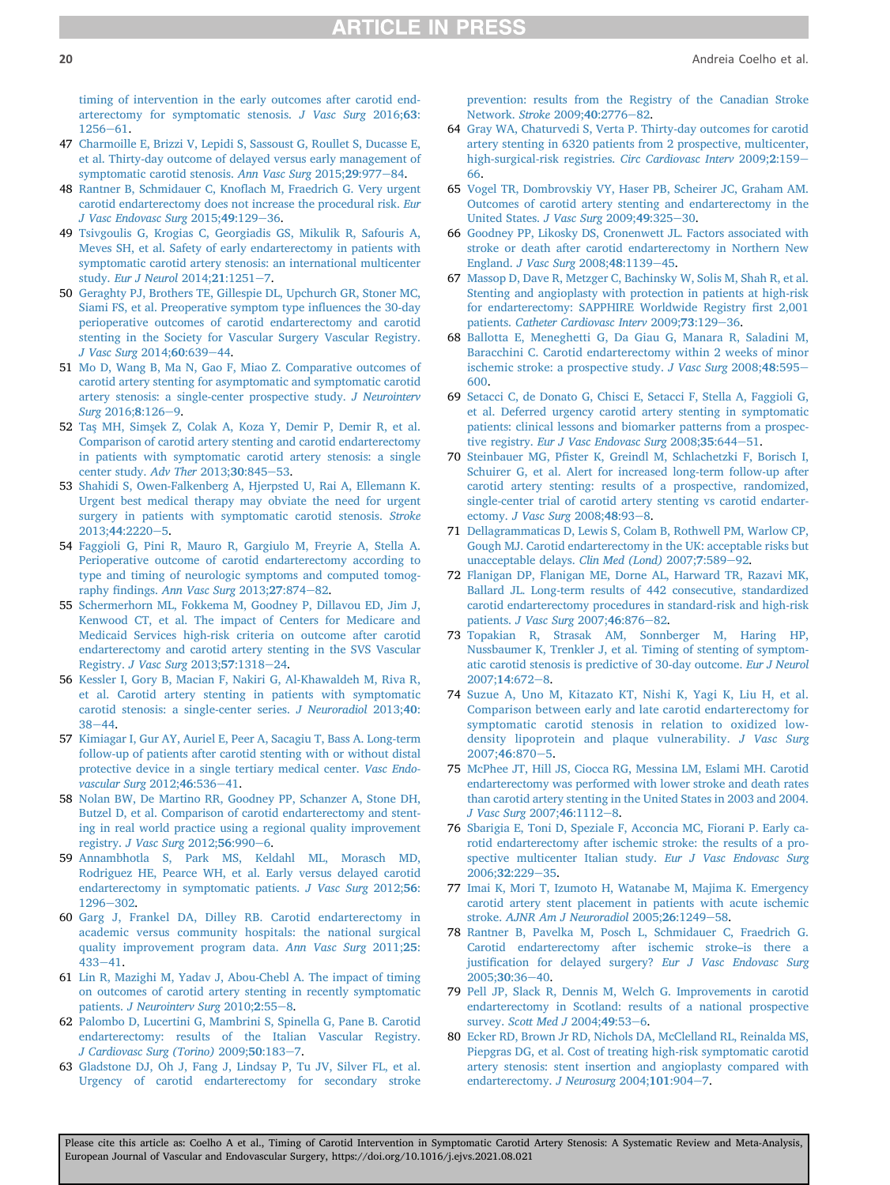[timing of intervention in the early outcomes after carotid end](http://refhub.elsevier.com/S1078-5884(21)00678-X/sref46)[arterectomy for symptomatic stenosis.](http://refhub.elsevier.com/S1078-5884(21)00678-X/sref46) J Vasc Surg 2016;63:  $1256 - 61$  $1256 - 61$  $1256 - 61$ .

- <span id="page-19-0"></span>47 [Charmoille E, Brizzi V, Lepidi S, Sassoust G, Roullet S, Ducasse E,](http://refhub.elsevier.com/S1078-5884(21)00678-X/sref47) [et al. Thirty-day outcome of delayed versus early management of](http://refhub.elsevier.com/S1078-5884(21)00678-X/sref47) [symptomatic carotid stenosis.](http://refhub.elsevier.com/S1078-5884(21)00678-X/sref47) Ann Vasc Surg 2015;29:977-[84.](http://refhub.elsevier.com/S1078-5884(21)00678-X/sref47)
- <span id="page-19-33"></span>48 Rantner B, Schmidauer C, Knofl[ach M, Fraedrich G. Very urgent](http://refhub.elsevier.com/S1078-5884(21)00678-X/sref48) [carotid endarterectomy does not increase the procedural risk.](http://refhub.elsevier.com/S1078-5884(21)00678-X/sref48) Eur [J Vasc Endovasc Surg](http://refhub.elsevier.com/S1078-5884(21)00678-X/sref48) 2015;49:129-[36.](http://refhub.elsevier.com/S1078-5884(21)00678-X/sref48)
- <span id="page-19-1"></span>49 [Tsivgoulis G, Krogias C, Georgiadis GS, Mikulik R, Safouris A,](http://refhub.elsevier.com/S1078-5884(21)00678-X/sref49) [Meves SH, et al. Safety of early endarterectomy in patients with](http://refhub.elsevier.com/S1078-5884(21)00678-X/sref49) [symptomatic carotid artery stenosis: an international multicenter](http://refhub.elsevier.com/S1078-5884(21)00678-X/sref49) study. [Eur J Neurol](http://refhub.elsevier.com/S1078-5884(21)00678-X/sref49) 2014;21:1251-[7](http://refhub.elsevier.com/S1078-5884(21)00678-X/sref49).
- <span id="page-19-23"></span>50 [Geraghty PJ, Brothers TE, Gillespie DL, Upchurch GR, Stoner MC,](http://refhub.elsevier.com/S1078-5884(21)00678-X/sref50) [Siami FS, et al. Preoperative symptom type in](http://refhub.elsevier.com/S1078-5884(21)00678-X/sref50)fluences the 30-day [perioperative outcomes of carotid endarterectomy and carotid](http://refhub.elsevier.com/S1078-5884(21)00678-X/sref50) [stenting in the Society for Vascular Surgery Vascular Registry.](http://refhub.elsevier.com/S1078-5884(21)00678-X/sref50) [J Vasc Surg](http://refhub.elsevier.com/S1078-5884(21)00678-X/sref50) 2014;60:639-[44](http://refhub.elsevier.com/S1078-5884(21)00678-X/sref50).
- <span id="page-19-2"></span>51 [Mo D, Wang B, Ma N, Gao F, Miao Z. Comparative outcomes of](http://refhub.elsevier.com/S1078-5884(21)00678-X/sref51) [carotid artery stenting for asymptomatic and symptomatic carotid](http://refhub.elsevier.com/S1078-5884(21)00678-X/sref51) [artery stenosis: a single-center prospective study.](http://refhub.elsevier.com/S1078-5884(21)00678-X/sref51) J Neurointerv  $S$ urg 2016:8:126-[9.](http://refhub.elsevier.com/S1078-5884(21)00678-X/sref51)
- <span id="page-19-5"></span>52 [Tas](http://refhub.elsevier.com/S1078-5884(21)00678-X/sref52) [MH, Sims](http://refhub.elsevier.com/S1078-5884(21)00678-X/sref52)[ek Z, Colak A, Koza Y, Demir P, Demir R, et al.](http://refhub.elsevier.com/S1078-5884(21)00678-X/sref52) [Comparison of carotid artery stenting and carotid endarterectomy](http://refhub.elsevier.com/S1078-5884(21)00678-X/sref52) [in patients with symptomatic carotid artery stenosis: a single](http://refhub.elsevier.com/S1078-5884(21)00678-X/sref52) [center study.](http://refhub.elsevier.com/S1078-5884(21)00678-X/sref52) Adv Ther 2013;30:845-[53](http://refhub.elsevier.com/S1078-5884(21)00678-X/sref52).
- <span id="page-19-3"></span>53 [Shahidi S, Owen-Falkenberg A, Hjerpsted U, Rai A, Ellemann K.](http://refhub.elsevier.com/S1078-5884(21)00678-X/sref53) [Urgent best medical therapy may obviate the need for urgent](http://refhub.elsevier.com/S1078-5884(21)00678-X/sref53) [surgery in patients with symptomatic carotid stenosis.](http://refhub.elsevier.com/S1078-5884(21)00678-X/sref53) Stroke  $2013:44:2220 - 5.$  $2013:44:2220 - 5.$
- <span id="page-19-4"></span>54 [Faggioli G, Pini R, Mauro R, Gargiulo M, Freyrie A, Stella A.](http://refhub.elsevier.com/S1078-5884(21)00678-X/sref54) [Perioperative outcome of carotid endarterectomy according to](http://refhub.elsevier.com/S1078-5884(21)00678-X/sref54) [type and timing of neurologic symptoms and computed tomog-](http://refhub.elsevier.com/S1078-5884(21)00678-X/sref54)raphy findings. [Ann Vasc Surg](http://refhub.elsevier.com/S1078-5884(21)00678-X/sref54)  $2013;27:874-82$ .
- <span id="page-19-24"></span>55 [Schermerhorn ML, Fokkema M, Goodney P, Dillavou ED, Jim J,](http://refhub.elsevier.com/S1078-5884(21)00678-X/sref55) [Kenwood CT, et al. The impact of Centers for Medicare and](http://refhub.elsevier.com/S1078-5884(21)00678-X/sref55) [Medicaid Services high-risk criteria on outcome after carotid](http://refhub.elsevier.com/S1078-5884(21)00678-X/sref55) [endarterectomy and carotid artery stenting in the SVS Vascular](http://refhub.elsevier.com/S1078-5884(21)00678-X/sref55) Registry. [J Vasc Surg](http://refhub.elsevier.com/S1078-5884(21)00678-X/sref55) 2013;57:1318-[24](http://refhub.elsevier.com/S1078-5884(21)00678-X/sref55).
- <span id="page-19-7"></span>56 [Kessler I, Gory B, Macian F, Nakiri G, Al-Khawaldeh M, Riva R,](http://refhub.elsevier.com/S1078-5884(21)00678-X/sref56) [et al. Carotid artery stenting in patients with symptomatic](http://refhub.elsevier.com/S1078-5884(21)00678-X/sref56) [carotid stenosis: a single-center series.](http://refhub.elsevier.com/S1078-5884(21)00678-X/sref56) J Neuroradiol 2013;40:  $38 - 44$  $38 - 44$ .
- <span id="page-19-8"></span>57 [Kimiagar I, Gur AY, Auriel E, Peer A, Sacagiu T, Bass A. Long-term](http://refhub.elsevier.com/S1078-5884(21)00678-X/sref57) [follow-up of patients after carotid stenting with or without distal](http://refhub.elsevier.com/S1078-5884(21)00678-X/sref57) [protective device in a single tertiary medical center.](http://refhub.elsevier.com/S1078-5884(21)00678-X/sref57) Vasc Endo[vascular Surg](http://refhub.elsevier.com/S1078-5884(21)00678-X/sref57) 2012;46:536-[41.](http://refhub.elsevier.com/S1078-5884(21)00678-X/sref57)
- <span id="page-19-25"></span>58 [Nolan BW, De Martino RR, Goodney PP, Schanzer A, Stone DH,](http://refhub.elsevier.com/S1078-5884(21)00678-X/sref58) [Butzel D, et al. Comparison of carotid endarterectomy and stent](http://refhub.elsevier.com/S1078-5884(21)00678-X/sref58)[ing in real world practice using a regional quality improvement](http://refhub.elsevier.com/S1078-5884(21)00678-X/sref58) registry. [J Vasc Surg](http://refhub.elsevier.com/S1078-5884(21)00678-X/sref58) 2012;5[6](http://refhub.elsevier.com/S1078-5884(21)00678-X/sref58):990-6.
- <span id="page-19-6"></span>59 [Annambhotla S, Park MS, Keldahl ML, Morasch MD,](http://refhub.elsevier.com/S1078-5884(21)00678-X/sref59) [Rodriguez HE, Pearce WH, et al. Early versus delayed carotid](http://refhub.elsevier.com/S1078-5884(21)00678-X/sref59) [endarterectomy in symptomatic patients.](http://refhub.elsevier.com/S1078-5884(21)00678-X/sref59) J Vasc Surg 2012;56:  $1296 - 302.$  $1296 - 302.$  $1296 - 302.$  $1296 - 302.$
- <span id="page-19-26"></span>60 [Garg J, Frankel DA, Dilley RB. Carotid endarterectomy in](http://refhub.elsevier.com/S1078-5884(21)00678-X/sref60) [academic versus community hospitals: the national surgical](http://refhub.elsevier.com/S1078-5884(21)00678-X/sref60) [quality improvement program data.](http://refhub.elsevier.com/S1078-5884(21)00678-X/sref60) Ann Vasc Surg 2011;25:  $433 - 41$  $433 - 41$ .
- <span id="page-19-9"></span>61 [Lin R, Mazighi M, Yadav J, Abou-Chebl A. The impact of timing](http://refhub.elsevier.com/S1078-5884(21)00678-X/sref61) [on outcomes of carotid artery stenting in recently symptomatic](http://refhub.elsevier.com/S1078-5884(21)00678-X/sref61) patients. [J Neurointerv Surg](http://refhub.elsevier.com/S1078-5884(21)00678-X/sref61) 2010;2:55-[8](http://refhub.elsevier.com/S1078-5884(21)00678-X/sref61).
- <span id="page-19-27"></span>62 [Palombo D, Lucertini G, Mambrini S, Spinella G, Pane B. Carotid](http://refhub.elsevier.com/S1078-5884(21)00678-X/sref62) [endarterectomy: results of the Italian Vascular Registry.](http://refhub.elsevier.com/S1078-5884(21)00678-X/sref62) [J Cardiovasc Surg \(Torino\)](http://refhub.elsevier.com/S1078-5884(21)00678-X/sref62) 2009;50:183-[7.](http://refhub.elsevier.com/S1078-5884(21)00678-X/sref62)
- <span id="page-19-29"></span>63 [Gladstone DJ, Oh J, Fang J, Lindsay P, Tu JV, Silver FL, et al.](http://refhub.elsevier.com/S1078-5884(21)00678-X/sref63) [Urgency of carotid endarterectomy for secondary stroke](http://refhub.elsevier.com/S1078-5884(21)00678-X/sref63)

[prevention: results from the Registry of the Canadian Stroke](http://refhub.elsevier.com/S1078-5884(21)00678-X/sref63) [Network.](http://refhub.elsevier.com/S1078-5884(21)00678-X/sref63) Stroke 2009;40:2776-[82](http://refhub.elsevier.com/S1078-5884(21)00678-X/sref63).

- <span id="page-19-10"></span>64 [Gray WA, Chaturvedi S, Verta P. Thirty-day outcomes for carotid](http://refhub.elsevier.com/S1078-5884(21)00678-X/sref64) [artery stenting in 6320 patients from 2 prospective, multicenter,](http://refhub.elsevier.com/S1078-5884(21)00678-X/sref64) [high-surgical-risk registries.](http://refhub.elsevier.com/S1078-5884(21)00678-X/sref64) Circ Cardiovasc Interv 2009;2:159-[66.](http://refhub.elsevier.com/S1078-5884(21)00678-X/sref64)
- <span id="page-19-28"></span>65 [Vogel TR, Dombrovskiy VY, Haser PB, Scheirer JC, Graham AM.](http://refhub.elsevier.com/S1078-5884(21)00678-X/sref65) [Outcomes of carotid artery stenting and endarterectomy in the](http://refhub.elsevier.com/S1078-5884(21)00678-X/sref65) [United States.](http://refhub.elsevier.com/S1078-5884(21)00678-X/sref65) J Vasc Surg  $2009;49:325-30$ .
- <span id="page-19-30"></span>66 [Goodney PP, Likosky DS, Cronenwett JL. Factors associated with](http://refhub.elsevier.com/S1078-5884(21)00678-X/sref66) [stroke or death after carotid endarterectomy in Northern New](http://refhub.elsevier.com/S1078-5884(21)00678-X/sref66) England. [J Vasc Surg](http://refhub.elsevier.com/S1078-5884(21)00678-X/sref66) 2008;48:1139-[45.](http://refhub.elsevier.com/S1078-5884(21)00678-X/sref66)
- <span id="page-19-13"></span>67 [Massop D, Dave R, Metzger C, Bachinsky W, Solis M, Shah R, et al.](http://refhub.elsevier.com/S1078-5884(21)00678-X/sref67) [Stenting and angioplasty with protection in patients at high-risk](http://refhub.elsevier.com/S1078-5884(21)00678-X/sref67) [for endarterectomy: SAPPHIRE Worldwide Registry](http://refhub.elsevier.com/S1078-5884(21)00678-X/sref67) first 2,001 patients. [Catheter Cardiovasc Interv](http://refhub.elsevier.com/S1078-5884(21)00678-X/sref67) 2009;73:129-[36](http://refhub.elsevier.com/S1078-5884(21)00678-X/sref67).
- <span id="page-19-11"></span>68 [Ballotta E, Meneghetti G, Da Giau G, Manara R, Saladini M,](http://refhub.elsevier.com/S1078-5884(21)00678-X/sref68) [Baracchini C. Carotid endarterectomy within 2 weeks of minor](http://refhub.elsevier.com/S1078-5884(21)00678-X/sref68) [ischemic stroke: a prospective study.](http://refhub.elsevier.com/S1078-5884(21)00678-X/sref68) J Vasc Surg  $2008;48:595-$ [600](http://refhub.elsevier.com/S1078-5884(21)00678-X/sref68).
- <span id="page-19-12"></span>69 [Setacci C, de Donato G, Chisci E, Setacci F, Stella A, Faggioli G,](http://refhub.elsevier.com/S1078-5884(21)00678-X/sref69) [et al. Deferred urgency carotid artery stenting in symptomatic](http://refhub.elsevier.com/S1078-5884(21)00678-X/sref69) [patients: clinical lessons and biomarker patterns from a prospec-](http://refhub.elsevier.com/S1078-5884(21)00678-X/sref69)tive registry. [Eur J Vasc Endovasc Surg](http://refhub.elsevier.com/S1078-5884(21)00678-X/sref69) 2008;35:644-[51.](http://refhub.elsevier.com/S1078-5884(21)00678-X/sref69)
- <span id="page-19-14"></span>70 Steinbauer MG, Pfi[ster K, Greindl M, Schlachetzki F, Borisch I,](http://refhub.elsevier.com/S1078-5884(21)00678-X/sref70) [Schuirer G, et al. Alert for increased long-term follow-up after](http://refhub.elsevier.com/S1078-5884(21)00678-X/sref70) [carotid artery stenting: results of a prospective, randomized,](http://refhub.elsevier.com/S1078-5884(21)00678-X/sref70) [single-center trial of carotid artery stenting vs carotid endarter-](http://refhub.elsevier.com/S1078-5884(21)00678-X/sref70)ectomy. [J Vasc Surg](http://refhub.elsevier.com/S1078-5884(21)00678-X/sref70) 200[8](http://refhub.elsevier.com/S1078-5884(21)00678-X/sref70);48:93-8.
- <span id="page-19-17"></span>71 [Dellagrammaticas D, Lewis S, Colam B, Rothwell PM, Warlow CP,](http://refhub.elsevier.com/S1078-5884(21)00678-X/sref71) [Gough MJ. Carotid endarterectomy in the UK: acceptable risks but](http://refhub.elsevier.com/S1078-5884(21)00678-X/sref71) [unacceptable delays.](http://refhub.elsevier.com/S1078-5884(21)00678-X/sref71) Clin Med (Lond) 2007;7:589-[92](http://refhub.elsevier.com/S1078-5884(21)00678-X/sref71).
- <span id="page-19-18"></span>72 [Flanigan DP, Flanigan ME, Dorne AL, Harward TR, Razavi MK,](http://refhub.elsevier.com/S1078-5884(21)00678-X/sref72) [Ballard JL. Long-term results of 442 consecutive, standardized](http://refhub.elsevier.com/S1078-5884(21)00678-X/sref72) [carotid endarterectomy procedures in standard-risk and high-risk](http://refhub.elsevier.com/S1078-5884(21)00678-X/sref72) patients. [J Vasc Surg](http://refhub.elsevier.com/S1078-5884(21)00678-X/sref72) 2007;46:876-[82.](http://refhub.elsevier.com/S1078-5884(21)00678-X/sref72)
- <span id="page-19-15"></span>73 [Topakian R, Strasak AM, Sonnberger M, Haring HP,](http://refhub.elsevier.com/S1078-5884(21)00678-X/sref73) [Nussbaumer K, Trenkler J, et al. Timing of stenting of symptom](http://refhub.elsevier.com/S1078-5884(21)00678-X/sref73)[atic carotid stenosis is predictive of 30-day outcome.](http://refhub.elsevier.com/S1078-5884(21)00678-X/sref73) Eur J Neurol [2007;](http://refhub.elsevier.com/S1078-5884(21)00678-X/sref73)14:672-[8](http://refhub.elsevier.com/S1078-5884(21)00678-X/sref73).
- <span id="page-19-16"></span>74 [Suzue A, Uno M, Kitazato KT, Nishi K, Yagi K, Liu H, et al.](http://refhub.elsevier.com/S1078-5884(21)00678-X/sref74) [Comparison between early and late carotid endarterectomy for](http://refhub.elsevier.com/S1078-5884(21)00678-X/sref74) [symptomatic carotid stenosis in relation to oxidized low](http://refhub.elsevier.com/S1078-5884(21)00678-X/sref74)[density lipoprotein and plaque vulnerability.](http://refhub.elsevier.com/S1078-5884(21)00678-X/sref74) J Vasc Surg  $2007;46:870-5.$  $2007;46:870-5.$  $2007;46:870-5.$
- <span id="page-19-31"></span>75 [McPhee JT, Hill JS, Ciocca RG, Messina LM, Eslami MH. Carotid](http://refhub.elsevier.com/S1078-5884(21)00678-X/sref75) [endarterectomy was performed with lower stroke and death rates](http://refhub.elsevier.com/S1078-5884(21)00678-X/sref75) [than carotid artery stenting in the United States in 2003 and 2004.](http://refhub.elsevier.com/S1078-5884(21)00678-X/sref75) [J Vasc Surg](http://refhub.elsevier.com/S1078-5884(21)00678-X/sref75)  $2007;46:1112-8$  $2007;46:1112-8$ .
- <span id="page-19-19"></span>76 [Sbarigia E, Toni D, Speziale F, Acconcia MC, Fiorani P. Early ca](http://refhub.elsevier.com/S1078-5884(21)00678-X/sref76)[rotid endarterectomy after ischemic stroke: the results of a pro](http://refhub.elsevier.com/S1078-5884(21)00678-X/sref76)[spective multicenter Italian study.](http://refhub.elsevier.com/S1078-5884(21)00678-X/sref76) Eur J Vasc Endovasc Surg [2006;](http://refhub.elsevier.com/S1078-5884(21)00678-X/sref76)32:229-[35.](http://refhub.elsevier.com/S1078-5884(21)00678-X/sref76)
- <span id="page-19-20"></span>77 [Imai K, Mori T, Izumoto H, Watanabe M, Majima K. Emergency](http://refhub.elsevier.com/S1078-5884(21)00678-X/sref77) [carotid artery stent placement in patients with acute ischemic](http://refhub.elsevier.com/S1078-5884(21)00678-X/sref77) stroke. [AJNR Am J Neuroradiol](http://refhub.elsevier.com/S1078-5884(21)00678-X/sref77) 2005;26:1249-[58.](http://refhub.elsevier.com/S1078-5884(21)00678-X/sref77)
- <span id="page-19-21"></span>78 [Rantner B, Pavelka M, Posch L, Schmidauer C, Fraedrich G.](http://refhub.elsevier.com/S1078-5884(21)00678-X/sref78) [Carotid endarterectomy after ischemic stroke](http://refhub.elsevier.com/S1078-5884(21)00678-X/sref78)–is there a justifi[cation for delayed surgery?](http://refhub.elsevier.com/S1078-5884(21)00678-X/sref78) Eur J Vasc Endovasc Surg  $2005:30:36-40.$  $2005:30:36-40.$  $2005:30:36-40.$
- <span id="page-19-32"></span>79 [Pell JP, Slack R, Dennis M, Welch G. Improvements in carotid](http://refhub.elsevier.com/S1078-5884(21)00678-X/sref79) [endarterectomy in Scotland: results of a national prospective](http://refhub.elsevier.com/S1078-5884(21)00678-X/sref79) survey. [Scott Med J](http://refhub.elsevier.com/S1078-5884(21)00678-X/sref79) 2004;49:53-[6](http://refhub.elsevier.com/S1078-5884(21)00678-X/sref79).
- <span id="page-19-22"></span>80 [Ecker RD, Brown Jr RD, Nichols DA, McClelland RL, Reinalda MS,](http://refhub.elsevier.com/S1078-5884(21)00678-X/sref80) [Piepgras DG, et al. Cost of treating high-risk symptomatic carotid](http://refhub.elsevier.com/S1078-5884(21)00678-X/sref80) [artery stenosis: stent insertion and angioplasty compared with](http://refhub.elsevier.com/S1078-5884(21)00678-X/sref80) [endarterectomy.](http://refhub.elsevier.com/S1078-5884(21)00678-X/sref80) J Neurosurg 2004;101:904-[7.](http://refhub.elsevier.com/S1078-5884(21)00678-X/sref80)